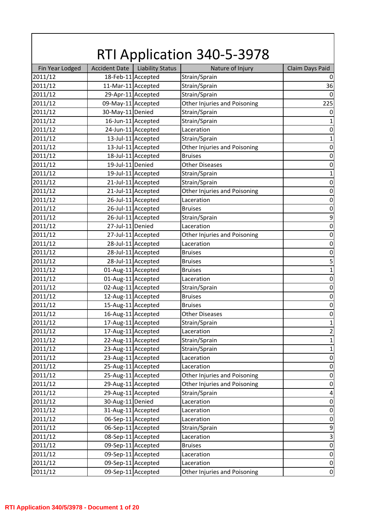|                 |                      |                         | <b>RTI Application 340-5-3978</b> |                         |
|-----------------|----------------------|-------------------------|-----------------------------------|-------------------------|
| Fin Year Lodged | <b>Accident Date</b> | <b>Liability Status</b> | Nature of Injury                  | Claim Days Paid         |
| 2011/12         | 18-Feb-11 Accepted   |                         | Strain/Sprain                     | $\pmb{0}$               |
| 2011/12         | 11-Mar-11 Accepted   |                         | Strain/Sprain                     | 36                      |
| 2011/12         | 29-Apr-11 Accepted   |                         | Strain/Sprain                     | $\mathbf 0$             |
| 2011/12         | 09-May-11 Accepted   |                         | Other Injuries and Poisoning      | 225                     |
| 2011/12         | 30-May-11 Denied     |                         | Strain/Sprain                     | $\boldsymbol{0}$        |
| 2011/12         |                      | 16-Jun-11 Accepted      | Strain/Sprain                     | $\mathbf{1}$            |
| 2011/12         |                      | 24-Jun-11 Accepted      | Laceration                        | $\boldsymbol{0}$        |
| 2011/12         |                      | 13-Jul-11 Accepted      | Strain/Sprain                     | $\mathbf{1}$            |
| 2011/12         |                      | 13-Jul-11 Accepted      | Other Injuries and Poisoning      | $\boldsymbol{0}$        |
| 2011/12         |                      | 18-Jul-11 Accepted      | <b>Bruises</b>                    | $\boldsymbol{0}$        |
| 2011/12         | 19-Jul-11 Denied     |                         | <b>Other Diseases</b>             | $\boldsymbol{0}$        |
| 2011/12         |                      | 19-Jul-11 Accepted      | Strain/Sprain                     | $\mathbf{1}$            |
| 2011/12         |                      | 21-Jul-11 Accepted      | Strain/Sprain                     | $\boldsymbol{0}$        |
| 2011/12         |                      | 21-Jul-11 Accepted      | Other Injuries and Poisoning      | $\boldsymbol{0}$        |
| 2011/12         |                      | 26-Jul-11 Accepted      | Laceration                        | $\boldsymbol{0}$        |
| 2011/12         |                      | 26-Jul-11 Accepted      | <b>Bruises</b>                    | $\boldsymbol{0}$        |
| 2011/12         |                      | 26-Jul-11 Accepted      | Strain/Sprain                     | $\boldsymbol{9}$        |
| 2011/12         | 27-Jul-11 Denied     |                         | Laceration                        | $\boldsymbol{0}$        |
| 2011/12         |                      | 27-Jul-11 Accepted      | Other Injuries and Poisoning      | $\boldsymbol{0}$        |
| 2011/12         |                      | 28-Jul-11 Accepted      | Laceration                        | $\boldsymbol{0}$        |
| 2011/12         |                      | 28-Jul-11 Accepted      | <b>Bruises</b>                    | $\boldsymbol{0}$        |
| 2011/12         |                      | 28-Jul-11 Accepted      | <b>Bruises</b>                    | 5                       |
| 2011/12         | 01-Aug-11 Accepted   |                         | <b>Bruises</b>                    | $\mathbf{1}$            |
| 2011/12         | 01-Aug-11 Accepted   |                         | Laceration                        | $\boldsymbol{0}$        |
| 2011/12         | 02-Aug-11 Accepted   |                         | Strain/Sprain                     | $\boldsymbol{0}$        |
| 2011/12         | 12-Aug-11 Accepted   |                         | <b>Bruises</b>                    | $\boldsymbol{0}$        |
| 2011/12         | 15-Aug-11 Accepted   |                         | <b>Bruises</b>                    | $\mathbf 0$             |
| 2011/12         | 16-Aug-11 Accepted   |                         | <b>Other Diseases</b>             | $\pmb{0}$               |
| 2011/12         | 17-Aug-11 Accepted   |                         | Strain/Sprain                     | $\mathbf 1$             |
| 2011/12         | 17-Aug-11 Accepted   |                         | Laceration                        | $\mathbf 2$             |
| 2011/12         | 22-Aug-11 Accepted   |                         | Strain/Sprain                     | $\mathbf{1}$            |
| 2011/12         | 23-Aug-11 Accepted   |                         | Strain/Sprain                     | $\mathbf 1$             |
| 2011/12         | 23-Aug-11 Accepted   |                         | Laceration                        | $\boldsymbol{0}$        |
| 2011/12         | 25-Aug-11 Accepted   |                         | Laceration                        | $\boldsymbol{0}$        |
| 2011/12         | 25-Aug-11 Accepted   |                         | Other Injuries and Poisoning      | $\boldsymbol{0}$        |
| 2011/12         | 29-Aug-11 Accepted   |                         | Other Injuries and Poisoning      | $\boldsymbol{0}$        |
| 2011/12         | 29-Aug-11 Accepted   |                         | Strain/Sprain                     | $\overline{\mathbf{4}}$ |
| 2011/12         | 30-Aug-11 Denied     |                         | Laceration                        | $\boldsymbol{0}$        |
| 2011/12         | 31-Aug-11 Accepted   |                         | Laceration                        | $\boldsymbol{0}$        |
| 2011/12         | 06-Sep-11 Accepted   |                         | Laceration                        | $\boldsymbol{0}$        |
| 2011/12         | 06-Sep-11 Accepted   |                         | Strain/Sprain                     | 9                       |
| 2011/12         | 08-Sep-11 Accepted   |                         | Laceration                        | $\mathsf 3$             |
| 2011/12         | 09-Sep-11 Accepted   |                         | <b>Bruises</b>                    | $\boldsymbol{0}$        |
| 2011/12         | 09-Sep-11 Accepted   |                         | Laceration                        | $\boldsymbol{0}$        |
| 2011/12         | 09-Sep-11 Accepted   |                         | Laceration                        | $\pmb{0}$               |
| 2011/12         | 09-Sep-11 Accepted   |                         | Other Injuries and Poisoning      | $\boldsymbol{0}$        |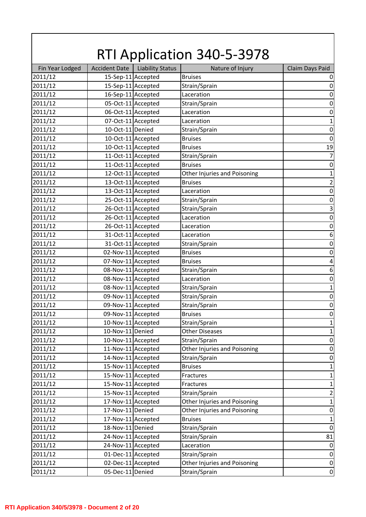| Fin Year Lodged<br><b>Accident Date</b><br><b>Liability Status</b><br>Nature of Injury<br>Claim Days Paid<br>15-Sep-11 Accepted<br>2011/12<br><b>Bruises</b><br>15-Sep-11 Accepted<br>2011/12<br>Strain/Sprain<br>16-Sep-11 Accepted<br>2011/12<br>Laceration<br>2011/12<br>05-Oct-11 Accepted<br>Strain/Sprain<br>06-Oct-11 Accepted<br>2011/12<br>Laceration<br>07-Oct-11 Accepted<br>2011/12<br>Laceration<br>10-Oct-11 Denied<br>$\boldsymbol{0}$<br>2011/12<br>Strain/Sprain<br>2011/12<br>10-Oct-11 Accepted<br><b>Bruises</b><br>10-Oct-11 Accepted<br>19<br>2011/12<br><b>Bruises</b><br>11-Oct-11 Accepted<br>2011/12<br>Strain/Sprain<br>2011/12<br>11-Oct-11 Accepted<br>$\boldsymbol{0}$<br><b>Bruises</b><br>2011/12<br>12-Oct-11 Accepted<br>1<br>Other Injuries and Poisoning<br>$\mathbf 2$<br>2011/12<br>13-Oct-11 Accepted<br><b>Bruises</b><br>13-Oct-11 Accepted<br>2011/12<br>$\boldsymbol{0}$<br>Laceration<br>25-Oct-11 Accepted<br>2011/12<br>Strain/Sprain<br>$\boldsymbol{0}$<br>2011/12<br>26-Oct-11 Accepted<br>$\mathsf 3$<br>Strain/Sprain<br>$\boldsymbol{0}$<br>2011/12<br>26-Oct-11 Accepted<br>Laceration<br>2011/12<br>26-Oct-11 Accepted<br>$\boldsymbol{0}$<br>Laceration<br>2011/12<br>31-Oct-11 Accepted<br>$\,6$<br>Laceration<br>31-Oct-11 Accepted<br>2011/12<br>Strain/Sprain<br>$\boldsymbol{0}$<br>2011/12<br>02-Nov-11 Accepted<br>$\mathbf 0$<br><b>Bruises</b><br>07-Nov-11 Accepted<br>2011/12<br>$\overline{\mathbf{4}}$<br><b>Bruises</b><br>08-Nov-11 Accepted<br>$\boldsymbol{6}$<br>2011/12<br>Strain/Sprain<br>08-Nov-11 Accepted<br>2011/12<br>$\boldsymbol{0}$<br>Laceration<br>2011/12<br>08-Nov-11 Accepted<br>Strain/Sprain<br>$\mathbf 1$<br>2011/12<br>09-Nov-11 Accepted<br>Strain/Sprain<br>$\boldsymbol{0}$<br>2011/12<br>09-Nov-11 Accepted<br>$\mathbf 0$<br>Strain/Sprain<br>2011/12<br>09-Nov-11 Accepted<br><b>Bruises</b><br>$\pmb{0}$<br>2011/12<br>10-Nov-11 Accepted<br>Strain/Sprain<br>$\mathbf{1}$<br>10-Nov-11 Denied<br>2011/12<br><b>Other Diseases</b><br>$\mathbf 1$<br>10-Nov-11 Accepted<br>2011/12<br>Strain/Sprain<br>$\boldsymbol{0}$<br>11-Nov-11 Accepted<br>2011/12<br>Other Injuries and Poisoning<br>$\boldsymbol{0}$<br>14-Nov-11 Accepted<br>Strain/Sprain<br>2011/12<br>$\boldsymbol{0}$<br>2011/12<br>15-Nov-11 Accepted<br><b>Bruises</b><br>$\mathbf 1$<br>15-Nov-11 Accepted<br>$\mathbf{1}$<br>2011/12<br>Fractures<br>15-Nov-11 Accepted<br>2011/12<br>$\mathbf{1}$<br>Fractures<br>15-Nov-11 Accepted<br>$\mathbf 2$<br>2011/12<br>Strain/Sprain<br>17-Nov-11 Accepted<br>2011/12<br>Other Injuries and Poisoning<br>$\mathbf 1$<br>17-Nov-11 Denied<br>2011/12<br>Other Injuries and Poisoning<br>$\boldsymbol{0}$<br>2011/12<br>17-Nov-11 Accepted<br><b>Bruises</b><br>$\mathbf 1$<br>18-Nov-11 Denied<br>$\boldsymbol{0}$<br>2011/12<br>Strain/Sprain<br>24-Nov-11 Accepted<br>2011/12<br>Strain/Sprain<br>81<br>24-Nov-11 Accepted<br>2011/12<br>Laceration<br>$\boldsymbol{0}$<br>01-Dec-11 Accepted<br>2011/12<br>Strain/Sprain<br>$\boldsymbol{0}$<br>02-Dec-11 Accepted<br>2011/12<br>Other Injuries and Poisoning<br>$\pmb{0}$<br>2011/12<br>Strain/Sprain<br>05-Dec-11 Denied | <b>RTI Application 340-5-3978</b> |  |  |                  |  |
|------------------------------------------------------------------------------------------------------------------------------------------------------------------------------------------------------------------------------------------------------------------------------------------------------------------------------------------------------------------------------------------------------------------------------------------------------------------------------------------------------------------------------------------------------------------------------------------------------------------------------------------------------------------------------------------------------------------------------------------------------------------------------------------------------------------------------------------------------------------------------------------------------------------------------------------------------------------------------------------------------------------------------------------------------------------------------------------------------------------------------------------------------------------------------------------------------------------------------------------------------------------------------------------------------------------------------------------------------------------------------------------------------------------------------------------------------------------------------------------------------------------------------------------------------------------------------------------------------------------------------------------------------------------------------------------------------------------------------------------------------------------------------------------------------------------------------------------------------------------------------------------------------------------------------------------------------------------------------------------------------------------------------------------------------------------------------------------------------------------------------------------------------------------------------------------------------------------------------------------------------------------------------------------------------------------------------------------------------------------------------------------------------------------------------------------------------------------------------------------------------------------------------------------------------------------------------------------------------------------------------------------------------------------------------------------------------------------------------------------------------------------------------------------------------------------------------------------------------------------------------------------------------------------------------------------------------------------------------------------------------------------------------------------------------------------------------------------------------------------------------------------------------------------------------------------------|-----------------------------------|--|--|------------------|--|
|                                                                                                                                                                                                                                                                                                                                                                                                                                                                                                                                                                                                                                                                                                                                                                                                                                                                                                                                                                                                                                                                                                                                                                                                                                                                                                                                                                                                                                                                                                                                                                                                                                                                                                                                                                                                                                                                                                                                                                                                                                                                                                                                                                                                                                                                                                                                                                                                                                                                                                                                                                                                                                                                                                                                                                                                                                                                                                                                                                                                                                                                                                                                                                                                |                                   |  |  |                  |  |
|                                                                                                                                                                                                                                                                                                                                                                                                                                                                                                                                                                                                                                                                                                                                                                                                                                                                                                                                                                                                                                                                                                                                                                                                                                                                                                                                                                                                                                                                                                                                                                                                                                                                                                                                                                                                                                                                                                                                                                                                                                                                                                                                                                                                                                                                                                                                                                                                                                                                                                                                                                                                                                                                                                                                                                                                                                                                                                                                                                                                                                                                                                                                                                                                |                                   |  |  | 0                |  |
|                                                                                                                                                                                                                                                                                                                                                                                                                                                                                                                                                                                                                                                                                                                                                                                                                                                                                                                                                                                                                                                                                                                                                                                                                                                                                                                                                                                                                                                                                                                                                                                                                                                                                                                                                                                                                                                                                                                                                                                                                                                                                                                                                                                                                                                                                                                                                                                                                                                                                                                                                                                                                                                                                                                                                                                                                                                                                                                                                                                                                                                                                                                                                                                                |                                   |  |  | $\boldsymbol{0}$ |  |
|                                                                                                                                                                                                                                                                                                                                                                                                                                                                                                                                                                                                                                                                                                                                                                                                                                                                                                                                                                                                                                                                                                                                                                                                                                                                                                                                                                                                                                                                                                                                                                                                                                                                                                                                                                                                                                                                                                                                                                                                                                                                                                                                                                                                                                                                                                                                                                                                                                                                                                                                                                                                                                                                                                                                                                                                                                                                                                                                                                                                                                                                                                                                                                                                |                                   |  |  | $\boldsymbol{0}$ |  |
|                                                                                                                                                                                                                                                                                                                                                                                                                                                                                                                                                                                                                                                                                                                                                                                                                                                                                                                                                                                                                                                                                                                                                                                                                                                                                                                                                                                                                                                                                                                                                                                                                                                                                                                                                                                                                                                                                                                                                                                                                                                                                                                                                                                                                                                                                                                                                                                                                                                                                                                                                                                                                                                                                                                                                                                                                                                                                                                                                                                                                                                                                                                                                                                                |                                   |  |  | $\mathbf 0$      |  |
|                                                                                                                                                                                                                                                                                                                                                                                                                                                                                                                                                                                                                                                                                                                                                                                                                                                                                                                                                                                                                                                                                                                                                                                                                                                                                                                                                                                                                                                                                                                                                                                                                                                                                                                                                                                                                                                                                                                                                                                                                                                                                                                                                                                                                                                                                                                                                                                                                                                                                                                                                                                                                                                                                                                                                                                                                                                                                                                                                                                                                                                                                                                                                                                                |                                   |  |  | $\boldsymbol{0}$ |  |
|                                                                                                                                                                                                                                                                                                                                                                                                                                                                                                                                                                                                                                                                                                                                                                                                                                                                                                                                                                                                                                                                                                                                                                                                                                                                                                                                                                                                                                                                                                                                                                                                                                                                                                                                                                                                                                                                                                                                                                                                                                                                                                                                                                                                                                                                                                                                                                                                                                                                                                                                                                                                                                                                                                                                                                                                                                                                                                                                                                                                                                                                                                                                                                                                |                                   |  |  | $\mathbf{1}$     |  |
|                                                                                                                                                                                                                                                                                                                                                                                                                                                                                                                                                                                                                                                                                                                                                                                                                                                                                                                                                                                                                                                                                                                                                                                                                                                                                                                                                                                                                                                                                                                                                                                                                                                                                                                                                                                                                                                                                                                                                                                                                                                                                                                                                                                                                                                                                                                                                                                                                                                                                                                                                                                                                                                                                                                                                                                                                                                                                                                                                                                                                                                                                                                                                                                                |                                   |  |  |                  |  |
|                                                                                                                                                                                                                                                                                                                                                                                                                                                                                                                                                                                                                                                                                                                                                                                                                                                                                                                                                                                                                                                                                                                                                                                                                                                                                                                                                                                                                                                                                                                                                                                                                                                                                                                                                                                                                                                                                                                                                                                                                                                                                                                                                                                                                                                                                                                                                                                                                                                                                                                                                                                                                                                                                                                                                                                                                                                                                                                                                                                                                                                                                                                                                                                                |                                   |  |  | $\boldsymbol{0}$ |  |
|                                                                                                                                                                                                                                                                                                                                                                                                                                                                                                                                                                                                                                                                                                                                                                                                                                                                                                                                                                                                                                                                                                                                                                                                                                                                                                                                                                                                                                                                                                                                                                                                                                                                                                                                                                                                                                                                                                                                                                                                                                                                                                                                                                                                                                                                                                                                                                                                                                                                                                                                                                                                                                                                                                                                                                                                                                                                                                                                                                                                                                                                                                                                                                                                |                                   |  |  |                  |  |
|                                                                                                                                                                                                                                                                                                                                                                                                                                                                                                                                                                                                                                                                                                                                                                                                                                                                                                                                                                                                                                                                                                                                                                                                                                                                                                                                                                                                                                                                                                                                                                                                                                                                                                                                                                                                                                                                                                                                                                                                                                                                                                                                                                                                                                                                                                                                                                                                                                                                                                                                                                                                                                                                                                                                                                                                                                                                                                                                                                                                                                                                                                                                                                                                |                                   |  |  | $\overline{7}$   |  |
|                                                                                                                                                                                                                                                                                                                                                                                                                                                                                                                                                                                                                                                                                                                                                                                                                                                                                                                                                                                                                                                                                                                                                                                                                                                                                                                                                                                                                                                                                                                                                                                                                                                                                                                                                                                                                                                                                                                                                                                                                                                                                                                                                                                                                                                                                                                                                                                                                                                                                                                                                                                                                                                                                                                                                                                                                                                                                                                                                                                                                                                                                                                                                                                                |                                   |  |  |                  |  |
|                                                                                                                                                                                                                                                                                                                                                                                                                                                                                                                                                                                                                                                                                                                                                                                                                                                                                                                                                                                                                                                                                                                                                                                                                                                                                                                                                                                                                                                                                                                                                                                                                                                                                                                                                                                                                                                                                                                                                                                                                                                                                                                                                                                                                                                                                                                                                                                                                                                                                                                                                                                                                                                                                                                                                                                                                                                                                                                                                                                                                                                                                                                                                                                                |                                   |  |  |                  |  |
|                                                                                                                                                                                                                                                                                                                                                                                                                                                                                                                                                                                                                                                                                                                                                                                                                                                                                                                                                                                                                                                                                                                                                                                                                                                                                                                                                                                                                                                                                                                                                                                                                                                                                                                                                                                                                                                                                                                                                                                                                                                                                                                                                                                                                                                                                                                                                                                                                                                                                                                                                                                                                                                                                                                                                                                                                                                                                                                                                                                                                                                                                                                                                                                                |                                   |  |  |                  |  |
|                                                                                                                                                                                                                                                                                                                                                                                                                                                                                                                                                                                                                                                                                                                                                                                                                                                                                                                                                                                                                                                                                                                                                                                                                                                                                                                                                                                                                                                                                                                                                                                                                                                                                                                                                                                                                                                                                                                                                                                                                                                                                                                                                                                                                                                                                                                                                                                                                                                                                                                                                                                                                                                                                                                                                                                                                                                                                                                                                                                                                                                                                                                                                                                                |                                   |  |  |                  |  |
|                                                                                                                                                                                                                                                                                                                                                                                                                                                                                                                                                                                                                                                                                                                                                                                                                                                                                                                                                                                                                                                                                                                                                                                                                                                                                                                                                                                                                                                                                                                                                                                                                                                                                                                                                                                                                                                                                                                                                                                                                                                                                                                                                                                                                                                                                                                                                                                                                                                                                                                                                                                                                                                                                                                                                                                                                                                                                                                                                                                                                                                                                                                                                                                                |                                   |  |  |                  |  |
|                                                                                                                                                                                                                                                                                                                                                                                                                                                                                                                                                                                                                                                                                                                                                                                                                                                                                                                                                                                                                                                                                                                                                                                                                                                                                                                                                                                                                                                                                                                                                                                                                                                                                                                                                                                                                                                                                                                                                                                                                                                                                                                                                                                                                                                                                                                                                                                                                                                                                                                                                                                                                                                                                                                                                                                                                                                                                                                                                                                                                                                                                                                                                                                                |                                   |  |  |                  |  |
|                                                                                                                                                                                                                                                                                                                                                                                                                                                                                                                                                                                                                                                                                                                                                                                                                                                                                                                                                                                                                                                                                                                                                                                                                                                                                                                                                                                                                                                                                                                                                                                                                                                                                                                                                                                                                                                                                                                                                                                                                                                                                                                                                                                                                                                                                                                                                                                                                                                                                                                                                                                                                                                                                                                                                                                                                                                                                                                                                                                                                                                                                                                                                                                                |                                   |  |  |                  |  |
|                                                                                                                                                                                                                                                                                                                                                                                                                                                                                                                                                                                                                                                                                                                                                                                                                                                                                                                                                                                                                                                                                                                                                                                                                                                                                                                                                                                                                                                                                                                                                                                                                                                                                                                                                                                                                                                                                                                                                                                                                                                                                                                                                                                                                                                                                                                                                                                                                                                                                                                                                                                                                                                                                                                                                                                                                                                                                                                                                                                                                                                                                                                                                                                                |                                   |  |  |                  |  |
|                                                                                                                                                                                                                                                                                                                                                                                                                                                                                                                                                                                                                                                                                                                                                                                                                                                                                                                                                                                                                                                                                                                                                                                                                                                                                                                                                                                                                                                                                                                                                                                                                                                                                                                                                                                                                                                                                                                                                                                                                                                                                                                                                                                                                                                                                                                                                                                                                                                                                                                                                                                                                                                                                                                                                                                                                                                                                                                                                                                                                                                                                                                                                                                                |                                   |  |  |                  |  |
|                                                                                                                                                                                                                                                                                                                                                                                                                                                                                                                                                                                                                                                                                                                                                                                                                                                                                                                                                                                                                                                                                                                                                                                                                                                                                                                                                                                                                                                                                                                                                                                                                                                                                                                                                                                                                                                                                                                                                                                                                                                                                                                                                                                                                                                                                                                                                                                                                                                                                                                                                                                                                                                                                                                                                                                                                                                                                                                                                                                                                                                                                                                                                                                                |                                   |  |  |                  |  |
|                                                                                                                                                                                                                                                                                                                                                                                                                                                                                                                                                                                                                                                                                                                                                                                                                                                                                                                                                                                                                                                                                                                                                                                                                                                                                                                                                                                                                                                                                                                                                                                                                                                                                                                                                                                                                                                                                                                                                                                                                                                                                                                                                                                                                                                                                                                                                                                                                                                                                                                                                                                                                                                                                                                                                                                                                                                                                                                                                                                                                                                                                                                                                                                                |                                   |  |  |                  |  |
|                                                                                                                                                                                                                                                                                                                                                                                                                                                                                                                                                                                                                                                                                                                                                                                                                                                                                                                                                                                                                                                                                                                                                                                                                                                                                                                                                                                                                                                                                                                                                                                                                                                                                                                                                                                                                                                                                                                                                                                                                                                                                                                                                                                                                                                                                                                                                                                                                                                                                                                                                                                                                                                                                                                                                                                                                                                                                                                                                                                                                                                                                                                                                                                                |                                   |  |  |                  |  |
|                                                                                                                                                                                                                                                                                                                                                                                                                                                                                                                                                                                                                                                                                                                                                                                                                                                                                                                                                                                                                                                                                                                                                                                                                                                                                                                                                                                                                                                                                                                                                                                                                                                                                                                                                                                                                                                                                                                                                                                                                                                                                                                                                                                                                                                                                                                                                                                                                                                                                                                                                                                                                                                                                                                                                                                                                                                                                                                                                                                                                                                                                                                                                                                                |                                   |  |  |                  |  |
|                                                                                                                                                                                                                                                                                                                                                                                                                                                                                                                                                                                                                                                                                                                                                                                                                                                                                                                                                                                                                                                                                                                                                                                                                                                                                                                                                                                                                                                                                                                                                                                                                                                                                                                                                                                                                                                                                                                                                                                                                                                                                                                                                                                                                                                                                                                                                                                                                                                                                                                                                                                                                                                                                                                                                                                                                                                                                                                                                                                                                                                                                                                                                                                                |                                   |  |  |                  |  |
|                                                                                                                                                                                                                                                                                                                                                                                                                                                                                                                                                                                                                                                                                                                                                                                                                                                                                                                                                                                                                                                                                                                                                                                                                                                                                                                                                                                                                                                                                                                                                                                                                                                                                                                                                                                                                                                                                                                                                                                                                                                                                                                                                                                                                                                                                                                                                                                                                                                                                                                                                                                                                                                                                                                                                                                                                                                                                                                                                                                                                                                                                                                                                                                                |                                   |  |  |                  |  |
|                                                                                                                                                                                                                                                                                                                                                                                                                                                                                                                                                                                                                                                                                                                                                                                                                                                                                                                                                                                                                                                                                                                                                                                                                                                                                                                                                                                                                                                                                                                                                                                                                                                                                                                                                                                                                                                                                                                                                                                                                                                                                                                                                                                                                                                                                                                                                                                                                                                                                                                                                                                                                                                                                                                                                                                                                                                                                                                                                                                                                                                                                                                                                                                                |                                   |  |  |                  |  |
|                                                                                                                                                                                                                                                                                                                                                                                                                                                                                                                                                                                                                                                                                                                                                                                                                                                                                                                                                                                                                                                                                                                                                                                                                                                                                                                                                                                                                                                                                                                                                                                                                                                                                                                                                                                                                                                                                                                                                                                                                                                                                                                                                                                                                                                                                                                                                                                                                                                                                                                                                                                                                                                                                                                                                                                                                                                                                                                                                                                                                                                                                                                                                                                                |                                   |  |  |                  |  |
|                                                                                                                                                                                                                                                                                                                                                                                                                                                                                                                                                                                                                                                                                                                                                                                                                                                                                                                                                                                                                                                                                                                                                                                                                                                                                                                                                                                                                                                                                                                                                                                                                                                                                                                                                                                                                                                                                                                                                                                                                                                                                                                                                                                                                                                                                                                                                                                                                                                                                                                                                                                                                                                                                                                                                                                                                                                                                                                                                                                                                                                                                                                                                                                                |                                   |  |  |                  |  |
|                                                                                                                                                                                                                                                                                                                                                                                                                                                                                                                                                                                                                                                                                                                                                                                                                                                                                                                                                                                                                                                                                                                                                                                                                                                                                                                                                                                                                                                                                                                                                                                                                                                                                                                                                                                                                                                                                                                                                                                                                                                                                                                                                                                                                                                                                                                                                                                                                                                                                                                                                                                                                                                                                                                                                                                                                                                                                                                                                                                                                                                                                                                                                                                                |                                   |  |  |                  |  |
|                                                                                                                                                                                                                                                                                                                                                                                                                                                                                                                                                                                                                                                                                                                                                                                                                                                                                                                                                                                                                                                                                                                                                                                                                                                                                                                                                                                                                                                                                                                                                                                                                                                                                                                                                                                                                                                                                                                                                                                                                                                                                                                                                                                                                                                                                                                                                                                                                                                                                                                                                                                                                                                                                                                                                                                                                                                                                                                                                                                                                                                                                                                                                                                                |                                   |  |  |                  |  |
|                                                                                                                                                                                                                                                                                                                                                                                                                                                                                                                                                                                                                                                                                                                                                                                                                                                                                                                                                                                                                                                                                                                                                                                                                                                                                                                                                                                                                                                                                                                                                                                                                                                                                                                                                                                                                                                                                                                                                                                                                                                                                                                                                                                                                                                                                                                                                                                                                                                                                                                                                                                                                                                                                                                                                                                                                                                                                                                                                                                                                                                                                                                                                                                                |                                   |  |  |                  |  |
|                                                                                                                                                                                                                                                                                                                                                                                                                                                                                                                                                                                                                                                                                                                                                                                                                                                                                                                                                                                                                                                                                                                                                                                                                                                                                                                                                                                                                                                                                                                                                                                                                                                                                                                                                                                                                                                                                                                                                                                                                                                                                                                                                                                                                                                                                                                                                                                                                                                                                                                                                                                                                                                                                                                                                                                                                                                                                                                                                                                                                                                                                                                                                                                                |                                   |  |  |                  |  |
|                                                                                                                                                                                                                                                                                                                                                                                                                                                                                                                                                                                                                                                                                                                                                                                                                                                                                                                                                                                                                                                                                                                                                                                                                                                                                                                                                                                                                                                                                                                                                                                                                                                                                                                                                                                                                                                                                                                                                                                                                                                                                                                                                                                                                                                                                                                                                                                                                                                                                                                                                                                                                                                                                                                                                                                                                                                                                                                                                                                                                                                                                                                                                                                                |                                   |  |  |                  |  |
|                                                                                                                                                                                                                                                                                                                                                                                                                                                                                                                                                                                                                                                                                                                                                                                                                                                                                                                                                                                                                                                                                                                                                                                                                                                                                                                                                                                                                                                                                                                                                                                                                                                                                                                                                                                                                                                                                                                                                                                                                                                                                                                                                                                                                                                                                                                                                                                                                                                                                                                                                                                                                                                                                                                                                                                                                                                                                                                                                                                                                                                                                                                                                                                                |                                   |  |  |                  |  |
|                                                                                                                                                                                                                                                                                                                                                                                                                                                                                                                                                                                                                                                                                                                                                                                                                                                                                                                                                                                                                                                                                                                                                                                                                                                                                                                                                                                                                                                                                                                                                                                                                                                                                                                                                                                                                                                                                                                                                                                                                                                                                                                                                                                                                                                                                                                                                                                                                                                                                                                                                                                                                                                                                                                                                                                                                                                                                                                                                                                                                                                                                                                                                                                                |                                   |  |  |                  |  |
|                                                                                                                                                                                                                                                                                                                                                                                                                                                                                                                                                                                                                                                                                                                                                                                                                                                                                                                                                                                                                                                                                                                                                                                                                                                                                                                                                                                                                                                                                                                                                                                                                                                                                                                                                                                                                                                                                                                                                                                                                                                                                                                                                                                                                                                                                                                                                                                                                                                                                                                                                                                                                                                                                                                                                                                                                                                                                                                                                                                                                                                                                                                                                                                                |                                   |  |  |                  |  |
|                                                                                                                                                                                                                                                                                                                                                                                                                                                                                                                                                                                                                                                                                                                                                                                                                                                                                                                                                                                                                                                                                                                                                                                                                                                                                                                                                                                                                                                                                                                                                                                                                                                                                                                                                                                                                                                                                                                                                                                                                                                                                                                                                                                                                                                                                                                                                                                                                                                                                                                                                                                                                                                                                                                                                                                                                                                                                                                                                                                                                                                                                                                                                                                                |                                   |  |  |                  |  |
|                                                                                                                                                                                                                                                                                                                                                                                                                                                                                                                                                                                                                                                                                                                                                                                                                                                                                                                                                                                                                                                                                                                                                                                                                                                                                                                                                                                                                                                                                                                                                                                                                                                                                                                                                                                                                                                                                                                                                                                                                                                                                                                                                                                                                                                                                                                                                                                                                                                                                                                                                                                                                                                                                                                                                                                                                                                                                                                                                                                                                                                                                                                                                                                                |                                   |  |  |                  |  |
|                                                                                                                                                                                                                                                                                                                                                                                                                                                                                                                                                                                                                                                                                                                                                                                                                                                                                                                                                                                                                                                                                                                                                                                                                                                                                                                                                                                                                                                                                                                                                                                                                                                                                                                                                                                                                                                                                                                                                                                                                                                                                                                                                                                                                                                                                                                                                                                                                                                                                                                                                                                                                                                                                                                                                                                                                                                                                                                                                                                                                                                                                                                                                                                                |                                   |  |  |                  |  |
|                                                                                                                                                                                                                                                                                                                                                                                                                                                                                                                                                                                                                                                                                                                                                                                                                                                                                                                                                                                                                                                                                                                                                                                                                                                                                                                                                                                                                                                                                                                                                                                                                                                                                                                                                                                                                                                                                                                                                                                                                                                                                                                                                                                                                                                                                                                                                                                                                                                                                                                                                                                                                                                                                                                                                                                                                                                                                                                                                                                                                                                                                                                                                                                                |                                   |  |  |                  |  |
|                                                                                                                                                                                                                                                                                                                                                                                                                                                                                                                                                                                                                                                                                                                                                                                                                                                                                                                                                                                                                                                                                                                                                                                                                                                                                                                                                                                                                                                                                                                                                                                                                                                                                                                                                                                                                                                                                                                                                                                                                                                                                                                                                                                                                                                                                                                                                                                                                                                                                                                                                                                                                                                                                                                                                                                                                                                                                                                                                                                                                                                                                                                                                                                                |                                   |  |  |                  |  |
|                                                                                                                                                                                                                                                                                                                                                                                                                                                                                                                                                                                                                                                                                                                                                                                                                                                                                                                                                                                                                                                                                                                                                                                                                                                                                                                                                                                                                                                                                                                                                                                                                                                                                                                                                                                                                                                                                                                                                                                                                                                                                                                                                                                                                                                                                                                                                                                                                                                                                                                                                                                                                                                                                                                                                                                                                                                                                                                                                                                                                                                                                                                                                                                                |                                   |  |  |                  |  |
|                                                                                                                                                                                                                                                                                                                                                                                                                                                                                                                                                                                                                                                                                                                                                                                                                                                                                                                                                                                                                                                                                                                                                                                                                                                                                                                                                                                                                                                                                                                                                                                                                                                                                                                                                                                                                                                                                                                                                                                                                                                                                                                                                                                                                                                                                                                                                                                                                                                                                                                                                                                                                                                                                                                                                                                                                                                                                                                                                                                                                                                                                                                                                                                                |                                   |  |  |                  |  |
|                                                                                                                                                                                                                                                                                                                                                                                                                                                                                                                                                                                                                                                                                                                                                                                                                                                                                                                                                                                                                                                                                                                                                                                                                                                                                                                                                                                                                                                                                                                                                                                                                                                                                                                                                                                                                                                                                                                                                                                                                                                                                                                                                                                                                                                                                                                                                                                                                                                                                                                                                                                                                                                                                                                                                                                                                                                                                                                                                                                                                                                                                                                                                                                                |                                   |  |  |                  |  |
|                                                                                                                                                                                                                                                                                                                                                                                                                                                                                                                                                                                                                                                                                                                                                                                                                                                                                                                                                                                                                                                                                                                                                                                                                                                                                                                                                                                                                                                                                                                                                                                                                                                                                                                                                                                                                                                                                                                                                                                                                                                                                                                                                                                                                                                                                                                                                                                                                                                                                                                                                                                                                                                                                                                                                                                                                                                                                                                                                                                                                                                                                                                                                                                                |                                   |  |  |                  |  |
|                                                                                                                                                                                                                                                                                                                                                                                                                                                                                                                                                                                                                                                                                                                                                                                                                                                                                                                                                                                                                                                                                                                                                                                                                                                                                                                                                                                                                                                                                                                                                                                                                                                                                                                                                                                                                                                                                                                                                                                                                                                                                                                                                                                                                                                                                                                                                                                                                                                                                                                                                                                                                                                                                                                                                                                                                                                                                                                                                                                                                                                                                                                                                                                                |                                   |  |  | $\boldsymbol{0}$ |  |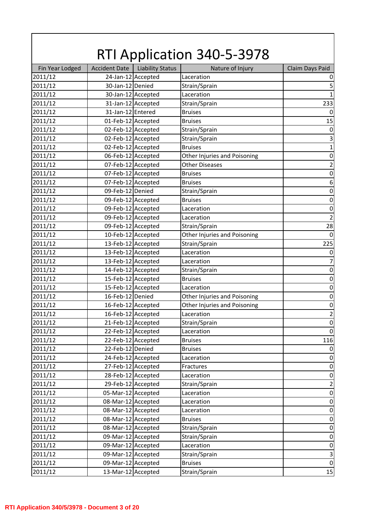|                 |                      |                         | <b>RTI Application 340-5-3978</b> |                         |
|-----------------|----------------------|-------------------------|-----------------------------------|-------------------------|
| Fin Year Lodged | <b>Accident Date</b> | <b>Liability Status</b> | Nature of Injury                  | Claim Days Paid         |
| 2011/12         |                      | 24-Jan-12 Accepted      | Laceration                        | $\boldsymbol{0}$        |
| 2011/12         | 30-Jan-12 Denied     |                         | Strain/Sprain                     | 5                       |
| 2011/12         |                      | 30-Jan-12 Accepted      | Laceration                        | $\mathbf{1}$            |
| 2011/12         |                      | 31-Jan-12 Accepted      | Strain/Sprain                     | 233                     |
| 2011/12         | 31-Jan-12 Entered    |                         | <b>Bruises</b>                    | $\mathbf 0$             |
| 2011/12         | 01-Feb-12 Accepted   |                         | <b>Bruises</b>                    | 15                      |
| 2011/12         | 02-Feb-12 Accepted   |                         | Strain/Sprain                     | $\boldsymbol{0}$        |
| 2011/12         | 02-Feb-12 Accepted   |                         | Strain/Sprain                     | $\mathsf 3$             |
| 2011/12         | 02-Feb-12 Accepted   |                         | <b>Bruises</b>                    | $\mathbf 1$             |
| 2011/12         | 06-Feb-12 Accepted   |                         | Other Injuries and Poisoning      | $\boldsymbol{0}$        |
| 2011/12         | 07-Feb-12 Accepted   |                         | <b>Other Diseases</b>             | $\mathbf 2$             |
| 2011/12         | 07-Feb-12 Accepted   |                         | <b>Bruises</b>                    | $\boldsymbol{0}$        |
| 2011/12         | 07-Feb-12 Accepted   |                         | <b>Bruises</b>                    | $\boldsymbol{6}$        |
| 2011/12         | 09-Feb-12 Denied     |                         | Strain/Sprain                     | $\boldsymbol{0}$        |
| 2011/12         | 09-Feb-12 Accepted   |                         | <b>Bruises</b>                    | $\boldsymbol{0}$        |
| 2011/12         | 09-Feb-12 Accepted   |                         | Laceration                        | $\boldsymbol{0}$        |
| 2011/12         | 09-Feb-12 Accepted   |                         | Laceration                        | $\mathbf 2$             |
| 2011/12         | 09-Feb-12 Accepted   |                         | Strain/Sprain                     | 28                      |
| 2011/12         | 10-Feb-12 Accepted   |                         | Other Injuries and Poisoning      | $\boldsymbol{0}$        |
| 2011/12         | 13-Feb-12 Accepted   |                         | Strain/Sprain                     | 225                     |
| 2011/12         | 13-Feb-12 Accepted   |                         | Laceration                        | $\boldsymbol{0}$        |
| 2011/12         | 13-Feb-12 Accepted   |                         | Laceration                        | $\overline{7}$          |
| 2011/12         | 14-Feb-12 Accepted   |                         | Strain/Sprain                     | $\boldsymbol{0}$        |
| 2011/12         | 15-Feb-12 Accepted   |                         | <b>Bruises</b>                    | $\boldsymbol{0}$        |
| 2011/12         | 15-Feb-12 Accepted   |                         | Laceration                        | $\boldsymbol{0}$        |
| 2011/12         | 16-Feb-12 Denied     |                         | Other Injuries and Poisoning      | $\boldsymbol{0}$        |
| 2011/12         | 16-Feb-12 Accepted   |                         | Other Injuries and Poisoning      | $\mathbf 0$             |
| 2011/12         | 16-Feb-12 Accepted   |                         | Laceration                        | $\overline{2}$          |
| 2011/12         | 21-Feb-12 Accepted   |                         | Strain/Sprain                     | $\boldsymbol{0}$        |
| 2011/12         | 22-Feb-12 Accepted   |                         | Laceration                        | $\mathbf 0$             |
| 2011/12         | 22-Feb-12 Accepted   |                         | <b>Bruises</b>                    | 116                     |
| 2011/12         | 22-Feb-12 Denied     |                         | <b>Bruises</b>                    | $\boldsymbol{0}$        |
| 2011/12         | 24-Feb-12 Accepted   |                         | Laceration                        | $\boldsymbol{0}$        |
| 2011/12         | 27-Feb-12 Accepted   |                         | Fractures                         | $\boldsymbol{0}$        |
| 2011/12         | 28-Feb-12 Accepted   |                         | Laceration                        | $\boldsymbol{0}$        |
| 2011/12         | 29-Feb-12 Accepted   |                         | Strain/Sprain                     | $\overline{\mathbf{c}}$ |
| 2011/12         | 05-Mar-12 Accepted   |                         | Laceration                        | $\boldsymbol{0}$        |
| 2011/12         | 08-Mar-12 Accepted   |                         | Laceration                        | $\boldsymbol{0}$        |
| 2011/12         | 08-Mar-12 Accepted   |                         | Laceration                        | $\boldsymbol{0}$        |
| 2011/12         | 08-Mar-12 Accepted   |                         | <b>Bruises</b>                    | $\boldsymbol{0}$        |
| 2011/12         | 08-Mar-12 Accepted   |                         | Strain/Sprain                     | $\boldsymbol{0}$        |
| 2011/12         | 09-Mar-12 Accepted   |                         | Strain/Sprain                     | $\boldsymbol{0}$        |
| 2011/12         | 09-Mar-12 Accepted   |                         | Laceration                        | $\boldsymbol{0}$        |
| 2011/12         | 09-Mar-12 Accepted   |                         | Strain/Sprain                     | $\mathsf 3$             |
| 2011/12         | 09-Mar-12 Accepted   |                         | <b>Bruises</b>                    | $\mathbf 0$             |
| 2011/12         | 13-Mar-12 Accepted   |                         | Strain/Sprain                     | 15                      |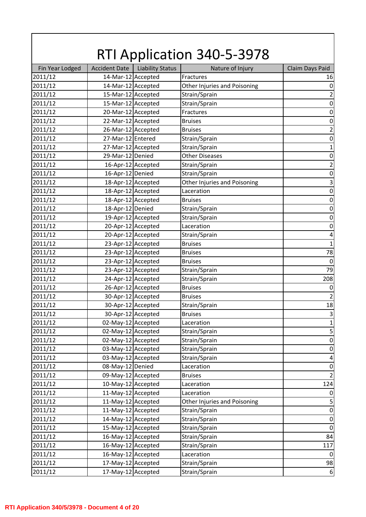| <b>RTI Application 340-5-3978</b> |                      |                         |                              |                         |
|-----------------------------------|----------------------|-------------------------|------------------------------|-------------------------|
| Fin Year Lodged                   | <b>Accident Date</b> | <b>Liability Status</b> | Nature of Injury             | Claim Days Paid         |
| 2011/12                           | 14-Mar-12 Accepted   |                         | Fractures                    | 16                      |
| 2011/12                           | 14-Mar-12 Accepted   |                         | Other Injuries and Poisoning | $\boldsymbol{0}$        |
| 2011/12                           | 15-Mar-12 Accepted   |                         | Strain/Sprain                | $\mathbf 2$             |
| 2011/12                           | 15-Mar-12 Accepted   |                         | Strain/Sprain                | $\boldsymbol{0}$        |
| 2011/12                           | 20-Mar-12 Accepted   |                         | Fractures                    | $\boldsymbol{0}$        |
| 2011/12                           | 22-Mar-12 Accepted   |                         | <b>Bruises</b>               | $\boldsymbol{0}$        |
| 2011/12                           | 26-Mar-12 Accepted   |                         | <b>Bruises</b>               | $\overline{\mathbf{c}}$ |
| 2011/12                           | 27-Mar-12 Entered    |                         | Strain/Sprain                | $\boldsymbol{0}$        |
| 2011/12                           | 27-Mar-12 Accepted   |                         | Strain/Sprain                | $\mathbf{1}$            |
| 2011/12                           | 29-Mar-12 Denied     |                         | <b>Other Diseases</b>        | $\boldsymbol{0}$        |
| 2011/12                           |                      | 16-Apr-12 Accepted      | Strain/Sprain                | $\mathbf 2$             |
| 2011/12                           | 16-Apr-12 Denied     |                         | Strain/Sprain                | $\boldsymbol{0}$        |
| 2011/12                           |                      | 18-Apr-12 Accepted      | Other Injuries and Poisoning | $\overline{\mathbf{3}}$ |
| 2011/12                           |                      | 18-Apr-12 Accepted      | Laceration                   | $\boldsymbol{0}$        |
| 2011/12                           |                      | 18-Apr-12 Accepted      | <b>Bruises</b>               | $\boldsymbol{0}$        |
| 2011/12                           | 18-Apr-12 Denied     |                         | Strain/Sprain                | $\boldsymbol{0}$        |
| 2011/12                           |                      | 19-Apr-12 Accepted      | Strain/Sprain                | $\boldsymbol{0}$        |
| 2011/12                           |                      | 20-Apr-12 Accepted      | Laceration                   | $\boldsymbol{0}$        |
| 2011/12                           | 20-Apr-12 Accepted   |                         | Strain/Sprain                | $\overline{\mathbf{4}}$ |
| 2011/12                           |                      | 23-Apr-12 Accepted      | <b>Bruises</b>               | $\mathbf{1}$            |
| 2011/12                           |                      | 23-Apr-12 Accepted      | <b>Bruises</b>               | 78                      |
| 2011/12                           |                      | 23-Apr-12 Accepted      | <b>Bruises</b>               | $\boldsymbol{0}$        |
| 2011/12                           |                      | 23-Apr-12 Accepted      | Strain/Sprain                | 79                      |
| 2011/12                           |                      | 24-Apr-12 Accepted      | Strain/Sprain                | 208                     |
| 2011/12                           |                      | 26-Apr-12 Accepted      | <b>Bruises</b>               | $\mathbf 0$             |
| 2011/12                           |                      | 30-Apr-12 Accepted      | <b>Bruises</b>               | $\overline{2}$          |
| 2011/12                           |                      | 30-Apr-12 Accepted      | Strain/Sprain                | 18                      |
| 2011/12                           | 30-Apr-12 Accepted   |                         | <b>Bruises</b>               | $\mathsf 3$             |
| 2011/12                           | 02-May-12 Accepted   |                         | Laceration                   | $\mathbf 1$             |
| 2011/12                           | 02-May-12 Accepted   |                         | Strain/Sprain                | 5                       |
| 2011/12                           | 02-May-12 Accepted   |                         | Strain/Sprain                | $\pmb{0}$               |
| 2011/12                           | 03-May-12 Accepted   |                         | Strain/Sprain                | $\boldsymbol{0}$        |
| 2011/12                           | 03-May-12 Accepted   |                         | Strain/Sprain                | 4                       |
| 2011/12                           | 08-May-12 Denied     |                         | Laceration                   | $\boldsymbol{0}$        |
| 2011/12                           | 09-May-12 Accepted   |                         | <b>Bruises</b>               | $\mathbf 2$             |
| 2011/12                           | 10-May-12 Accepted   |                         | Laceration                   | 124                     |
| 2011/12                           | 11-May-12 Accepted   |                         | Laceration                   | $\boldsymbol{0}$        |
| 2011/12                           | 11-May-12 Accepted   |                         | Other Injuries and Poisoning | $\mathsf S$             |
| 2011/12                           | 11-May-12 Accepted   |                         | Strain/Sprain                | $\boldsymbol{0}$        |
| 2011/12                           | 14-May-12 Accepted   |                         | Strain/Sprain                | $\boldsymbol{0}$        |
| 2011/12                           | 15-May-12 Accepted   |                         | Strain/Sprain                | $\boldsymbol{0}$        |
| 2011/12                           | 16-May-12 Accepted   |                         | Strain/Sprain                | 84                      |
| 2011/12                           | 16-May-12 Accepted   |                         | Strain/Sprain                | 117                     |
| 2011/12                           | 16-May-12 Accepted   |                         | Laceration                   | $\boldsymbol{0}$        |
| 2011/12                           | 17-May-12 Accepted   |                         | Strain/Sprain                | 98                      |
| 2011/12                           | 17-May-12 Accepted   |                         | Strain/Sprain                | $\boldsymbol{6}$        |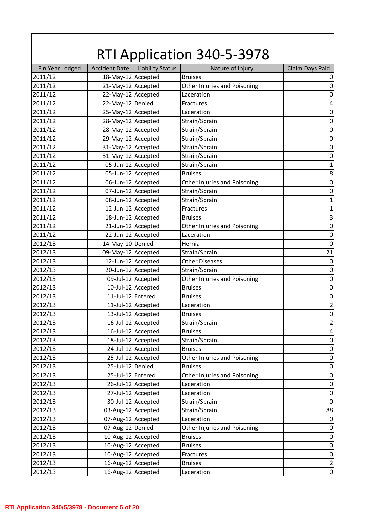|                 |                      |                         | <b>RTI Application 340-5-3978</b> |                         |
|-----------------|----------------------|-------------------------|-----------------------------------|-------------------------|
| Fin Year Lodged | <b>Accident Date</b> | <b>Liability Status</b> | Nature of Injury                  | Claim Days Paid         |
| 2011/12         | 18-May-12 Accepted   |                         | <b>Bruises</b>                    | 0                       |
| 2011/12         | 21-May-12 Accepted   |                         | Other Injuries and Poisoning      | $\boldsymbol{0}$        |
| 2011/12         | 22-May-12 Accepted   |                         | Laceration                        | $\boldsymbol{0}$        |
| 2011/12         | 22-May-12 Denied     |                         | <b>Fractures</b>                  | $\pmb{4}$               |
| 2011/12         | 25-May-12 Accepted   |                         | Laceration                        | $\boldsymbol{0}$        |
| 2011/12         | 28-May-12 Accepted   |                         | Strain/Sprain                     | $\boldsymbol{0}$        |
| 2011/12         | 28-May-12 Accepted   |                         | Strain/Sprain                     | $\boldsymbol{0}$        |
| 2011/12         | 29-May-12 Accepted   |                         | Strain/Sprain                     | $\boldsymbol{0}$        |
| 2011/12         | 31-May-12 Accepted   |                         | Strain/Sprain                     | $\boldsymbol{0}$        |
| 2011/12         | 31-May-12 Accepted   |                         | Strain/Sprain                     | $\boldsymbol{0}$        |
| 2011/12         | 05-Jun-12 Accepted   |                         | Strain/Sprain                     | $\mathbf{1}$            |
| 2011/12         | 05-Jun-12 Accepted   |                         | <b>Bruises</b>                    | 8                       |
| 2011/12         |                      | 06-Jun-12 Accepted      | Other Injuries and Poisoning      | $\boldsymbol{0}$        |
| 2011/12         | 07-Jun-12 Accepted   |                         | Strain/Sprain                     | $\boldsymbol{0}$        |
| 2011/12         |                      | 08-Jun-12 Accepted      | Strain/Sprain                     | $\mathbf 1$             |
| 2011/12         |                      | 12-Jun-12 Accepted      | Fractures                         | $\mathbf{1}$            |
| 2011/12         |                      | 18-Jun-12 Accepted      | <b>Bruises</b>                    | $\overline{\mathbf{3}}$ |
| 2011/12         |                      | 21-Jun-12 Accepted      | Other Injuries and Poisoning      | $\boldsymbol{0}$        |
| 2011/12         |                      | 22-Jun-12 Accepted      | Laceration                        | $\boldsymbol{0}$        |
| 2012/13         | 14-May-10 Denied     |                         | Hernia                            | $\mathbf 0$             |
| 2012/13         | 09-May-12 Accepted   |                         | Strain/Sprain                     | 21                      |
| 2012/13         |                      | 12-Jun-12 Accepted      | <b>Other Diseases</b>             | $\boldsymbol{0}$        |
| 2012/13         |                      | 20-Jun-12 Accepted      | Strain/Sprain                     | $\boldsymbol{0}$        |
| 2012/13         |                      | 09-Jul-12 Accepted      | Other Injuries and Poisoning      | $\boldsymbol{0}$        |
| 2012/13         |                      | 10-Jul-12 Accepted      | <b>Bruises</b>                    | $\boldsymbol{0}$        |
| 2012/13         | 11-Jul-12 Entered    |                         | <b>Bruises</b>                    | $\boldsymbol{0}$        |
| 2012/13         |                      | 11-Jul-12 Accepted      | Laceration                        | $\overline{2}$          |
| 2012/13         |                      | 13-Jul-12 Accepted      | <b>Bruises</b>                    | $\pmb{0}$               |
| 2012/13         |                      | 16-Jul-12 Accepted      | Strain/Sprain                     | $\overline{2}$          |
| 2012/13         |                      | 16-Jul-12 Accepted      | <b>Bruises</b>                    | $\overline{\mathbf{4}}$ |
| 2012/13         |                      | 18-Jul-12 Accepted      | Strain/Sprain                     | $\boldsymbol{0}$        |
| 2012/13         |                      | 24-Jul-12 Accepted      | <b>Bruises</b>                    | $\boldsymbol{0}$        |
| 2012/13         |                      | 25-Jul-12 Accepted      | Other Injuries and Poisoning      | $\boldsymbol{0}$        |
| 2012/13         | 25-Jul-12 Denied     |                         | <b>Bruises</b>                    | $\boldsymbol{0}$        |
| 2012/13         | 25-Jul-12 Entered    |                         | Other Injuries and Poisoning      | $\boldsymbol{0}$        |
| 2012/13         |                      | 26-Jul-12 Accepted      | Laceration                        | $\boldsymbol{0}$        |
| 2012/13         |                      | 27-Jul-12 Accepted      | Laceration                        | $\boldsymbol{0}$        |
| 2012/13         |                      | 30-Jul-12 Accepted      | Strain/Sprain                     | $\boldsymbol{0}$        |
| 2012/13         | 03-Aug-12 Accepted   |                         | Strain/Sprain                     | 88                      |
| 2012/13         | 07-Aug-12 Accepted   |                         | Laceration                        | $\boldsymbol{0}$        |
| 2012/13         | 07-Aug-12 Denied     |                         | Other Injuries and Poisoning      | $\boldsymbol{0}$        |
| 2012/13         | 10-Aug-12 Accepted   |                         | <b>Bruises</b>                    | $\boldsymbol{0}$        |
| 2012/13         | 10-Aug-12 Accepted   |                         | <b>Bruises</b>                    | $\boldsymbol{0}$        |
| 2012/13         | 10-Aug-12 Accepted   |                         | Fractures                         | $\boldsymbol{0}$        |
| 2012/13         | 16-Aug-12 Accepted   |                         | <b>Bruises</b>                    | $\mathbf 2$             |
| 2012/13         | 16-Aug-12 Accepted   |                         | Laceration                        | $\boldsymbol{0}$        |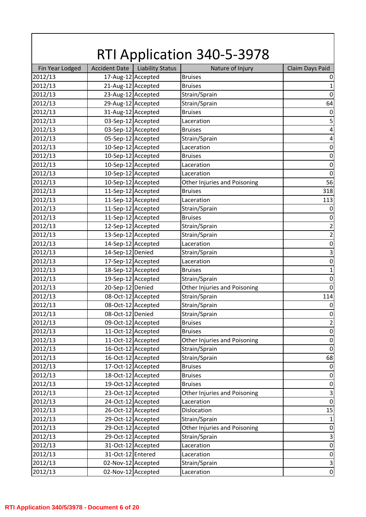|                 |                      |                         | <b>RTI Application 340-5-3978</b> |                           |
|-----------------|----------------------|-------------------------|-----------------------------------|---------------------------|
| Fin Year Lodged | <b>Accident Date</b> | <b>Liability Status</b> | Nature of Injury                  | Claim Days Paid           |
| 2012/13         | 17-Aug-12 Accepted   |                         | <b>Bruises</b>                    | 0                         |
| 2012/13         | 21-Aug-12 Accepted   |                         | <b>Bruises</b>                    | $\mathbf{1}$              |
| 2012/13         | 23-Aug-12 Accepted   |                         | Strain/Sprain                     | $\boldsymbol{0}$          |
| 2012/13         | 29-Aug-12 Accepted   |                         | Strain/Sprain                     | 64                        |
| 2012/13         | 31-Aug-12 Accepted   |                         | <b>Bruises</b>                    | $\boldsymbol{0}$          |
| 2012/13         | 03-Sep-12 Accepted   |                         | Laceration                        | 5                         |
| 2012/13         | 03-Sep-12 Accepted   |                         | <b>Bruises</b>                    | $\pmb{4}$                 |
| 2012/13         | 05-Sep-12 Accepted   |                         | Strain/Sprain                     | $\pmb{4}$                 |
| 2012/13         | 10-Sep-12 Accepted   |                         | Laceration                        | $\boldsymbol{0}$          |
| 2012/13         | 10-Sep-12 Accepted   |                         | <b>Bruises</b>                    | $\boldsymbol{0}$          |
| 2012/13         | 10-Sep-12 Accepted   |                         | Laceration                        | $\boldsymbol{0}$          |
| 2012/13         | 10-Sep-12 Accepted   |                         | Laceration                        | $\mathbf 0$               |
| 2012/13         | 10-Sep-12 Accepted   |                         | Other Injuries and Poisoning      | 56                        |
| 2012/13         | 11-Sep-12 Accepted   |                         | <b>Bruises</b>                    | 318                       |
| 2012/13         | 11-Sep-12 Accepted   |                         | Laceration                        | 113                       |
| 2012/13         | 11-Sep-12 Accepted   |                         | Strain/Sprain                     | $\boldsymbol{0}$          |
| 2012/13         | 11-Sep-12 Accepted   |                         | <b>Bruises</b>                    | $\boldsymbol{0}$          |
| 2012/13         | 12-Sep-12 Accepted   |                         | Strain/Sprain                     | $\mathbf 2$               |
| 2012/13         | 13-Sep-12 Accepted   |                         | Strain/Sprain                     | $\overline{\mathbf{c}}$   |
| 2012/13         | 14-Sep-12 Accepted   |                         | Laceration                        | $\boldsymbol{0}$          |
| 2012/13         | 14-Sep-12 Denied     |                         | Strain/Sprain                     | $\overline{3}$            |
| 2012/13         |                      | 17-Sep-12 Accepted      | Laceration                        | $\boldsymbol{0}$          |
| 2012/13         | 18-Sep-12 Accepted   |                         | <b>Bruises</b>                    | $\mathbf 1$               |
| 2012/13         | 19-Sep-12 Accepted   |                         | Strain/Sprain                     | $\boldsymbol{0}$          |
| 2012/13         | 20-Sep-12 Denied     |                         | Other Injuries and Poisoning      | $\mathbf 0$               |
| 2012/13         | 08-Oct-12 Accepted   |                         | Strain/Sprain                     | 114                       |
| 2012/13         | 08-Oct-12 Accepted   |                         | Strain/Sprain                     | $\boldsymbol{0}$          |
| 2012/13         | 08-Oct-12 Denied     |                         | Strain/Sprain                     | $\pmb{0}$                 |
| 2012/13         | 09-Oct-12 Accepted   |                         | <b>Bruises</b>                    | $\overline{2}$            |
| 2012/13         |                      | 11-Oct-12 Accepted      | <b>Bruises</b>                    | $\boldsymbol{0}$          |
| 2012/13         |                      | 11-Oct-12 Accepted      | Other Injuries and Poisoning      | $\boldsymbol{0}$          |
| 2012/13         |                      | 16-Oct-12 Accepted      | Strain/Sprain                     | $\boldsymbol{0}$          |
| 2012/13         |                      | 16-Oct-12 Accepted      | Strain/Sprain                     | 68                        |
| 2012/13         |                      | 17-Oct-12 Accepted      | <b>Bruises</b>                    | $\boldsymbol{0}$          |
| 2012/13         |                      | 18-Oct-12 Accepted      | <b>Bruises</b>                    | $\boldsymbol{0}$          |
| 2012/13         |                      | 19-Oct-12 Accepted      | <b>Bruises</b>                    | $\boldsymbol{0}$          |
| 2012/13         |                      | 23-Oct-12 Accepted      | Other Injuries and Poisoning      | $\mathsf 3$               |
| 2012/13         |                      | 24-Oct-12 Accepted      | Laceration                        | $\boldsymbol{0}$          |
| 2012/13         |                      | 26-Oct-12 Accepted      | Dislocation                       | 15                        |
| 2012/13         |                      | 29-Oct-12 Accepted      | Strain/Sprain                     | $\mathbf 1$               |
| 2012/13         |                      | 29-Oct-12 Accepted      | Other Injuries and Poisoning      | $\boldsymbol{0}$          |
| 2012/13         |                      | 29-Oct-12 Accepted      | Strain/Sprain                     | $\mathsf 3$               |
| 2012/13         |                      | 31-Oct-12 Accepted      | Laceration                        | $\boldsymbol{0}$          |
| 2012/13         | 31-Oct-12 Entered    |                         | Laceration                        | $\boldsymbol{0}$          |
| 2012/13         | 02-Nov-12 Accepted   |                         | Strain/Sprain                     | $\ensuremath{\mathsf{3}}$ |
| 2012/13         | 02-Nov-12 Accepted   |                         | Laceration                        | $\boldsymbol{0}$          |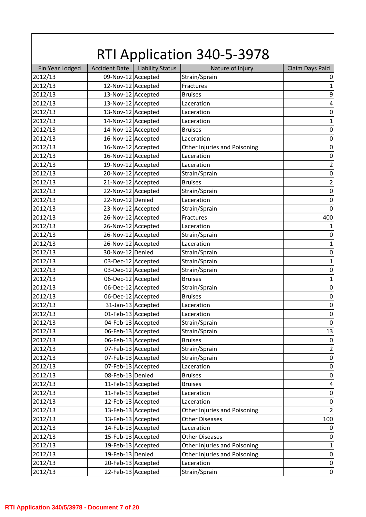| Fin Year Lodged<br><b>Accident Date</b><br><b>Liability Status</b><br>Nature of Injury<br>Claim Days Paid<br>09-Nov-12 Accepted<br>Strain/Sprain<br>2012/13<br>12-Nov-12 Accepted<br>2012/13<br>Fractures<br>13-Nov-12 Accepted<br>2012/13<br>$\boldsymbol{9}$<br><b>Bruises</b><br>13-Nov-12 Accepted<br>2012/13<br>$\pmb{4}$<br>Laceration<br>2012/13<br>13-Nov-12 Accepted<br>$\boldsymbol{0}$<br>Laceration<br>14-Nov-12 Accepted<br>2012/13<br>Laceration<br>14-Nov-12 Accepted<br>$\boldsymbol{0}$<br>2012/13<br><b>Bruises</b><br>16-Nov-12 Accepted<br>2012/13<br>Laceration<br>$\boldsymbol{0}$<br>16-Nov-12 Accepted<br>$\boldsymbol{0}$<br>2012/13<br>Other Injuries and Poisoning<br>16-Nov-12 Accepted<br>2012/13<br>$\boldsymbol{0}$<br>Laceration<br>19-Nov-12 Accepted<br>$\mathbf 2$<br>2012/13<br>Laceration<br>$\boldsymbol{0}$<br>2012/13<br>20-Nov-12 Accepted<br>Strain/Sprain<br>$\mathbf 2$<br>2012/13<br>21-Nov-12 Accepted<br><b>Bruises</b><br>22-Nov-12 Accepted<br>$\boldsymbol{0}$<br>2012/13<br>Strain/Sprain<br>22-Nov-12 Denied<br>$\boldsymbol{0}$<br>2012/13<br>Laceration<br>2012/13<br>23-Nov-12 Accepted<br>Strain/Sprain<br>$\mathbf 0$<br>26-Nov-12 Accepted<br>400<br>2012/13<br>Fractures<br>26-Nov-12 Accepted<br>2012/13<br>Laceration<br>$\mathbf{1}$<br>26-Nov-12 Accepted<br>2012/13<br>Strain/Sprain<br>$\boldsymbol{0}$<br>26-Nov-12 Accepted<br>2012/13<br>Laceration<br>$\mathbf 1$<br>2012/13<br>30-Nov-12 Denied<br>Strain/Sprain<br>$\boldsymbol{0}$<br>03-Dec-12 Accepted<br>$\mathbf{1}$<br>2012/13<br>Strain/Sprain<br>03-Dec-12 Accepted<br>$\boldsymbol{0}$<br>2012/13<br>Strain/Sprain<br>06-Dec-12 Accepted<br>2012/13<br>$\mathbf 1$<br><b>Bruises</b><br>$\boldsymbol{0}$<br>2012/13<br>06-Dec-12 Accepted<br>Strain/Sprain<br>2012/13<br>06-Dec-12 Accepted<br>$\boldsymbol{0}$<br><b>Bruises</b><br>31-Jan-13 Accepted<br>$\mathbf 0$<br>2012/13<br>Laceration<br>01-Feb-13 Accepted<br>2012/13<br>Laceration<br>$\pmb{0}$<br>04-Feb-13 Accepted<br>Strain/Sprain<br>2012/13<br>$\boldsymbol{0}$<br>06-Feb-13 Accepted<br>13<br>2012/13<br>Strain/Sprain<br>06-Feb-13 Accepted<br>2012/13<br>$\boldsymbol{0}$<br><b>Bruises</b><br>07-Feb-13 Accepted<br>Strain/Sprain<br>$\mathbf 2$<br>2012/13<br>07-Feb-13 Accepted<br>2012/13<br>Strain/Sprain<br>$\boldsymbol{0}$<br>2012/13<br>07-Feb-13 Accepted<br>$\boldsymbol{0}$<br>Laceration<br>08-Feb-13 Denied<br>2012/13<br>$\boldsymbol{0}$<br><b>Bruises</b><br>11-Feb-13 Accepted<br>2012/13<br>$\overline{\mathbf{4}}$<br><b>Bruises</b><br>11-Feb-13 Accepted<br>2012/13<br>Laceration<br>$\boldsymbol{0}$<br>12-Feb-13 Accepted<br>2012/13<br>Laceration<br>$\boldsymbol{0}$<br>$\overline{2}$<br>13-Feb-13 Accepted<br>2012/13<br>Other Injuries and Poisoning<br>13-Feb-13 Accepted<br>2012/13<br><b>Other Diseases</b><br>100<br>14-Feb-13 Accepted<br>2012/13<br>Laceration<br>$\mathbf 0$<br>15-Feb-13 Accepted<br>2012/13<br><b>Other Diseases</b><br>$\boldsymbol{0}$<br>19-Feb-13 Accepted<br>$\mathbf{1}$<br>2012/13<br>Other Injuries and Poisoning<br>19-Feb-13 Denied<br>Other Injuries and Poisoning<br>2012/13<br>$\boldsymbol{0}$<br>20-Feb-13 Accepted<br>2012/13<br>Laceration<br>$\pmb{0}$<br>2012/13<br>22-Feb-13 Accepted<br>$\boldsymbol{0}$<br>Strain/Sprain | <b>RTI Application 340-5-3978</b> |  |  |  |              |
|-----------------------------------------------------------------------------------------------------------------------------------------------------------------------------------------------------------------------------------------------------------------------------------------------------------------------------------------------------------------------------------------------------------------------------------------------------------------------------------------------------------------------------------------------------------------------------------------------------------------------------------------------------------------------------------------------------------------------------------------------------------------------------------------------------------------------------------------------------------------------------------------------------------------------------------------------------------------------------------------------------------------------------------------------------------------------------------------------------------------------------------------------------------------------------------------------------------------------------------------------------------------------------------------------------------------------------------------------------------------------------------------------------------------------------------------------------------------------------------------------------------------------------------------------------------------------------------------------------------------------------------------------------------------------------------------------------------------------------------------------------------------------------------------------------------------------------------------------------------------------------------------------------------------------------------------------------------------------------------------------------------------------------------------------------------------------------------------------------------------------------------------------------------------------------------------------------------------------------------------------------------------------------------------------------------------------------------------------------------------------------------------------------------------------------------------------------------------------------------------------------------------------------------------------------------------------------------------------------------------------------------------------------------------------------------------------------------------------------------------------------------------------------------------------------------------------------------------------------------------------------------------------------------------------------------------------------------------------------------------------------------------------------------------------------------------------------------------------------------------------------------------------------------------------------------------------------------------------------------------------------------------------------------------------------------|-----------------------------------|--|--|--|--------------|
|                                                                                                                                                                                                                                                                                                                                                                                                                                                                                                                                                                                                                                                                                                                                                                                                                                                                                                                                                                                                                                                                                                                                                                                                                                                                                                                                                                                                                                                                                                                                                                                                                                                                                                                                                                                                                                                                                                                                                                                                                                                                                                                                                                                                                                                                                                                                                                                                                                                                                                                                                                                                                                                                                                                                                                                                                                                                                                                                                                                                                                                                                                                                                                                                                                                                                                           |                                   |  |  |  |              |
|                                                                                                                                                                                                                                                                                                                                                                                                                                                                                                                                                                                                                                                                                                                                                                                                                                                                                                                                                                                                                                                                                                                                                                                                                                                                                                                                                                                                                                                                                                                                                                                                                                                                                                                                                                                                                                                                                                                                                                                                                                                                                                                                                                                                                                                                                                                                                                                                                                                                                                                                                                                                                                                                                                                                                                                                                                                                                                                                                                                                                                                                                                                                                                                                                                                                                                           |                                   |  |  |  | 0            |
|                                                                                                                                                                                                                                                                                                                                                                                                                                                                                                                                                                                                                                                                                                                                                                                                                                                                                                                                                                                                                                                                                                                                                                                                                                                                                                                                                                                                                                                                                                                                                                                                                                                                                                                                                                                                                                                                                                                                                                                                                                                                                                                                                                                                                                                                                                                                                                                                                                                                                                                                                                                                                                                                                                                                                                                                                                                                                                                                                                                                                                                                                                                                                                                                                                                                                                           |                                   |  |  |  | $\mathbf{1}$ |
|                                                                                                                                                                                                                                                                                                                                                                                                                                                                                                                                                                                                                                                                                                                                                                                                                                                                                                                                                                                                                                                                                                                                                                                                                                                                                                                                                                                                                                                                                                                                                                                                                                                                                                                                                                                                                                                                                                                                                                                                                                                                                                                                                                                                                                                                                                                                                                                                                                                                                                                                                                                                                                                                                                                                                                                                                                                                                                                                                                                                                                                                                                                                                                                                                                                                                                           |                                   |  |  |  |              |
|                                                                                                                                                                                                                                                                                                                                                                                                                                                                                                                                                                                                                                                                                                                                                                                                                                                                                                                                                                                                                                                                                                                                                                                                                                                                                                                                                                                                                                                                                                                                                                                                                                                                                                                                                                                                                                                                                                                                                                                                                                                                                                                                                                                                                                                                                                                                                                                                                                                                                                                                                                                                                                                                                                                                                                                                                                                                                                                                                                                                                                                                                                                                                                                                                                                                                                           |                                   |  |  |  |              |
|                                                                                                                                                                                                                                                                                                                                                                                                                                                                                                                                                                                                                                                                                                                                                                                                                                                                                                                                                                                                                                                                                                                                                                                                                                                                                                                                                                                                                                                                                                                                                                                                                                                                                                                                                                                                                                                                                                                                                                                                                                                                                                                                                                                                                                                                                                                                                                                                                                                                                                                                                                                                                                                                                                                                                                                                                                                                                                                                                                                                                                                                                                                                                                                                                                                                                                           |                                   |  |  |  |              |
|                                                                                                                                                                                                                                                                                                                                                                                                                                                                                                                                                                                                                                                                                                                                                                                                                                                                                                                                                                                                                                                                                                                                                                                                                                                                                                                                                                                                                                                                                                                                                                                                                                                                                                                                                                                                                                                                                                                                                                                                                                                                                                                                                                                                                                                                                                                                                                                                                                                                                                                                                                                                                                                                                                                                                                                                                                                                                                                                                                                                                                                                                                                                                                                                                                                                                                           |                                   |  |  |  | $\mathbf{1}$ |
|                                                                                                                                                                                                                                                                                                                                                                                                                                                                                                                                                                                                                                                                                                                                                                                                                                                                                                                                                                                                                                                                                                                                                                                                                                                                                                                                                                                                                                                                                                                                                                                                                                                                                                                                                                                                                                                                                                                                                                                                                                                                                                                                                                                                                                                                                                                                                                                                                                                                                                                                                                                                                                                                                                                                                                                                                                                                                                                                                                                                                                                                                                                                                                                                                                                                                                           |                                   |  |  |  |              |
|                                                                                                                                                                                                                                                                                                                                                                                                                                                                                                                                                                                                                                                                                                                                                                                                                                                                                                                                                                                                                                                                                                                                                                                                                                                                                                                                                                                                                                                                                                                                                                                                                                                                                                                                                                                                                                                                                                                                                                                                                                                                                                                                                                                                                                                                                                                                                                                                                                                                                                                                                                                                                                                                                                                                                                                                                                                                                                                                                                                                                                                                                                                                                                                                                                                                                                           |                                   |  |  |  |              |
|                                                                                                                                                                                                                                                                                                                                                                                                                                                                                                                                                                                                                                                                                                                                                                                                                                                                                                                                                                                                                                                                                                                                                                                                                                                                                                                                                                                                                                                                                                                                                                                                                                                                                                                                                                                                                                                                                                                                                                                                                                                                                                                                                                                                                                                                                                                                                                                                                                                                                                                                                                                                                                                                                                                                                                                                                                                                                                                                                                                                                                                                                                                                                                                                                                                                                                           |                                   |  |  |  |              |
|                                                                                                                                                                                                                                                                                                                                                                                                                                                                                                                                                                                                                                                                                                                                                                                                                                                                                                                                                                                                                                                                                                                                                                                                                                                                                                                                                                                                                                                                                                                                                                                                                                                                                                                                                                                                                                                                                                                                                                                                                                                                                                                                                                                                                                                                                                                                                                                                                                                                                                                                                                                                                                                                                                                                                                                                                                                                                                                                                                                                                                                                                                                                                                                                                                                                                                           |                                   |  |  |  |              |
|                                                                                                                                                                                                                                                                                                                                                                                                                                                                                                                                                                                                                                                                                                                                                                                                                                                                                                                                                                                                                                                                                                                                                                                                                                                                                                                                                                                                                                                                                                                                                                                                                                                                                                                                                                                                                                                                                                                                                                                                                                                                                                                                                                                                                                                                                                                                                                                                                                                                                                                                                                                                                                                                                                                                                                                                                                                                                                                                                                                                                                                                                                                                                                                                                                                                                                           |                                   |  |  |  |              |
|                                                                                                                                                                                                                                                                                                                                                                                                                                                                                                                                                                                                                                                                                                                                                                                                                                                                                                                                                                                                                                                                                                                                                                                                                                                                                                                                                                                                                                                                                                                                                                                                                                                                                                                                                                                                                                                                                                                                                                                                                                                                                                                                                                                                                                                                                                                                                                                                                                                                                                                                                                                                                                                                                                                                                                                                                                                                                                                                                                                                                                                                                                                                                                                                                                                                                                           |                                   |  |  |  |              |
|                                                                                                                                                                                                                                                                                                                                                                                                                                                                                                                                                                                                                                                                                                                                                                                                                                                                                                                                                                                                                                                                                                                                                                                                                                                                                                                                                                                                                                                                                                                                                                                                                                                                                                                                                                                                                                                                                                                                                                                                                                                                                                                                                                                                                                                                                                                                                                                                                                                                                                                                                                                                                                                                                                                                                                                                                                                                                                                                                                                                                                                                                                                                                                                                                                                                                                           |                                   |  |  |  |              |
|                                                                                                                                                                                                                                                                                                                                                                                                                                                                                                                                                                                                                                                                                                                                                                                                                                                                                                                                                                                                                                                                                                                                                                                                                                                                                                                                                                                                                                                                                                                                                                                                                                                                                                                                                                                                                                                                                                                                                                                                                                                                                                                                                                                                                                                                                                                                                                                                                                                                                                                                                                                                                                                                                                                                                                                                                                                                                                                                                                                                                                                                                                                                                                                                                                                                                                           |                                   |  |  |  |              |
|                                                                                                                                                                                                                                                                                                                                                                                                                                                                                                                                                                                                                                                                                                                                                                                                                                                                                                                                                                                                                                                                                                                                                                                                                                                                                                                                                                                                                                                                                                                                                                                                                                                                                                                                                                                                                                                                                                                                                                                                                                                                                                                                                                                                                                                                                                                                                                                                                                                                                                                                                                                                                                                                                                                                                                                                                                                                                                                                                                                                                                                                                                                                                                                                                                                                                                           |                                   |  |  |  |              |
|                                                                                                                                                                                                                                                                                                                                                                                                                                                                                                                                                                                                                                                                                                                                                                                                                                                                                                                                                                                                                                                                                                                                                                                                                                                                                                                                                                                                                                                                                                                                                                                                                                                                                                                                                                                                                                                                                                                                                                                                                                                                                                                                                                                                                                                                                                                                                                                                                                                                                                                                                                                                                                                                                                                                                                                                                                                                                                                                                                                                                                                                                                                                                                                                                                                                                                           |                                   |  |  |  |              |
|                                                                                                                                                                                                                                                                                                                                                                                                                                                                                                                                                                                                                                                                                                                                                                                                                                                                                                                                                                                                                                                                                                                                                                                                                                                                                                                                                                                                                                                                                                                                                                                                                                                                                                                                                                                                                                                                                                                                                                                                                                                                                                                                                                                                                                                                                                                                                                                                                                                                                                                                                                                                                                                                                                                                                                                                                                                                                                                                                                                                                                                                                                                                                                                                                                                                                                           |                                   |  |  |  |              |
|                                                                                                                                                                                                                                                                                                                                                                                                                                                                                                                                                                                                                                                                                                                                                                                                                                                                                                                                                                                                                                                                                                                                                                                                                                                                                                                                                                                                                                                                                                                                                                                                                                                                                                                                                                                                                                                                                                                                                                                                                                                                                                                                                                                                                                                                                                                                                                                                                                                                                                                                                                                                                                                                                                                                                                                                                                                                                                                                                                                                                                                                                                                                                                                                                                                                                                           |                                   |  |  |  |              |
|                                                                                                                                                                                                                                                                                                                                                                                                                                                                                                                                                                                                                                                                                                                                                                                                                                                                                                                                                                                                                                                                                                                                                                                                                                                                                                                                                                                                                                                                                                                                                                                                                                                                                                                                                                                                                                                                                                                                                                                                                                                                                                                                                                                                                                                                                                                                                                                                                                                                                                                                                                                                                                                                                                                                                                                                                                                                                                                                                                                                                                                                                                                                                                                                                                                                                                           |                                   |  |  |  |              |
|                                                                                                                                                                                                                                                                                                                                                                                                                                                                                                                                                                                                                                                                                                                                                                                                                                                                                                                                                                                                                                                                                                                                                                                                                                                                                                                                                                                                                                                                                                                                                                                                                                                                                                                                                                                                                                                                                                                                                                                                                                                                                                                                                                                                                                                                                                                                                                                                                                                                                                                                                                                                                                                                                                                                                                                                                                                                                                                                                                                                                                                                                                                                                                                                                                                                                                           |                                   |  |  |  |              |
|                                                                                                                                                                                                                                                                                                                                                                                                                                                                                                                                                                                                                                                                                                                                                                                                                                                                                                                                                                                                                                                                                                                                                                                                                                                                                                                                                                                                                                                                                                                                                                                                                                                                                                                                                                                                                                                                                                                                                                                                                                                                                                                                                                                                                                                                                                                                                                                                                                                                                                                                                                                                                                                                                                                                                                                                                                                                                                                                                                                                                                                                                                                                                                                                                                                                                                           |                                   |  |  |  |              |
|                                                                                                                                                                                                                                                                                                                                                                                                                                                                                                                                                                                                                                                                                                                                                                                                                                                                                                                                                                                                                                                                                                                                                                                                                                                                                                                                                                                                                                                                                                                                                                                                                                                                                                                                                                                                                                                                                                                                                                                                                                                                                                                                                                                                                                                                                                                                                                                                                                                                                                                                                                                                                                                                                                                                                                                                                                                                                                                                                                                                                                                                                                                                                                                                                                                                                                           |                                   |  |  |  |              |
|                                                                                                                                                                                                                                                                                                                                                                                                                                                                                                                                                                                                                                                                                                                                                                                                                                                                                                                                                                                                                                                                                                                                                                                                                                                                                                                                                                                                                                                                                                                                                                                                                                                                                                                                                                                                                                                                                                                                                                                                                                                                                                                                                                                                                                                                                                                                                                                                                                                                                                                                                                                                                                                                                                                                                                                                                                                                                                                                                                                                                                                                                                                                                                                                                                                                                                           |                                   |  |  |  |              |
|                                                                                                                                                                                                                                                                                                                                                                                                                                                                                                                                                                                                                                                                                                                                                                                                                                                                                                                                                                                                                                                                                                                                                                                                                                                                                                                                                                                                                                                                                                                                                                                                                                                                                                                                                                                                                                                                                                                                                                                                                                                                                                                                                                                                                                                                                                                                                                                                                                                                                                                                                                                                                                                                                                                                                                                                                                                                                                                                                                                                                                                                                                                                                                                                                                                                                                           |                                   |  |  |  |              |
|                                                                                                                                                                                                                                                                                                                                                                                                                                                                                                                                                                                                                                                                                                                                                                                                                                                                                                                                                                                                                                                                                                                                                                                                                                                                                                                                                                                                                                                                                                                                                                                                                                                                                                                                                                                                                                                                                                                                                                                                                                                                                                                                                                                                                                                                                                                                                                                                                                                                                                                                                                                                                                                                                                                                                                                                                                                                                                                                                                                                                                                                                                                                                                                                                                                                                                           |                                   |  |  |  |              |
|                                                                                                                                                                                                                                                                                                                                                                                                                                                                                                                                                                                                                                                                                                                                                                                                                                                                                                                                                                                                                                                                                                                                                                                                                                                                                                                                                                                                                                                                                                                                                                                                                                                                                                                                                                                                                                                                                                                                                                                                                                                                                                                                                                                                                                                                                                                                                                                                                                                                                                                                                                                                                                                                                                                                                                                                                                                                                                                                                                                                                                                                                                                                                                                                                                                                                                           |                                   |  |  |  |              |
|                                                                                                                                                                                                                                                                                                                                                                                                                                                                                                                                                                                                                                                                                                                                                                                                                                                                                                                                                                                                                                                                                                                                                                                                                                                                                                                                                                                                                                                                                                                                                                                                                                                                                                                                                                                                                                                                                                                                                                                                                                                                                                                                                                                                                                                                                                                                                                                                                                                                                                                                                                                                                                                                                                                                                                                                                                                                                                                                                                                                                                                                                                                                                                                                                                                                                                           |                                   |  |  |  |              |
|                                                                                                                                                                                                                                                                                                                                                                                                                                                                                                                                                                                                                                                                                                                                                                                                                                                                                                                                                                                                                                                                                                                                                                                                                                                                                                                                                                                                                                                                                                                                                                                                                                                                                                                                                                                                                                                                                                                                                                                                                                                                                                                                                                                                                                                                                                                                                                                                                                                                                                                                                                                                                                                                                                                                                                                                                                                                                                                                                                                                                                                                                                                                                                                                                                                                                                           |                                   |  |  |  |              |
|                                                                                                                                                                                                                                                                                                                                                                                                                                                                                                                                                                                                                                                                                                                                                                                                                                                                                                                                                                                                                                                                                                                                                                                                                                                                                                                                                                                                                                                                                                                                                                                                                                                                                                                                                                                                                                                                                                                                                                                                                                                                                                                                                                                                                                                                                                                                                                                                                                                                                                                                                                                                                                                                                                                                                                                                                                                                                                                                                                                                                                                                                                                                                                                                                                                                                                           |                                   |  |  |  |              |
|                                                                                                                                                                                                                                                                                                                                                                                                                                                                                                                                                                                                                                                                                                                                                                                                                                                                                                                                                                                                                                                                                                                                                                                                                                                                                                                                                                                                                                                                                                                                                                                                                                                                                                                                                                                                                                                                                                                                                                                                                                                                                                                                                                                                                                                                                                                                                                                                                                                                                                                                                                                                                                                                                                                                                                                                                                                                                                                                                                                                                                                                                                                                                                                                                                                                                                           |                                   |  |  |  |              |
|                                                                                                                                                                                                                                                                                                                                                                                                                                                                                                                                                                                                                                                                                                                                                                                                                                                                                                                                                                                                                                                                                                                                                                                                                                                                                                                                                                                                                                                                                                                                                                                                                                                                                                                                                                                                                                                                                                                                                                                                                                                                                                                                                                                                                                                                                                                                                                                                                                                                                                                                                                                                                                                                                                                                                                                                                                                                                                                                                                                                                                                                                                                                                                                                                                                                                                           |                                   |  |  |  |              |
|                                                                                                                                                                                                                                                                                                                                                                                                                                                                                                                                                                                                                                                                                                                                                                                                                                                                                                                                                                                                                                                                                                                                                                                                                                                                                                                                                                                                                                                                                                                                                                                                                                                                                                                                                                                                                                                                                                                                                                                                                                                                                                                                                                                                                                                                                                                                                                                                                                                                                                                                                                                                                                                                                                                                                                                                                                                                                                                                                                                                                                                                                                                                                                                                                                                                                                           |                                   |  |  |  |              |
|                                                                                                                                                                                                                                                                                                                                                                                                                                                                                                                                                                                                                                                                                                                                                                                                                                                                                                                                                                                                                                                                                                                                                                                                                                                                                                                                                                                                                                                                                                                                                                                                                                                                                                                                                                                                                                                                                                                                                                                                                                                                                                                                                                                                                                                                                                                                                                                                                                                                                                                                                                                                                                                                                                                                                                                                                                                                                                                                                                                                                                                                                                                                                                                                                                                                                                           |                                   |  |  |  |              |
|                                                                                                                                                                                                                                                                                                                                                                                                                                                                                                                                                                                                                                                                                                                                                                                                                                                                                                                                                                                                                                                                                                                                                                                                                                                                                                                                                                                                                                                                                                                                                                                                                                                                                                                                                                                                                                                                                                                                                                                                                                                                                                                                                                                                                                                                                                                                                                                                                                                                                                                                                                                                                                                                                                                                                                                                                                                                                                                                                                                                                                                                                                                                                                                                                                                                                                           |                                   |  |  |  |              |
|                                                                                                                                                                                                                                                                                                                                                                                                                                                                                                                                                                                                                                                                                                                                                                                                                                                                                                                                                                                                                                                                                                                                                                                                                                                                                                                                                                                                                                                                                                                                                                                                                                                                                                                                                                                                                                                                                                                                                                                                                                                                                                                                                                                                                                                                                                                                                                                                                                                                                                                                                                                                                                                                                                                                                                                                                                                                                                                                                                                                                                                                                                                                                                                                                                                                                                           |                                   |  |  |  |              |
|                                                                                                                                                                                                                                                                                                                                                                                                                                                                                                                                                                                                                                                                                                                                                                                                                                                                                                                                                                                                                                                                                                                                                                                                                                                                                                                                                                                                                                                                                                                                                                                                                                                                                                                                                                                                                                                                                                                                                                                                                                                                                                                                                                                                                                                                                                                                                                                                                                                                                                                                                                                                                                                                                                                                                                                                                                                                                                                                                                                                                                                                                                                                                                                                                                                                                                           |                                   |  |  |  |              |
|                                                                                                                                                                                                                                                                                                                                                                                                                                                                                                                                                                                                                                                                                                                                                                                                                                                                                                                                                                                                                                                                                                                                                                                                                                                                                                                                                                                                                                                                                                                                                                                                                                                                                                                                                                                                                                                                                                                                                                                                                                                                                                                                                                                                                                                                                                                                                                                                                                                                                                                                                                                                                                                                                                                                                                                                                                                                                                                                                                                                                                                                                                                                                                                                                                                                                                           |                                   |  |  |  |              |
|                                                                                                                                                                                                                                                                                                                                                                                                                                                                                                                                                                                                                                                                                                                                                                                                                                                                                                                                                                                                                                                                                                                                                                                                                                                                                                                                                                                                                                                                                                                                                                                                                                                                                                                                                                                                                                                                                                                                                                                                                                                                                                                                                                                                                                                                                                                                                                                                                                                                                                                                                                                                                                                                                                                                                                                                                                                                                                                                                                                                                                                                                                                                                                                                                                                                                                           |                                   |  |  |  |              |
|                                                                                                                                                                                                                                                                                                                                                                                                                                                                                                                                                                                                                                                                                                                                                                                                                                                                                                                                                                                                                                                                                                                                                                                                                                                                                                                                                                                                                                                                                                                                                                                                                                                                                                                                                                                                                                                                                                                                                                                                                                                                                                                                                                                                                                                                                                                                                                                                                                                                                                                                                                                                                                                                                                                                                                                                                                                                                                                                                                                                                                                                                                                                                                                                                                                                                                           |                                   |  |  |  |              |
|                                                                                                                                                                                                                                                                                                                                                                                                                                                                                                                                                                                                                                                                                                                                                                                                                                                                                                                                                                                                                                                                                                                                                                                                                                                                                                                                                                                                                                                                                                                                                                                                                                                                                                                                                                                                                                                                                                                                                                                                                                                                                                                                                                                                                                                                                                                                                                                                                                                                                                                                                                                                                                                                                                                                                                                                                                                                                                                                                                                                                                                                                                                                                                                                                                                                                                           |                                   |  |  |  |              |
|                                                                                                                                                                                                                                                                                                                                                                                                                                                                                                                                                                                                                                                                                                                                                                                                                                                                                                                                                                                                                                                                                                                                                                                                                                                                                                                                                                                                                                                                                                                                                                                                                                                                                                                                                                                                                                                                                                                                                                                                                                                                                                                                                                                                                                                                                                                                                                                                                                                                                                                                                                                                                                                                                                                                                                                                                                                                                                                                                                                                                                                                                                                                                                                                                                                                                                           |                                   |  |  |  |              |
|                                                                                                                                                                                                                                                                                                                                                                                                                                                                                                                                                                                                                                                                                                                                                                                                                                                                                                                                                                                                                                                                                                                                                                                                                                                                                                                                                                                                                                                                                                                                                                                                                                                                                                                                                                                                                                                                                                                                                                                                                                                                                                                                                                                                                                                                                                                                                                                                                                                                                                                                                                                                                                                                                                                                                                                                                                                                                                                                                                                                                                                                                                                                                                                                                                                                                                           |                                   |  |  |  |              |
|                                                                                                                                                                                                                                                                                                                                                                                                                                                                                                                                                                                                                                                                                                                                                                                                                                                                                                                                                                                                                                                                                                                                                                                                                                                                                                                                                                                                                                                                                                                                                                                                                                                                                                                                                                                                                                                                                                                                                                                                                                                                                                                                                                                                                                                                                                                                                                                                                                                                                                                                                                                                                                                                                                                                                                                                                                                                                                                                                                                                                                                                                                                                                                                                                                                                                                           |                                   |  |  |  |              |
|                                                                                                                                                                                                                                                                                                                                                                                                                                                                                                                                                                                                                                                                                                                                                                                                                                                                                                                                                                                                                                                                                                                                                                                                                                                                                                                                                                                                                                                                                                                                                                                                                                                                                                                                                                                                                                                                                                                                                                                                                                                                                                                                                                                                                                                                                                                                                                                                                                                                                                                                                                                                                                                                                                                                                                                                                                                                                                                                                                                                                                                                                                                                                                                                                                                                                                           |                                   |  |  |  |              |
|                                                                                                                                                                                                                                                                                                                                                                                                                                                                                                                                                                                                                                                                                                                                                                                                                                                                                                                                                                                                                                                                                                                                                                                                                                                                                                                                                                                                                                                                                                                                                                                                                                                                                                                                                                                                                                                                                                                                                                                                                                                                                                                                                                                                                                                                                                                                                                                                                                                                                                                                                                                                                                                                                                                                                                                                                                                                                                                                                                                                                                                                                                                                                                                                                                                                                                           |                                   |  |  |  |              |
|                                                                                                                                                                                                                                                                                                                                                                                                                                                                                                                                                                                                                                                                                                                                                                                                                                                                                                                                                                                                                                                                                                                                                                                                                                                                                                                                                                                                                                                                                                                                                                                                                                                                                                                                                                                                                                                                                                                                                                                                                                                                                                                                                                                                                                                                                                                                                                                                                                                                                                                                                                                                                                                                                                                                                                                                                                                                                                                                                                                                                                                                                                                                                                                                                                                                                                           |                                   |  |  |  |              |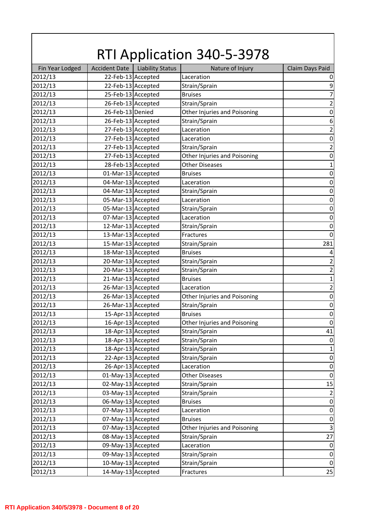|                 |                      |                         | <b>RTI Application 340-5-3978</b> |                           |
|-----------------|----------------------|-------------------------|-----------------------------------|---------------------------|
| Fin Year Lodged | <b>Accident Date</b> | <b>Liability Status</b> | Nature of Injury                  | Claim Days Paid           |
| 2012/13         | 22-Feb-13 Accepted   |                         | Laceration                        | 0                         |
| 2012/13         | 22-Feb-13 Accepted   |                         | Strain/Sprain                     | 9                         |
| 2012/13         |                      | 25-Feb-13 Accepted      | <b>Bruises</b>                    | $\overline{7}$            |
| 2012/13         |                      | 26-Feb-13 Accepted      | Strain/Sprain                     | $\mathbf 2$               |
| 2012/13         | 26-Feb-13 Denied     |                         | Other Injuries and Poisoning      | $\boldsymbol{0}$          |
| 2012/13         | 26-Feb-13 Accepted   |                         | Strain/Sprain                     | $\boldsymbol{6}$          |
| 2012/13         | 27-Feb-13 Accepted   |                         | Laceration                        | $\overline{2}$            |
| 2012/13         | 27-Feb-13 Accepted   |                         | Laceration                        | $\boldsymbol{0}$          |
| 2012/13         |                      | 27-Feb-13 Accepted      | Strain/Sprain                     | $\overline{2}$            |
| 2012/13         | 27-Feb-13 Accepted   |                         | Other Injuries and Poisoning      | $\boldsymbol{0}$          |
| 2012/13         | 28-Feb-13 Accepted   |                         | <b>Other Diseases</b>             | $\mathbf{1}$              |
| 2012/13         | 01-Mar-13 Accepted   |                         | <b>Bruises</b>                    | $\boldsymbol{0}$          |
| 2012/13         | 04-Mar-13 Accepted   |                         | Laceration                        | $\boldsymbol{0}$          |
| 2012/13         | 04-Mar-13 Accepted   |                         | Strain/Sprain                     | $\boldsymbol{0}$          |
| 2012/13         | 05-Mar-13 Accepted   |                         | Laceration                        | $\boldsymbol{0}$          |
| 2012/13         | 05-Mar-13 Accepted   |                         | Strain/Sprain                     | $\boldsymbol{0}$          |
| 2012/13         | 07-Mar-13 Accepted   |                         | Laceration                        | $\boldsymbol{0}$          |
| 2012/13         | 12-Mar-13 Accepted   |                         | Strain/Sprain                     | $\boldsymbol{0}$          |
| 2012/13         | 13-Mar-13 Accepted   |                         | Fractures                         | $\boldsymbol{0}$          |
| 2012/13         | 15-Mar-13 Accepted   |                         | Strain/Sprain                     | 281                       |
| 2012/13         | 18-Mar-13 Accepted   |                         | <b>Bruises</b>                    | $\pmb{4}$                 |
| 2012/13         | 20-Mar-13 Accepted   |                         | Strain/Sprain                     | $\overline{2}$            |
| 2012/13         | 20-Mar-13 Accepted   |                         | Strain/Sprain                     | $\overline{c}$            |
| 2012/13         | 21-Mar-13 Accepted   |                         | <b>Bruises</b>                    | $\mathbf 1$               |
| 2012/13         | 26-Mar-13 Accepted   |                         | Laceration                        | $\overline{2}$            |
| 2012/13         | 26-Mar-13 Accepted   |                         | Other Injuries and Poisoning      | $\boldsymbol{0}$          |
| 2012/13         | 26-Mar-13 Accepted   |                         | Strain/Sprain                     | $\mathbf 0$               |
| 2012/13         | 15-Apr-13 Accepted   |                         | <b>Bruises</b>                    | $\pmb{0}$                 |
| 2012/13         |                      | 16-Apr-13 Accepted      | Other Injuries and Poisoning      | $\boldsymbol{0}$          |
| 2012/13         |                      | 18-Apr-13 Accepted      | Strain/Sprain                     | 41                        |
| 2012/13         |                      | 18-Apr-13 Accepted      | Strain/Sprain                     | $\boldsymbol{0}$          |
| 2012/13         |                      | 18-Apr-13 Accepted      | Strain/Sprain                     | $\mathbf{1}$              |
| 2012/13         |                      | 22-Apr-13 Accepted      | Strain/Sprain                     | $\boldsymbol{0}$          |
| 2012/13         |                      | 26-Apr-13 Accepted      | Laceration                        | $\boldsymbol{0}$          |
| 2012/13         | 01-May-13 Accepted   |                         | <b>Other Diseases</b>             | $\boldsymbol{0}$          |
| 2012/13         | 02-May-13 Accepted   |                         | Strain/Sprain                     | 15                        |
| 2012/13         | 03-May-13 Accepted   |                         | Strain/Sprain                     | $\overline{2}$            |
| 2012/13         | 06-May-13 Accepted   |                         | <b>Bruises</b>                    | $\boldsymbol{0}$          |
| 2012/13         | 07-May-13 Accepted   |                         | Laceration                        | $\boldsymbol{0}$          |
| 2012/13         | 07-May-13 Accepted   |                         | <b>Bruises</b>                    | $\boldsymbol{0}$          |
| 2012/13         | 07-May-13 Accepted   |                         | Other Injuries and Poisoning      | $\ensuremath{\mathsf{3}}$ |
| 2012/13         | 08-May-13 Accepted   |                         | Strain/Sprain                     | 27                        |
| 2012/13         | 09-May-13 Accepted   |                         | Laceration                        | $\boldsymbol{0}$          |
| 2012/13         | 09-May-13 Accepted   |                         | Strain/Sprain                     | $\boldsymbol{0}$          |
| 2012/13         | 10-May-13 Accepted   |                         | Strain/Sprain                     | $\boldsymbol{0}$          |
| 2012/13         | 14-May-13 Accepted   |                         | Fractures                         | 25                        |
|                 |                      |                         |                                   |                           |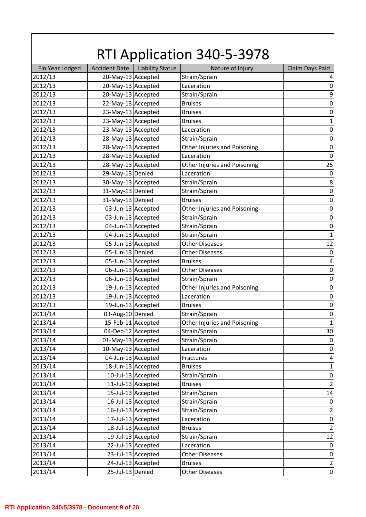|                 |                      |                         | <b>RTI Application 340-5-3978</b> |                                    |
|-----------------|----------------------|-------------------------|-----------------------------------|------------------------------------|
| Fin Year Lodged | <b>Accident Date</b> | <b>Liability Status</b> | Nature of Injury                  | Claim Days Paid                    |
| 2012/13         | 20-May-13 Accepted   |                         | Strain/Sprain                     | 4                                  |
| 2012/13         | 20-May-13 Accepted   |                         | Laceration                        | $\boldsymbol{0}$                   |
| 2012/13         | 20-May-13 Accepted   |                         | Strain/Sprain                     | $\boldsymbol{9}$                   |
| 2012/13         | 22-May-13 Accepted   |                         | <b>Bruises</b>                    | $\boldsymbol{0}$                   |
| 2012/13         | 23-May-13 Accepted   |                         | <b>Bruises</b>                    | $\boldsymbol{0}$                   |
| 2012/13         | 23-May-13 Accepted   |                         | <b>Bruises</b>                    | $\mathbf{1}$                       |
| 2012/13         | 23-May-13 Accepted   |                         | Laceration                        | $\boldsymbol{0}$                   |
| 2012/13         | 28-May-13 Accepted   |                         | Strain/Sprain                     | $\boldsymbol{0}$                   |
| 2012/13         | 28-May-13 Accepted   |                         | Other Injuries and Poisoning      | $\boldsymbol{0}$                   |
| 2012/13         | 28-May-13 Accepted   |                         | Laceration                        | $\boldsymbol{0}$                   |
| 2012/13         | 28-May-13 Accepted   |                         | Other Injuries and Poisoning      | 25                                 |
| 2012/13         | 29-May-13 Denied     |                         | Laceration                        | $\boldsymbol{0}$                   |
| 2012/13         | 30-May-13 Accepted   |                         | Strain/Sprain                     | 8                                  |
| 2012/13         | 31-May-13 Denied     |                         | Strain/Sprain                     | $\boldsymbol{0}$                   |
| 2012/13         | 31-May-13 Denied     |                         | <b>Bruises</b>                    | $\boldsymbol{0}$                   |
| 2012/13         |                      | 03-Jun-13 Accepted      | Other Injuries and Poisoning      | $\boldsymbol{0}$                   |
| 2012/13         |                      | 03-Jun-13 Accepted      | Strain/Sprain                     | $\boldsymbol{0}$                   |
| 2012/13         |                      | 04-Jun-13 Accepted      | Strain/Sprain                     | $\boldsymbol{0}$                   |
| 2012/13         |                      | 04-Jun-13 Accepted      | Strain/Sprain                     | $\mathbf{1}$                       |
| 2012/13         |                      | 05-Jun-13 Accepted      | <b>Other Diseases</b>             | 12                                 |
| 2012/13         | 05-Jun-13 Denied     |                         | <b>Other Diseases</b>             | $\mathbf 0$                        |
| 2012/13         |                      | 05-Jun-13 Accepted      | <b>Bruises</b>                    | $\pmb{4}$                          |
| 2012/13         |                      | 06-Jun-13 Accepted      | <b>Other Diseases</b>             | $\boldsymbol{0}$                   |
| 2012/13         |                      | 06-Jun-13 Accepted      | Strain/Sprain                     | $\boldsymbol{0}$                   |
| 2012/13         |                      | 19-Jun-13 Accepted      | Other Injuries and Poisoning      | $\boldsymbol{0}$                   |
| 2012/13         |                      | 19-Jun-13 Accepted      | Laceration                        | $\boldsymbol{0}$                   |
| 2012/13         |                      | 19-Jun-13 Accepted      | <b>Bruises</b>                    | $\mathbf 0$                        |
| 2013/14         | 03-Aug-10 Denied     |                         | Strain/Sprain                     | $\pmb{0}$                          |
| 2013/14         |                      | 15-Feb-11 Accepted      | Other Injuries and Poisoning      | $\mathbf{1}$                       |
| 2013/14         | 04-Dec-12 Accepted   |                         | Strain/Sprain                     | 30                                 |
| 2013/14         | 01-May-13 Accepted   |                         | Strain/Sprain                     | $\boldsymbol{0}$                   |
| 2013/14         | 10-May-13 Accepted   |                         | Laceration                        | $\boldsymbol{0}$                   |
| 2013/14         |                      | 04-Jun-13 Accepted      | Fractures                         | $\overline{\mathbf{4}}$            |
| 2013/14         |                      | 18-Jun-13 Accepted      | <b>Bruises</b>                    | $\mathbf 1$                        |
| 2013/14         |                      | 10-Jul-13 Accepted      | Strain/Sprain                     | $\pmb{0}$                          |
| 2013/14         |                      | 11-Jul-13 Accepted      | <b>Bruises</b>                    | $\overline{\mathbf{c}}$            |
| 2013/14         |                      | 15-Jul-13 Accepted      | Strain/Sprain                     | 14                                 |
| 2013/14         |                      | 16-Jul-13 Accepted      | Strain/Sprain                     | $\boldsymbol{0}$                   |
| 2013/14         |                      | 16-Jul-13 Accepted      | Strain/Sprain                     | $\mathbf 2$                        |
| 2013/14         |                      | 17-Jul-13 Accepted      | Laceration                        | $\boldsymbol{0}$                   |
| 2013/14         |                      | 18-Jul-13 Accepted      | <b>Bruises</b>                    |                                    |
| 2013/14         |                      | 19-Jul-13 Accepted      | Strain/Sprain                     | $\overline{2}$<br>12               |
| 2013/14         |                      | 22-Jul-13 Accepted      | Laceration                        | $\boldsymbol{0}$                   |
| 2013/14         |                      | 23-Jul-13 Accepted      | <b>Other Diseases</b>             | $\boldsymbol{0}$                   |
| 2013/14         |                      | 24-Jul-13 Accepted      | <b>Bruises</b>                    |                                    |
| 2013/14         | 25-Jul-13 Denied     |                         | <b>Other Diseases</b>             | $\overline{2}$<br>$\boldsymbol{0}$ |
|                 |                      |                         |                                   |                                    |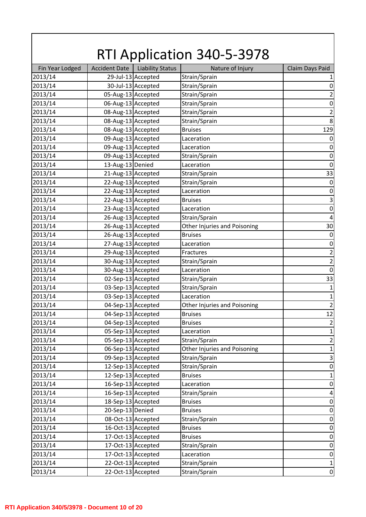|                 |                      |                         | <b>RTI Application 340-5-3978</b> |                           |
|-----------------|----------------------|-------------------------|-----------------------------------|---------------------------|
| Fin Year Lodged | <b>Accident Date</b> | <b>Liability Status</b> | Nature of Injury                  | Claim Days Paid           |
| 2013/14         |                      | 29-Jul-13 Accepted      | Strain/Sprain                     | $\mathbf{1}$              |
| 2013/14         |                      | 30-Jul-13 Accepted      | Strain/Sprain                     | $\boldsymbol{0}$          |
| 2013/14         | 05-Aug-13 Accepted   |                         | Strain/Sprain                     | $\mathbf 2$               |
| 2013/14         | 06-Aug-13 Accepted   |                         | Strain/Sprain                     | $\boldsymbol{0}$          |
| 2013/14         | 08-Aug-13 Accepted   |                         | Strain/Sprain                     | $\mathbf 2$               |
| 2013/14         | 08-Aug-13 Accepted   |                         | Strain/Sprain                     | 8                         |
| 2013/14         | 08-Aug-13 Accepted   |                         | <b>Bruises</b>                    | 129                       |
| 2013/14         | 09-Aug-13 Accepted   |                         | Laceration                        | $\boldsymbol{0}$          |
| 2013/14         | 09-Aug-13 Accepted   |                         | Laceration                        | $\boldsymbol{0}$          |
| 2013/14         | 09-Aug-13 Accepted   |                         | Strain/Sprain                     | $\boldsymbol{0}$          |
| 2013/14         | 13-Aug-13 Denied     |                         | Laceration                        | $\mathbf 0$               |
| 2013/14         | 21-Aug-13 Accepted   |                         | Strain/Sprain                     | 33                        |
| 2013/14         | 22-Aug-13 Accepted   |                         | Strain/Sprain                     | $\boldsymbol{0}$          |
| 2013/14         | 22-Aug-13 Accepted   |                         | Laceration                        | $\boldsymbol{0}$          |
| 2013/14         | 22-Aug-13 Accepted   |                         | <b>Bruises</b>                    | $\overline{\mathbf{3}}$   |
| 2013/14         | 23-Aug-13 Accepted   |                         | Laceration                        | $\boldsymbol{0}$          |
| 2013/14         | 26-Aug-13 Accepted   |                         | Strain/Sprain                     | $\pmb{4}$                 |
| 2013/14         | 26-Aug-13 Accepted   |                         | Other Injuries and Poisoning      | 30                        |
| 2013/14         | 26-Aug-13 Accepted   |                         | <b>Bruises</b>                    | $\boldsymbol{0}$          |
| 2013/14         | 27-Aug-13 Accepted   |                         |                                   | $\boldsymbol{0}$          |
| 2013/14         | 29-Aug-13 Accepted   |                         | Laceration<br>Fractures           | $\mathbf 2$               |
|                 |                      |                         |                                   | $\mathbf 2$               |
| 2013/14         | 30-Aug-13 Accepted   |                         | Strain/Sprain                     |                           |
| 2013/14         | 30-Aug-13 Accepted   |                         | Laceration                        | $\boldsymbol{0}$          |
| 2013/14         | 02-Sep-13 Accepted   |                         | Strain/Sprain                     | 33                        |
| 2013/14         | 03-Sep-13 Accepted   |                         | Strain/Sprain                     | $\mathbf 1$               |
| 2013/14         | 03-Sep-13 Accepted   |                         | Laceration                        | $\mathbf 1$               |
| 2013/14         | 04-Sep-13 Accepted   |                         | Other Injuries and Poisoning      | $\overline{2}$            |
| 2013/14         | 04-Sep-13 Accepted   |                         | <b>Bruises</b>                    | 12                        |
| 2013/14         | 04-Sep-13 Accepted   |                         | <b>Bruises</b>                    | $\mathbf 2$               |
| 2013/14         | 05-Sep-13 Accepted   |                         | Laceration                        | $\mathbf 1$               |
| 2013/14         | 05-Sep-13 Accepted   |                         | Strain/Sprain                     | $\overline{\mathbf{c}}$   |
| 2013/14         |                      | 06-Sep-13 Accepted      | Other Injuries and Poisoning      | $\mathbf 1$               |
| 2013/14         |                      | 09-Sep-13 Accepted      | Strain/Sprain                     | $\ensuremath{\mathsf{3}}$ |
| 2013/14         |                      | 12-Sep-13 Accepted      | Strain/Sprain                     | $\boldsymbol{0}$          |
| 2013/14         |                      | 12-Sep-13 Accepted      | <b>Bruises</b>                    | $\mathbf 1$               |
| 2013/14         |                      | 16-Sep-13 Accepted      | Laceration                        | $\pmb{0}$                 |
| 2013/14         |                      | 16-Sep-13 Accepted      | Strain/Sprain                     | $\overline{\mathbf{4}}$   |
| 2013/14         |                      | 18-Sep-13 Accepted      | <b>Bruises</b>                    | $\boldsymbol{0}$          |
| 2013/14         | 20-Sep-13 Denied     |                         | <b>Bruises</b>                    | $\boldsymbol{0}$          |
| 2013/14         |                      | 08-Oct-13 Accepted      | Strain/Sprain                     | $\boldsymbol{0}$          |
| 2013/14         |                      | 16-Oct-13 Accepted      | <b>Bruises</b>                    | $\boldsymbol{0}$          |
| 2013/14         |                      | 17-Oct-13 Accepted      | <b>Bruises</b>                    | $\boldsymbol{0}$          |
| 2013/14         |                      | 17-Oct-13 Accepted      | Strain/Sprain                     | $\boldsymbol{0}$          |
| 2013/14         |                      | 17-Oct-13 Accepted      | Laceration                        | $\boldsymbol{0}$          |
| 2013/14         |                      | 22-Oct-13 Accepted      | Strain/Sprain                     | $\mathbf{1}$              |
| 2013/14         |                      | 22-Oct-13 Accepted      | Strain/Sprain                     | $\boldsymbol{0}$          |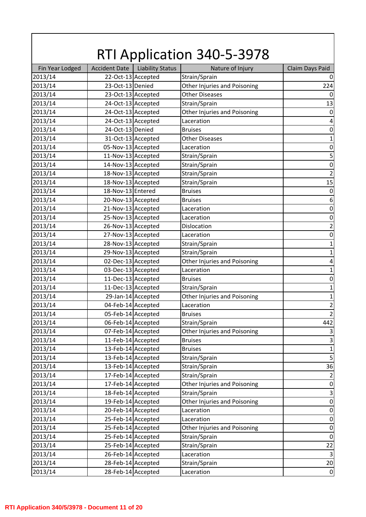|                 |                      |                         | <b>RTI Application 340-5-3978</b> |                  |
|-----------------|----------------------|-------------------------|-----------------------------------|------------------|
| Fin Year Lodged | <b>Accident Date</b> | <b>Liability Status</b> | Nature of Injury                  | Claim Days Paid  |
| 2013/14         |                      | 22-Oct-13 Accepted      | Strain/Sprain                     | $\pmb{0}$        |
| 2013/14         | 23-Oct-13 Denied     |                         | Other Injuries and Poisoning      | 224              |
| 2013/14         |                      | 23-Oct-13 Accepted      | <b>Other Diseases</b>             | 0                |
| 2013/14         |                      | 24-Oct-13 Accepted      | Strain/Sprain                     | 13               |
| 2013/14         |                      | 24-Oct-13 Accepted      | Other Injuries and Poisoning      | $\mathbf 0$      |
| 2013/14         |                      | 24-Oct-13 Accepted      | Laceration                        | $\pmb{4}$        |
| 2013/14         | 24-Oct-13 Denied     |                         | <b>Bruises</b>                    | $\boldsymbol{0}$ |
| 2013/14         |                      | 31-Oct-13 Accepted      | <b>Other Diseases</b>             | $\mathbf{1}$     |
| 2013/14         | 05-Nov-13 Accepted   |                         | Laceration                        | $\boldsymbol{0}$ |
| 2013/14         | 11-Nov-13 Accepted   |                         | Strain/Sprain                     | 5                |
| 2013/14         | 14-Nov-13 Accepted   |                         | Strain/Sprain                     | $\boldsymbol{0}$ |
| 2013/14         | 18-Nov-13 Accepted   |                         | Strain/Sprain                     | $\mathbf 2$      |
| 2013/14         | 18-Nov-13 Accepted   |                         | Strain/Sprain                     | 15               |
| 2013/14         | 18-Nov-13 Entered    |                         | <b>Bruises</b>                    | $\boldsymbol{0}$ |
| 2013/14         | 20-Nov-13 Accepted   |                         | <b>Bruises</b>                    | $\boldsymbol{6}$ |
| 2013/14         | 21-Nov-13 Accepted   |                         | Laceration                        | $\boldsymbol{0}$ |
| 2013/14         | 25-Nov-13 Accepted   |                         | Laceration                        | $\boldsymbol{0}$ |
| 2013/14         | 26-Nov-13 Accepted   |                         | Dislocation                       | $\mathbf 2$      |
| 2013/14         | 27-Nov-13 Accepted   |                         | Laceration                        | $\boldsymbol{0}$ |
| 2013/14         | 28-Nov-13 Accepted   |                         | Strain/Sprain                     | $\mathbf 1$      |
| 2013/14         | 29-Nov-13 Accepted   |                         | Strain/Sprain                     | $\mathbf 1$      |
| 2013/14         | 02-Dec-13 Accepted   |                         | Other Injuries and Poisoning      | $\sqrt{4}$       |
| 2013/14         | 03-Dec-13 Accepted   |                         | Laceration                        | $\mathbf 1$      |
| 2013/14         | 11-Dec-13 Accepted   |                         | <b>Bruises</b>                    | $\boldsymbol{0}$ |
| 2013/14         | 11-Dec-13 Accepted   |                         | Strain/Sprain                     | $\mathbf 1$      |
| 2013/14         |                      | 29-Jan-14 Accepted      | Other Injuries and Poisoning      | $\mathbf 1$      |
| 2013/14         | 04-Feb-14 Accepted   |                         | Laceration                        | $\overline{2}$   |
| 2013/14         | 05-Feb-14 Accepted   |                         | <b>Bruises</b>                    | $\overline{2}$   |
| 2013/14         |                      | 06-Feb-14 Accepted      | Strain/Sprain                     | 442              |
| 2013/14         |                      | 07-Feb-14 Accepted      | Other Injuries and Poisoning      | $\mathbf{3}$     |
| 2013/14         |                      | 11-Feb-14 Accepted      | <b>Bruises</b>                    | $\mathsf 3$      |
| 2013/14         |                      | 13-Feb-14 Accepted      | <b>Bruises</b>                    | $\mathbf 1$      |
| 2013/14         |                      | 13-Feb-14 Accepted      | Strain/Sprain                     | $\mathsf S$      |
| 2013/14         |                      | 13-Feb-14 Accepted      | Strain/Sprain                     | 36               |
| 2013/14         |                      | 17-Feb-14 Accepted      | Strain/Sprain                     | $\mathbf 2$      |
| 2013/14         |                      | 17-Feb-14 Accepted      | Other Injuries and Poisoning      | $\boldsymbol{0}$ |
| 2013/14         |                      | 18-Feb-14 Accepted      | Strain/Sprain                     | $\mathsf 3$      |
| 2013/14         |                      | 19-Feb-14 Accepted      | Other Injuries and Poisoning      | $\boldsymbol{0}$ |
|                 |                      |                         |                                   |                  |
| 2013/14         |                      | 20-Feb-14 Accepted      | Laceration                        | $\boldsymbol{0}$ |
| 2013/14         |                      | 25-Feb-14 Accepted      | Laceration                        | $\boldsymbol{0}$ |
| 2013/14         |                      | 25-Feb-14 Accepted      | Other Injuries and Poisoning      | $\boldsymbol{0}$ |
| 2013/14         |                      | 25-Feb-14 Accepted      | Strain/Sprain                     | $\boldsymbol{0}$ |
| 2013/14         |                      | 25-Feb-14 Accepted      | Strain/Sprain                     | 22               |
| 2013/14         |                      | 26-Feb-14 Accepted      | Laceration                        | $\mathsf 3$      |
| 2013/14         |                      | 28-Feb-14 Accepted      | Strain/Sprain                     | 20               |
| 2013/14         |                      | 28-Feb-14 Accepted      | Laceration                        | $\boldsymbol{0}$ |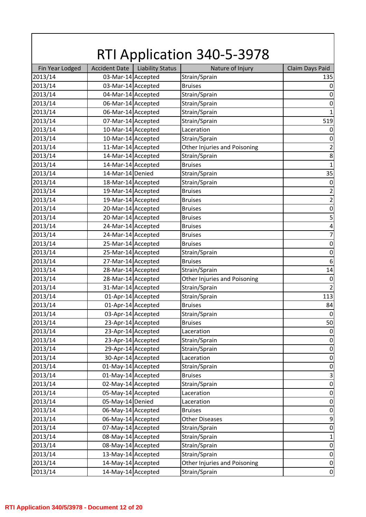| <b>RTI Application 340-5-3978</b> |                                          |                         |                              |                           |
|-----------------------------------|------------------------------------------|-------------------------|------------------------------|---------------------------|
| Fin Year Lodged                   | <b>Accident Date</b>                     | <b>Liability Status</b> | Nature of Injury             | Claim Days Paid           |
| 2013/14                           | 03-Mar-14 Accepted                       |                         | Strain/Sprain                | 135                       |
| 2013/14                           | 03-Mar-14 Accepted                       |                         | <b>Bruises</b>               | $\boldsymbol{0}$          |
| 2013/14                           | 04-Mar-14 Accepted                       |                         | Strain/Sprain                | $\boldsymbol{0}$          |
| 2013/14                           | 06-Mar-14 Accepted                       |                         | Strain/Sprain                | $\boldsymbol{0}$          |
| 2013/14                           | 06-Mar-14 Accepted                       |                         | Strain/Sprain                | $\mathbf{1}$              |
| 2013/14                           | 07-Mar-14 Accepted                       |                         | Strain/Sprain                | 519                       |
| 2013/14                           | 10-Mar-14 Accepted                       |                         | Laceration                   | $\boldsymbol{0}$          |
| 2013/14                           | 10-Mar-14 Accepted                       |                         | Strain/Sprain                | $\boldsymbol{0}$          |
| 2013/14                           | 11-Mar-14 Accepted                       |                         | Other Injuries and Poisoning | $\mathbf 2$               |
| 2013/14                           | 14-Mar-14 Accepted                       |                         | Strain/Sprain                | $\bf 8$                   |
| 2013/14                           | 14-Mar-14 Accepted                       |                         | <b>Bruises</b>               | $\mathbf{1}$              |
| 2013/14                           | 14-Mar-14 Denied                         |                         | Strain/Sprain                | 35                        |
| 2013/14                           | 18-Mar-14 Accepted                       |                         | Strain/Sprain                | $\boldsymbol{0}$          |
| 2013/14                           | 19-Mar-14 Accepted                       |                         | <b>Bruises</b>               | $\mathbf 2$               |
| 2013/14                           | 19-Mar-14 Accepted                       |                         | <b>Bruises</b>               | $\overline{c}$            |
| 2013/14                           | 20-Mar-14 Accepted                       |                         | <b>Bruises</b>               | $\boldsymbol{0}$          |
| 2013/14                           | 20-Mar-14 Accepted                       |                         | <b>Bruises</b>               | 5                         |
| 2013/14                           | 24-Mar-14 Accepted                       |                         | <b>Bruises</b>               | $\overline{\mathbf{4}}$   |
| 2013/14                           | 24-Mar-14 Accepted                       |                         | <b>Bruises</b>               | $\overline{7}$            |
| 2013/14                           | 25-Mar-14 Accepted                       |                         | <b>Bruises</b>               | $\boldsymbol{0}$          |
| 2013/14                           | 25-Mar-14 Accepted                       |                         | Strain/Sprain                | $\boldsymbol{0}$          |
| 2013/14                           | 27-Mar-14 Accepted                       |                         | <b>Bruises</b>               | $\boldsymbol{6}$          |
| 2013/14                           | 28-Mar-14 Accepted                       |                         | Strain/Sprain                | 14                        |
| 2013/14                           | 28-Mar-14 Accepted                       |                         | Other Injuries and Poisoning | $\boldsymbol{0}$          |
| 2013/14                           | 31-Mar-14 Accepted                       |                         | Strain/Sprain                | $\overline{2}$            |
| 2013/14                           | 01-Apr-14 Accepted                       |                         | Strain/Sprain                | 113                       |
| 2013/14                           | 01-Apr-14 Accepted                       |                         | <b>Bruises</b>               | 84                        |
| 2013/14                           | 03-Apr-14 Accepted                       |                         | Strain/Sprain                | $\boldsymbol{0}$          |
| 2013/14                           | 23-Apr-14 Accepted                       |                         | <b>Bruises</b>               | 50                        |
| 2013/14                           |                                          | 23-Apr-14 Accepted      | Laceration                   | $\boldsymbol{0}$          |
| 2013/14                           | 23-Apr-14 Accepted                       |                         | Strain/Sprain                | $\boldsymbol{0}$          |
| 2013/14                           |                                          | 29-Apr-14 Accepted      | Strain/Sprain                | $\boldsymbol{0}$          |
| 2013/14                           | 30-Apr-14 Accepted                       |                         | Laceration                   | $\pmb{0}$                 |
| 2013/14                           | 01-May-14 Accepted                       |                         | Strain/Sprain                | $\boldsymbol{0}$          |
| 2013/14                           | 01-May-14 Accepted                       |                         | <b>Bruises</b>               | $\ensuremath{\mathsf{3}}$ |
| 2013/14                           | 02-May-14 Accepted                       |                         | Strain/Sprain                | $\boldsymbol{0}$          |
| 2013/14                           | 05-May-14 Accepted                       |                         | Laceration                   | $\pmb{0}$                 |
| 2013/14                           | 05-May-14 Denied                         |                         | Laceration                   | $\boldsymbol{0}$          |
|                                   |                                          |                         | <b>Bruises</b>               |                           |
| 2013/14                           | 06-May-14 Accepted<br>06-May-14 Accepted |                         |                              | $\boldsymbol{0}$          |
| 2013/14                           |                                          |                         | <b>Other Diseases</b>        | $\boldsymbol{9}$          |
| 2013/14                           | 07-May-14 Accepted                       |                         | Strain/Sprain                | $\boldsymbol{0}$          |
| 2013/14                           | 08-May-14 Accepted                       |                         | Strain/Sprain                | $\mathbf 1$               |
| 2013/14                           | 08-May-14 Accepted                       |                         | Strain/Sprain                | $\boldsymbol{0}$          |
| 2013/14                           | 13-May-14 Accepted                       |                         | Strain/Sprain                | $\boldsymbol{0}$          |
| 2013/14                           | 14-May-14 Accepted                       |                         | Other Injuries and Poisoning | $\pmb{0}$                 |
| 2013/14                           | 14-May-14 Accepted                       |                         | Strain/Sprain                | $\boldsymbol{0}$          |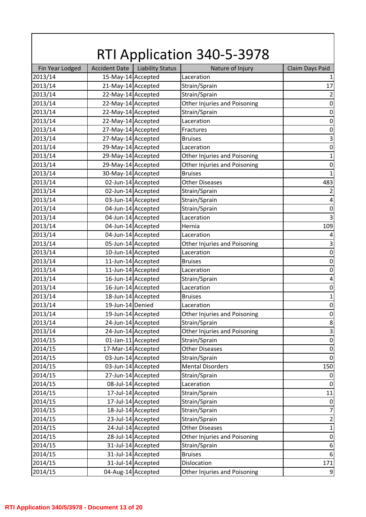| <b>RTI Application 340-5-3978</b> |                      |                         |                              |                         |  |
|-----------------------------------|----------------------|-------------------------|------------------------------|-------------------------|--|
| Fin Year Lodged                   | <b>Accident Date</b> | <b>Liability Status</b> | Nature of Injury             | Claim Days Paid         |  |
| 2013/14                           | 15-May-14 Accepted   |                         | Laceration                   | $\mathbf{1}$            |  |
| 2013/14                           | 21-May-14 Accepted   |                         | Strain/Sprain                | 17                      |  |
| 2013/14                           | 22-May-14 Accepted   |                         | Strain/Sprain                | $\mathbf 2$             |  |
| 2013/14                           | 22-May-14 Accepted   |                         | Other Injuries and Poisoning | $\mathbf 0$             |  |
| 2013/14                           | 22-May-14 Accepted   |                         | Strain/Sprain                | $\pmb{0}$               |  |
| 2013/14                           | 22-May-14 Accepted   |                         | Laceration                   | $\boldsymbol{0}$        |  |
| 2013/14                           | 27-May-14 Accepted   |                         | Fractures                    | $\boldsymbol{0}$        |  |
| 2013/14                           | 27-May-14 Accepted   |                         | <b>Bruises</b>               | $\mathsf 3$             |  |
| 2013/14                           | 29-May-14 Accepted   |                         | Laceration                   | $\boldsymbol{0}$        |  |
| 2013/14                           | 29-May-14 Accepted   |                         | Other Injuries and Poisoning | $\mathbf{1}$            |  |
| 2013/14                           | 29-May-14 Accepted   |                         | Other Injuries and Poisoning | $\boldsymbol{0}$        |  |
| 2013/14                           | 30-May-14 Accepted   |                         | <b>Bruises</b>               | $\mathbf{1}$            |  |
| 2013/14                           |                      | 02-Jun-14 Accepted      | <b>Other Diseases</b>        | 483                     |  |
| 2013/14                           |                      | 02-Jun-14 Accepted      | Strain/Sprain                | $\overline{2}$          |  |
| 2013/14                           |                      | 03-Jun-14 Accepted      | Strain/Sprain                | $\pmb{4}$               |  |
| 2013/14                           |                      | 04-Jun-14 Accepted      | Strain/Sprain                | $\boldsymbol{0}$        |  |
| 2013/14                           |                      | 04-Jun-14 Accepted      | Laceration                   | $\mathbf{3}$            |  |
| 2013/14                           |                      | 04-Jun-14 Accepted      | Hernia                       | 109                     |  |
| 2013/14                           |                      | 04-Jun-14 Accepted      | Laceration                   | $\overline{4}$          |  |
| 2013/14                           |                      | 05-Jun-14 Accepted      | Other Injuries and Poisoning | $\mathsf 3$             |  |
| 2013/14                           |                      | 10-Jun-14 Accepted      | Laceration                   | $\mathbf 0$             |  |
| 2013/14                           |                      | 11-Jun-14 Accepted      | <b>Bruises</b>               | $\boldsymbol{0}$        |  |
| 2013/14                           |                      | 11-Jun-14 Accepted      | Laceration                   | $\boldsymbol{0}$        |  |
| 2013/14                           |                      | 16-Jun-14 Accepted      | Strain/Sprain                | $\overline{\mathbf{4}}$ |  |
| 2013/14                           |                      | 16-Jun-14 Accepted      | Laceration                   | $\pmb{0}$               |  |
| 2013/14                           |                      | 18-Jun-14 Accepted      | <b>Bruises</b>               | $\mathbf 1$             |  |
| 2013/14                           | 19-Jun-14 Denied     |                         | Laceration                   | $\mathbf 0$             |  |
| 2013/14                           |                      | 19-Jun-14 Accepted      | Other Injuries and Poisoning | $\boldsymbol{0}$        |  |
| 2013/14                           |                      | 24-Jun-14 Accepted      | Strain/Sprain                | 8                       |  |
| 2013/14                           |                      | 24-Jun-14 Accepted      | Other Injuries and Poisoning | $\mathsf 3$             |  |
| 2014/15                           |                      | 01-Jan-11 Accepted      | Strain/Sprain                | $\boldsymbol{0}$        |  |
| 2014/15                           | 17-Mar-14 Accepted   |                         | <b>Other Diseases</b>        | $\boldsymbol{0}$        |  |
| 2014/15                           |                      | 03-Jun-14 Accepted      | Strain/Sprain                | $\boldsymbol{0}$        |  |
| 2014/15                           |                      | 03-Jun-14 Accepted      | <b>Mental Disorders</b>      | 150                     |  |
| 2014/15                           |                      | 27-Jun-14 Accepted      | Strain/Sprain                | $\pmb{0}$               |  |
| 2014/15                           |                      | 08-Jul-14 Accepted      | Laceration                   | $\boldsymbol{0}$        |  |
| 2014/15                           |                      | 17-Jul-14 Accepted      | Strain/Sprain                | 11                      |  |
| 2014/15                           |                      | 17-Jul-14 Accepted      | Strain/Sprain                | $\boldsymbol{0}$        |  |
| 2014/15                           |                      | 18-Jul-14 Accepted      | Strain/Sprain                | $\overline{7}$          |  |
| 2014/15                           |                      | 23-Jul-14 Accepted      | Strain/Sprain                | $\overline{\mathbf{c}}$ |  |
| 2014/15                           |                      | 24-Jul-14 Accepted      | <b>Other Diseases</b>        | $\mathbf{1}$            |  |
| 2014/15                           |                      | 28-Jul-14 Accepted      | Other Injuries and Poisoning | $\boldsymbol{0}$        |  |
| 2014/15                           |                      | 31-Jul-14 Accepted      | Strain/Sprain                | $\,6\,$                 |  |
| 2014/15                           |                      | 31-Jul-14 Accepted      | <b>Bruises</b>               | $\boldsymbol{6}$        |  |
| 2014/15                           |                      | 31-Jul-14 Accepted      | Dislocation                  | 171                     |  |
| 2014/15                           | 04-Aug-14 Accepted   |                         | Other Injuries and Poisoning | $\boldsymbol{9}$        |  |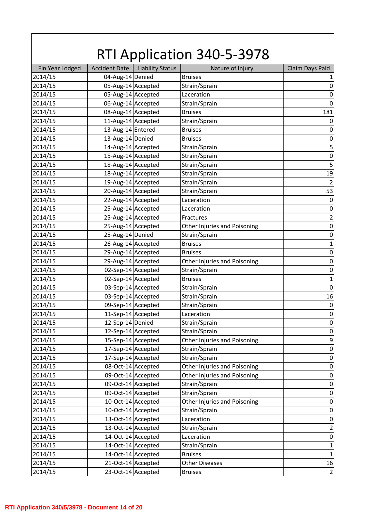|                 |                      |                         | <b>RTI Application 340-5-3978</b> |                         |
|-----------------|----------------------|-------------------------|-----------------------------------|-------------------------|
| Fin Year Lodged | <b>Accident Date</b> | <b>Liability Status</b> | Nature of Injury                  | Claim Days Paid         |
| 2014/15         | 04-Aug-14 Denied     |                         | <b>Bruises</b>                    | 1                       |
| 2014/15         | 05-Aug-14 Accepted   |                         | Strain/Sprain                     | $\boldsymbol{0}$        |
| 2014/15         | 05-Aug-14 Accepted   |                         | Laceration                        | $\boldsymbol{0}$        |
| 2014/15         | 06-Aug-14 Accepted   |                         | Strain/Sprain                     | $\mathbf 0$             |
| 2014/15         | 08-Aug-14 Accepted   |                         | <b>Bruises</b>                    | 181                     |
| 2014/15         | 11-Aug-14 Accepted   |                         | Strain/Sprain                     | $\boldsymbol{0}$        |
| 2014/15         | 13-Aug-14 Entered    |                         | <b>Bruises</b>                    | $\boldsymbol{0}$        |
| 2014/15         | 13-Aug-14 Denied     |                         | <b>Bruises</b>                    | $\boldsymbol{0}$        |
| 2014/15         | 14-Aug-14 Accepted   |                         | Strain/Sprain                     | 5                       |
| 2014/15         | 15-Aug-14 Accepted   |                         | Strain/Sprain                     | $\boldsymbol{0}$        |
| 2014/15         | 18-Aug-14 Accepted   |                         | Strain/Sprain                     | 5                       |
| 2014/15         | 18-Aug-14 Accepted   |                         | Strain/Sprain                     | 19                      |
| 2014/15         | 19-Aug-14 Accepted   |                         | Strain/Sprain                     | $\overline{2}$          |
| 2014/15         | 20-Aug-14 Accepted   |                         | Strain/Sprain                     | 53                      |
| 2014/15         | 22-Aug-14 Accepted   |                         | Laceration                        | $\boldsymbol{0}$        |
| 2014/15         | 25-Aug-14 Accepted   |                         | Laceration                        | $\boldsymbol{0}$        |
| 2014/15         | 25-Aug-14 Accepted   |                         | Fractures                         | $\overline{\mathbf{c}}$ |
| 2014/15         | 25-Aug-14 Accepted   |                         | Other Injuries and Poisoning      | $\boldsymbol{0}$        |
| 2014/15         | 25-Aug-14 Denied     |                         | Strain/Sprain                     | $\boldsymbol{0}$        |
| 2014/15         | 26-Aug-14 Accepted   |                         | <b>Bruises</b>                    | $\mathbf{1}$            |
| 2014/15         | 29-Aug-14 Accepted   |                         | <b>Bruises</b>                    | $\mathbf 0$             |
| 2014/15         | 29-Aug-14 Accepted   |                         | Other Injuries and Poisoning      | $\boldsymbol{0}$        |
| 2014/15         | 02-Sep-14 Accepted   |                         | Strain/Sprain                     | $\boldsymbol{0}$        |
| 2014/15         | 02-Sep-14 Accepted   |                         | <b>Bruises</b>                    | $\mathbf 1$             |
| 2014/15         | 03-Sep-14 Accepted   |                         | Strain/Sprain                     | $\mathbf 0$             |
| 2014/15         | 03-Sep-14 Accepted   |                         | Strain/Sprain                     | 16                      |
| 2014/15         | 09-Sep-14 Accepted   |                         | Strain/Sprain                     | $\mathbf 0$             |
| 2014/15         | 11-Sep-14 Accepted   |                         | Laceration                        | $\pmb{0}$               |
| 2014/15         | 12-Sep-14 Denied     |                         | Strain/Sprain                     | $\boldsymbol{0}$        |
| 2014/15         | 12-Sep-14 Accepted   |                         | Strain/Sprain                     | $\boldsymbol{0}$        |
| 2014/15         | 15-Sep-14 Accepted   |                         | Other Injuries and Poisoning      | 9                       |
| 2014/15         | 17-Sep-14 Accepted   |                         | Strain/Sprain                     | $\boldsymbol{0}$        |
| 2014/15         | 17-Sep-14 Accepted   |                         | Strain/Sprain                     | $\boldsymbol{0}$        |
| 2014/15         | 08-Oct-14 Accepted   |                         | Other Injuries and Poisoning      | $\boldsymbol{0}$        |
| 2014/15         | 09-Oct-14 Accepted   |                         | Other Injuries and Poisoning      | $\boldsymbol{0}$        |
| 2014/15         | 09-Oct-14 Accepted   |                         | Strain/Sprain                     | $\boldsymbol{0}$        |
| 2014/15         | 09-Oct-14 Accepted   |                         | Strain/Sprain                     | $\boldsymbol{0}$        |
| 2014/15         | 10-Oct-14 Accepted   |                         | Other Injuries and Poisoning      | $\boldsymbol{0}$        |
| 2014/15         | 10-Oct-14 Accepted   |                         | Strain/Sprain                     | $\boldsymbol{0}$        |
| 2014/15         | 13-Oct-14 Accepted   |                         | Laceration                        | $\boldsymbol{0}$        |
| 2014/15         | 13-Oct-14 Accepted   |                         | Strain/Sprain                     | $\overline{\mathbf{c}}$ |
| 2014/15         | 14-Oct-14 Accepted   |                         | Laceration                        | $\boldsymbol{0}$        |
| 2014/15         | 14-Oct-14 Accepted   |                         | Strain/Sprain                     | $\mathbf 1$             |
| 2014/15         | 14-Oct-14 Accepted   |                         | <b>Bruises</b>                    | $\mathbf 1$             |
| 2014/15         | 21-Oct-14 Accepted   |                         | <b>Other Diseases</b>             | 16                      |
| 2014/15         | 23-Oct-14 Accepted   |                         | <b>Bruises</b>                    | $\mathbf 2$             |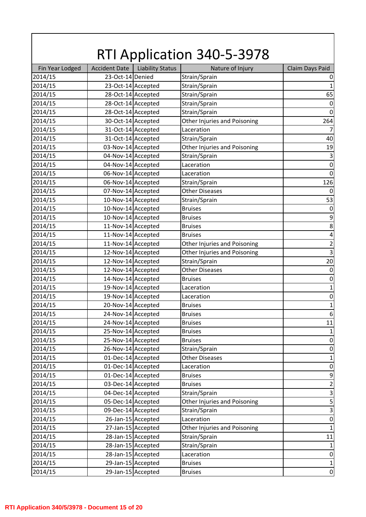|                 |                      |                         | <b>RTI Application 340-5-3978</b> |                  |
|-----------------|----------------------|-------------------------|-----------------------------------|------------------|
| Fin Year Lodged | <b>Accident Date</b> | <b>Liability Status</b> | Nature of Injury                  | Claim Days Paid  |
| 2014/15         | 23-Oct-14 Denied     |                         | Strain/Sprain                     | 0                |
| 2014/15         | 23-Oct-14 Accepted   |                         | Strain/Sprain                     | 1                |
| 2014/15         | 28-Oct-14 Accepted   |                         | Strain/Sprain                     | 65               |
| 2014/15         | 28-Oct-14 Accepted   |                         | Strain/Sprain                     | 0                |
| 2014/15         | 28-Oct-14 Accepted   |                         | Strain/Sprain                     | $\Omega$         |
| 2014/15         | 30-Oct-14 Accepted   |                         | Other Injuries and Poisoning      | 264              |
| 2014/15         | 31-Oct-14 Accepted   |                         | Laceration                        | 7                |
| 2014/15         | 31-Oct-14 Accepted   |                         | Strain/Sprain                     | 40               |
| 2014/15         | 03-Nov-14 Accepted   |                         | Other Injuries and Poisoning      | 19               |
| 2014/15         | 04-Nov-14 Accepted   |                         | Strain/Sprain                     | $\overline{3}$   |
| 2014/15         | 04-Nov-14 Accepted   |                         | Laceration                        | $\boldsymbol{0}$ |
| 2014/15         | 06-Nov-14 Accepted   |                         | Laceration                        | $\Omega$         |
| 2014/15         | 06-Nov-14 Accepted   |                         | Strain/Sprain                     | 126              |
| 2014/15         | 07-Nov-14 Accepted   |                         | <b>Other Diseases</b>             | 0                |
| 2014/15         | 10-Nov-14 Accepted   |                         | Strain/Sprain                     | 53               |
| 2014/15         | 10-Nov-14 Accepted   |                         | <b>Bruises</b>                    | 0                |
| 2014/15         | 10-Nov-14 Accepted   |                         | <b>Bruises</b>                    | 9                |
| 2014/15         | 11-Nov-14 Accepted   |                         | <b>Bruises</b>                    | 8                |
| 2014/15         | 11-Nov-14 Accepted   |                         | <b>Bruises</b>                    | 4                |
| 2014/15         | 11-Nov-14 Accepted   |                         | Other Injuries and Poisoning      | $\overline{c}$   |
| 2014/15         | 12-Nov-14 Accepted   |                         | Other Injuries and Poisoning      | 3                |
| 2014/15         | 12-Nov-14 Accepted   |                         | Strain/Sprain                     | 20               |
| 2014/15         | 12-Nov-14 Accepted   |                         | <b>Other Diseases</b>             | 0                |
| 2014/15         | 14-Nov-14 Accepted   |                         | <b>Bruises</b>                    | $\boldsymbol{0}$ |
| 2014/15         | 19-Nov-14 Accepted   |                         | Laceration                        | 1                |
| 2014/15         | 19-Nov-14 Accepted   |                         | Laceration                        | $\boldsymbol{0}$ |
| 2014/15         | 20-Nov-14 Accepted   |                         | <b>Bruises</b>                    | $\mathbf{1}$     |
| 2014/15         | 24-Nov-14 Accepted   |                         | <b>Bruises</b>                    | $6\phantom{1}6$  |
| 2014/15         | 24-Nov-14 Accepted   |                         | <b>Bruises</b>                    | 11               |
| 2014/15         | 25-Nov-14 Accepted   |                         | <b>Bruises</b>                    |                  |
| 2014/15         | 25-Nov-14 Accepted   |                         | <b>Bruises</b>                    | $\boldsymbol{0}$ |
| 2014/15         | 26-Nov-14 Accepted   |                         | Strain/Sprain                     | $\boldsymbol{0}$ |
| 2014/15         | 01-Dec-14 Accepted   |                         | <b>Other Diseases</b>             | $\mathbf{1}$     |
| 2014/15         | 01-Dec-14 Accepted   |                         | Laceration                        | $\boldsymbol{0}$ |
| 2014/15         | 01-Dec-14 Accepted   |                         | <b>Bruises</b>                    | 9                |
| 2014/15         | 03-Dec-14 Accepted   |                         | <b>Bruises</b>                    | $\overline{2}$   |
| 2014/15         | 04-Dec-14 Accepted   |                         | Strain/Sprain                     | 3                |
| 2014/15         | 05-Dec-14 Accepted   |                         | Other Injuries and Poisoning      | 5                |
| 2014/15         | 09-Dec-14 Accepted   |                         | Strain/Sprain                     | $\overline{3}$   |
| 2014/15         | 26-Jan-15 Accepted   |                         | Laceration                        | $\mathbf 0$      |
| 2014/15         | 27-Jan-15 Accepted   |                         | Other Injuries and Poisoning      | $\mathbf{1}$     |
| 2014/15         | 28-Jan-15 Accepted   |                         | Strain/Sprain                     | 11               |
| 2014/15         |                      | 28-Jan-15 Accepted      | Strain/Sprain                     | 1                |
| 2014/15         |                      | 28-Jan-15 Accepted      | Laceration                        | $\pmb{0}$        |
| 2014/15         |                      | 29-Jan-15 Accepted      | <b>Bruises</b>                    | $\mathbf 1$      |
| 2014/15         |                      | 29-Jan-15 Accepted      | <b>Bruises</b>                    | $\mathbf 0$      |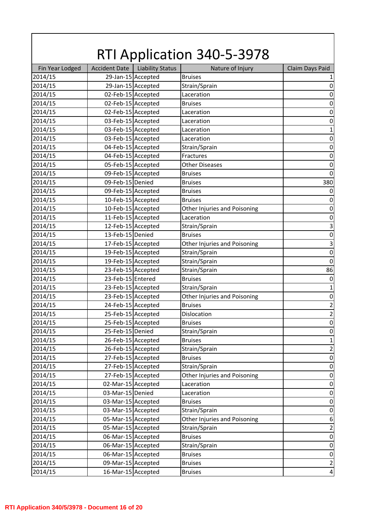| <b>RTI Application 340-5-3978</b> |                      |                         |                              |                  |  |
|-----------------------------------|----------------------|-------------------------|------------------------------|------------------|--|
| Fin Year Lodged                   | <b>Accident Date</b> | <b>Liability Status</b> | Nature of Injury             | Claim Days Paid  |  |
| 2014/15                           |                      | 29-Jan-15 Accepted      | <b>Bruises</b>               | 1                |  |
| 2014/15                           |                      | 29-Jan-15 Accepted      | Strain/Sprain                | $\boldsymbol{0}$ |  |
| 2014/15                           | 02-Feb-15 Accepted   |                         | Laceration                   | $\boldsymbol{0}$ |  |
| 2014/15                           | 02-Feb-15 Accepted   |                         | <b>Bruises</b>               | $\mathbf 0$      |  |
| 2014/15                           | 02-Feb-15 Accepted   |                         | Laceration                   | $\boldsymbol{0}$ |  |
| 2014/15                           | 03-Feb-15 Accepted   |                         | Laceration                   | $\boldsymbol{0}$ |  |
| 2014/15                           | 03-Feb-15 Accepted   |                         | Laceration                   | $\mathbf{1}$     |  |
| 2014/15                           | 03-Feb-15 Accepted   |                         | Laceration                   | $\boldsymbol{0}$ |  |
| 2014/15                           | 04-Feb-15 Accepted   |                         | Strain/Sprain                | $\mathbf 0$      |  |
| 2014/15                           | 04-Feb-15 Accepted   |                         | Fractures                    | $\boldsymbol{0}$ |  |
| 2014/15                           | 05-Feb-15 Accepted   |                         | <b>Other Diseases</b>        | $\boldsymbol{0}$ |  |
| 2014/15                           | 09-Feb-15 Accepted   |                         | <b>Bruises</b>               | $\mathbf 0$      |  |
| 2014/15                           | 09-Feb-15 Denied     |                         | <b>Bruises</b>               | 380              |  |
| 2014/15                           | 09-Feb-15 Accepted   |                         | <b>Bruises</b>               | 0                |  |
| 2014/15                           | 10-Feb-15 Accepted   |                         | <b>Bruises</b>               | $\boldsymbol{0}$ |  |
| 2014/15                           | 10-Feb-15 Accepted   |                         | Other Injuries and Poisoning | $\boldsymbol{0}$ |  |
| 2014/15                           | 11-Feb-15 Accepted   |                         | Laceration                   | $\boldsymbol{0}$ |  |
| 2014/15                           | 12-Feb-15 Accepted   |                         | Strain/Sprain                | $\mathsf 3$      |  |
| 2014/15                           | 13-Feb-15 Denied     |                         | <b>Bruises</b>               | $\boldsymbol{0}$ |  |
| 2014/15                           | 17-Feb-15 Accepted   |                         | Other Injuries and Poisoning | $\mathsf 3$      |  |
| 2014/15                           | 19-Feb-15 Accepted   |                         | Strain/Sprain                | $\mathbf 0$      |  |
| 2014/15                           | 19-Feb-15 Accepted   |                         | Strain/Sprain                | $\mathbf 0$      |  |
| 2014/15                           | 23-Feb-15 Accepted   |                         | Strain/Sprain                | 86               |  |
| 2014/15                           | 23-Feb-15 Entered    |                         | <b>Bruises</b>               | $\boldsymbol{0}$ |  |
| 2014/15                           | 23-Feb-15 Accepted   |                         | Strain/Sprain                | $\mathbf 1$      |  |
| 2014/15                           | 23-Feb-15 Accepted   |                         | Other Injuries and Poisoning | $\pmb{0}$        |  |
| 2014/15                           | 24-Feb-15 Accepted   |                         | <b>Bruises</b>               | $\overline{2}$   |  |
| 2014/15                           | 25-Feb-15 Accepted   |                         | Dislocation                  | $\mathbf 2$      |  |
| 2014/15                           | 25-Feb-15 Accepted   |                         | <b>Bruises</b>               | $\boldsymbol{0}$ |  |
| 2014/15                           | 25-Feb-15 Denied     |                         | Strain/Sprain                | $\boldsymbol{0}$ |  |
| 2014/15                           |                      | 26-Feb-15 Accepted      | <b>Bruises</b>               | $\mathbf 1$      |  |
| 2014/15                           | 26-Feb-15 Accepted   |                         | Strain/Sprain                | $\mathbf 2$      |  |
| 2014/15                           | 27-Feb-15 Accepted   |                         | <b>Bruises</b>               | $\boldsymbol{0}$ |  |
| 2014/15                           |                      | 27-Feb-15 Accepted      | Strain/Sprain                | $\boldsymbol{0}$ |  |
| 2014/15                           | 27-Feb-15 Accepted   |                         | Other Injuries and Poisoning | $\boldsymbol{0}$ |  |
| 2014/15                           | 02-Mar-15 Accepted   |                         | Laceration                   | $\boldsymbol{0}$ |  |
| 2014/15                           | 03-Mar-15 Denied     |                         | Laceration                   | $\boldsymbol{0}$ |  |
| 2014/15                           | 03-Mar-15 Accepted   |                         | <b>Bruises</b>               | $\boldsymbol{0}$ |  |
| 2014/15                           | 03-Mar-15 Accepted   |                         | Strain/Sprain                | $\boldsymbol{0}$ |  |
| 2014/15                           | 05-Mar-15 Accepted   |                         | Other Injuries and Poisoning | $\,6\,$          |  |
| 2014/15                           | 05-Mar-15 Accepted   |                         | Strain/Sprain                | $\overline{2}$   |  |
| 2014/15                           | 06-Mar-15 Accepted   |                         | <b>Bruises</b>               | $\boldsymbol{0}$ |  |
| 2014/15                           | 06-Mar-15 Accepted   |                         | Strain/Sprain                | $\boldsymbol{0}$ |  |
| 2014/15                           | 06-Mar-15 Accepted   |                         | <b>Bruises</b>               | $\boldsymbol{0}$ |  |
| 2014/15                           | 09-Mar-15 Accepted   |                         | <b>Bruises</b>               | $\overline{2}$   |  |
| 2014/15                           | 16-Mar-15 Accepted   |                         | <b>Bruises</b>               | $\overline{a}$   |  |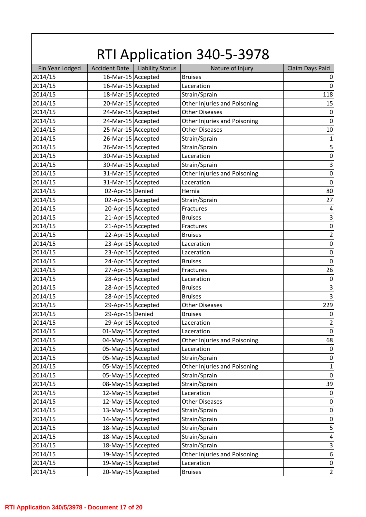|                    |                                          |                         | <b>RTI Application 340-5-3978</b>      |                             |
|--------------------|------------------------------------------|-------------------------|----------------------------------------|-----------------------------|
| Fin Year Lodged    | <b>Accident Date</b>                     | <b>Liability Status</b> | Nature of Injury                       | Claim Days Paid             |
| 2014/15            | 16-Mar-15 Accepted                       |                         | <b>Bruises</b>                         |                             |
| 2014/15            | 16-Mar-15 Accepted                       |                         | Laceration                             | $\Omega$                    |
| 2014/15            | 18-Mar-15 Accepted                       |                         | Strain/Sprain                          | 118                         |
| 2014/15            | 20-Mar-15 Accepted                       |                         | Other Injuries and Poisoning           | 15                          |
| 2014/15            | 24-Mar-15 Accepted                       |                         | <b>Other Diseases</b>                  | $\overline{0}$              |
| 2014/15            | 24-Mar-15 Accepted                       |                         | Other Injuries and Poisoning           | $\mathbf 0$                 |
| 2014/15            | 25-Mar-15 Accepted                       |                         | <b>Other Diseases</b>                  | 10                          |
| 2014/15            | 26-Mar-15 Accepted                       |                         | Strain/Sprain                          | $\mathbf{1}$                |
| 2014/15            | 26-Mar-15 Accepted                       |                         | Strain/Sprain                          | 5                           |
| 2014/15            | 30-Mar-15 Accepted                       |                         | Laceration                             | $\mathbf 0$                 |
| 2014/15            | 30-Mar-15 Accepted                       |                         | Strain/Sprain                          | 3                           |
| 2014/15            | 31-Mar-15 Accepted                       |                         | Other Injuries and Poisoning           | $\mathbf 0$                 |
| 2014/15            | 31-Mar-15 Accepted                       |                         | Laceration                             | $\mathbf 0$                 |
| 2014/15            | 02-Apr-15 Denied                         |                         | Hernia                                 | 80                          |
| 2014/15            | 02-Apr-15 Accepted                       |                         | Strain/Sprain                          | 27                          |
| 2014/15            | 20-Apr-15 Accepted                       |                         | Fractures                              | 4                           |
| 2014/15            | 21-Apr-15 Accepted                       |                         | <b>Bruises</b>                         | 3                           |
| 2014/15            | 21-Apr-15 Accepted                       |                         | Fractures                              | $\mathbf 0$                 |
| 2014/15            | 22-Apr-15 Accepted                       |                         | <b>Bruises</b>                         | 2                           |
| 2014/15            | 23-Apr-15 Accepted                       |                         | Laceration                             | $\boldsymbol{0}$            |
| 2014/15            | 23-Apr-15 Accepted                       |                         | Laceration                             | $\mathbf 0$                 |
| 2014/15            | 24-Apr-15 Accepted                       |                         | <b>Bruises</b>                         | $\overline{0}$              |
| 2014/15            | 27-Apr-15 Accepted                       |                         | Fractures                              | 26                          |
| 2014/15            | 28-Apr-15 Accepted                       |                         | Laceration                             | $\mathbf 0$                 |
| 2014/15            | 28-Apr-15 Accepted                       |                         | <b>Bruises</b>                         | 3                           |
| 2014/15            | 28-Apr-15 Accepted                       |                         | <b>Bruises</b>                         | $\overline{3}$              |
| 2014/15            | 29-Apr-15 Accepted                       |                         | <b>Other Diseases</b>                  | 229                         |
| 2014/15            | 29-Apr-15 Denied                         |                         | <b>Bruises</b>                         | $\mathbf 0$                 |
| 2014/15            | 29-Apr-15 Accepted                       |                         | Laceration                             | $\overline{2}$              |
| 2014/15            | 01-May-15 Accepted                       |                         | Laceration                             | $\mathbf 0$                 |
| 2014/15            | 04-May-15 Accepted                       |                         | Other Injuries and Poisoning           | 68                          |
| 2014/15            | 05-May-15 Accepted                       |                         | Laceration                             | 0                           |
| 2014/15            | 05-May-15 Accepted                       |                         | Strain/Sprain                          | 0                           |
| 2014/15            | 05-May-15 Accepted                       |                         | Other Injuries and Poisoning           | $\mathbf{1}$                |
| 2014/15            | 05-May-15 Accepted                       |                         | Strain/Sprain                          | $\mathbf 0$                 |
| 2014/15            | 08-May-15 Accepted                       |                         | Strain/Sprain                          | 39                          |
| 2014/15            | 12-May-15 Accepted                       |                         | Laceration                             | $\Omega$                    |
|                    |                                          |                         |                                        |                             |
| 2014/15<br>2014/15 | 12-May-15 Accepted<br>13-May-15 Accepted |                         | <b>Other Diseases</b><br>Strain/Sprain | 0<br>$\boldsymbol{0}$       |
|                    |                                          |                         |                                        |                             |
| 2014/15            | 14-May-15 Accepted                       |                         | Strain/Sprain                          | $\boldsymbol{0}$            |
| 2014/15            | 18-May-15 Accepted                       |                         | Strain/Sprain                          | 5                           |
| 2014/15            | 18-May-15 Accepted                       |                         | Strain/Sprain                          | $\overline{a}$              |
| 2014/15            | 18-May-15 Accepted                       |                         | Strain/Sprain                          | $\overline{3}$              |
| 2014/15            | 19-May-15 Accepted                       |                         | Other Injuries and Poisoning           | $\boldsymbol{6}$            |
| 2014/15            | 19-May-15 Accepted                       |                         | Laceration                             | $\pmb{0}$<br>$\overline{2}$ |
| 2014/15            | 20-May-15 Accepted                       |                         | <b>Bruises</b>                         |                             |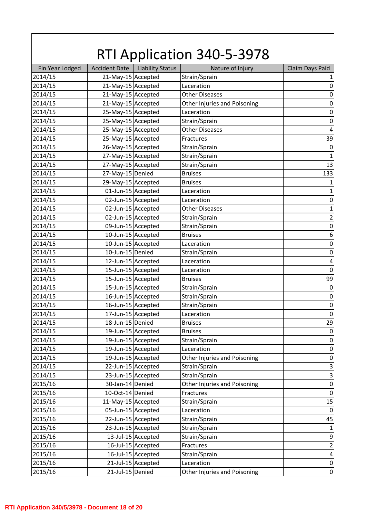| <b>RTI Application 340-5-3978</b> |                      |                         |                              |                           |  |
|-----------------------------------|----------------------|-------------------------|------------------------------|---------------------------|--|
| Fin Year Lodged                   | <b>Accident Date</b> | <b>Liability Status</b> | Nature of Injury             | Claim Days Paid           |  |
| 2014/15                           | 21-May-15 Accepted   |                         | Strain/Sprain                | 1                         |  |
| 2014/15                           | 21-May-15 Accepted   |                         | Laceration                   | $\boldsymbol{0}$          |  |
| 2014/15                           | 21-May-15 Accepted   |                         | <b>Other Diseases</b>        | $\boldsymbol{0}$          |  |
| 2014/15                           | 21-May-15 Accepted   |                         | Other Injuries and Poisoning | $\boldsymbol{0}$          |  |
| 2014/15                           | 25-May-15 Accepted   |                         | Laceration                   | $\boldsymbol{0}$          |  |
| 2014/15                           | 25-May-15 Accepted   |                         | Strain/Sprain                | $\boldsymbol{0}$          |  |
| 2014/15                           | 25-May-15 Accepted   |                         | <b>Other Diseases</b>        | $\sqrt{4}$                |  |
| 2014/15                           | 25-May-15 Accepted   |                         | Fractures                    | 39                        |  |
| 2014/15                           | 26-May-15 Accepted   |                         | Strain/Sprain                | $\boldsymbol{0}$          |  |
| 2014/15                           | 27-May-15 Accepted   |                         | Strain/Sprain                | $\mathbf{1}$              |  |
| 2014/15                           | 27-May-15 Accepted   |                         | Strain/Sprain                | 13                        |  |
| 2014/15                           | 27-May-15 Denied     |                         | <b>Bruises</b>               | 133                       |  |
| 2014/15                           | 29-May-15 Accepted   |                         | <b>Bruises</b>               | $\mathbf{1}$              |  |
| 2014/15                           | 01-Jun-15 Accepted   |                         | Laceration                   | $\mathbf{1}$              |  |
| 2014/15                           |                      | 02-Jun-15 Accepted      | Laceration                   | $\boldsymbol{0}$          |  |
| 2014/15                           | 02-Jun-15 Accepted   |                         | <b>Other Diseases</b>        | $\mathbf{1}$              |  |
| 2014/15                           |                      | 02-Jun-15 Accepted      | Strain/Sprain                | $\overline{\mathbf{c}}$   |  |
| 2014/15                           |                      | 09-Jun-15 Accepted      | Strain/Sprain                | $\boldsymbol{0}$          |  |
| 2014/15                           |                      | 10-Jun-15 Accepted      | <b>Bruises</b>               | $\boldsymbol{6}$          |  |
| 2014/15                           |                      | 10-Jun-15 Accepted      | Laceration                   | $\boldsymbol{0}$          |  |
| 2014/15                           | 10-Jun-15 Denied     |                         | Strain/Sprain                | $\boldsymbol{0}$          |  |
| 2014/15                           |                      | 12-Jun-15 Accepted      | Laceration                   | $\overline{\mathbf{4}}$   |  |
| 2014/15                           |                      | 15-Jun-15 Accepted      | Laceration                   | $\boldsymbol{0}$          |  |
| 2014/15                           |                      | 15-Jun-15 Accepted      | <b>Bruises</b>               | 99                        |  |
| 2014/15                           |                      | 15-Jun-15 Accepted      | Strain/Sprain                | $\boldsymbol{0}$          |  |
| 2014/15                           |                      | 16-Jun-15 Accepted      | Strain/Sprain                | $\boldsymbol{0}$          |  |
| 2014/15                           |                      | 16-Jun-15 Accepted      | Strain/Sprain                | $\boldsymbol{0}$          |  |
| 2014/15                           |                      | 17-Jun-15 Accepted      | Laceration                   | $\pmb{0}$                 |  |
| 2014/15                           | 18-Jun-15 Denied     |                         | <b>Bruises</b>               | 29                        |  |
| 2014/15                           |                      | 19-Jun-15 Accepted      | <b>Bruises</b>               | $\boldsymbol{0}$          |  |
| 2014/15                           |                      | 19-Jun-15 Accepted      | Strain/Sprain                | $\boldsymbol{0}$          |  |
| 2014/15                           |                      | 19-Jun-15 Accepted      | Laceration                   | $\boldsymbol{0}$          |  |
| 2014/15                           |                      | 19-Jun-15 Accepted      | Other Injuries and Poisoning | $\boldsymbol{0}$          |  |
| 2014/15                           |                      | 22-Jun-15 Accepted      | Strain/Sprain                | $\mathsf 3$               |  |
| 2014/15                           |                      | 23-Jun-15 Accepted      | Strain/Sprain                | $\ensuremath{\mathsf{3}}$ |  |
| 2015/16                           | 30-Jan-14 Denied     |                         | Other Injuries and Poisoning | $\boldsymbol{0}$          |  |
| 2015/16                           | 10-Oct-14 Denied     |                         | Fractures                    | $\boldsymbol{0}$          |  |
| 2015/16                           | 11-May-15 Accepted   |                         | Strain/Sprain                | 15                        |  |
| 2015/16                           |                      | 05-Jun-15 Accepted      | Laceration                   | $\boldsymbol{0}$          |  |
| 2015/16                           |                      | 22-Jun-15 Accepted      | Strain/Sprain                | 45                        |  |
| 2015/16                           |                      | 23-Jun-15 Accepted      | Strain/Sprain                | $\mathbf{1}$              |  |
| 2015/16                           |                      | 13-Jul-15 Accepted      | Strain/Sprain                | $\boldsymbol{9}$          |  |
| 2015/16                           |                      | 16-Jul-15 Accepted      | Fractures                    | $\mathbf 2$               |  |
| 2015/16                           |                      | 16-Jul-15 Accepted      | Strain/Sprain                | $\overline{\mathbf{r}}$   |  |
| 2015/16                           |                      | 21-Jul-15 Accepted      | Laceration                   | $\pmb{0}$                 |  |
| 2015/16                           | 21-Jul-15 Denied     |                         | Other Injuries and Poisoning | $\boldsymbol{0}$          |  |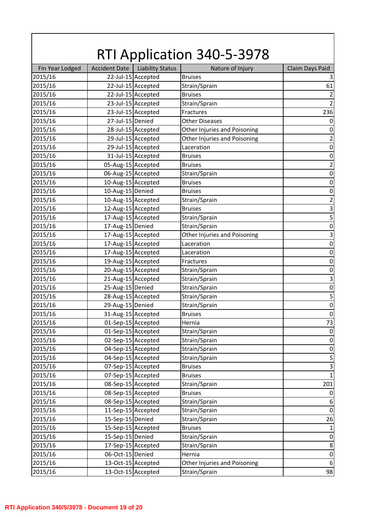| <b>RTI Application 340-5-3978</b> |                      |                         |                              |                              |  |
|-----------------------------------|----------------------|-------------------------|------------------------------|------------------------------|--|
| Fin Year Lodged                   | <b>Accident Date</b> | <b>Liability Status</b> | Nature of Injury             | Claim Days Paid              |  |
| 2015/16                           |                      | 22-Jul-15 Accepted      | <b>Bruises</b>               | 3                            |  |
| 2015/16                           |                      | 22-Jul-15 Accepted      | Strain/Sprain                | 61                           |  |
| 2015/16                           |                      | 22-Jul-15 Accepted      | <b>Bruises</b>               | $\mathbf 2$                  |  |
| 2015/16                           |                      | 23-Jul-15 Accepted      | Strain/Sprain                | $\overline{2}$               |  |
| 2015/16                           |                      | 23-Jul-15 Accepted      | Fractures                    | 236                          |  |
| 2015/16                           | 27-Jul-15 Denied     |                         | <b>Other Diseases</b>        | $\boldsymbol{0}$             |  |
| 2015/16                           |                      | 28-Jul-15 Accepted      | Other Injuries and Poisoning | $\boldsymbol{0}$             |  |
| 2015/16                           |                      | 29-Jul-15 Accepted      | Other Injuries and Poisoning | $\mathbf 2$                  |  |
| 2015/16                           |                      | 29-Jul-15 Accepted      | Laceration                   | $\boldsymbol{0}$             |  |
| 2015/16                           |                      | 31-Jul-15 Accepted      | <b>Bruises</b>               | $\boldsymbol{0}$             |  |
| 2015/16                           | 05-Aug-15 Accepted   |                         | <b>Bruises</b>               | $\mathbf 2$                  |  |
| 2015/16                           | 06-Aug-15 Accepted   |                         | Strain/Sprain                | $\boldsymbol{0}$             |  |
| 2015/16                           | 10-Aug-15 Accepted   |                         | <b>Bruises</b>               | $\boldsymbol{0}$             |  |
| 2015/16                           | 10-Aug-15 Denied     |                         | <b>Bruises</b>               | $\boldsymbol{0}$             |  |
| 2015/16                           | 10-Aug-15 Accepted   |                         | Strain/Sprain                | $\overline{\mathbf{c}}$      |  |
| 2015/16                           | 12-Aug-15 Accepted   |                         | <b>Bruises</b>               | $\mathsf 3$                  |  |
| 2015/16                           | 17-Aug-15 Accepted   |                         | Strain/Sprain                | 5                            |  |
| 2015/16                           | 17-Aug-15 Denied     |                         | Strain/Sprain                | $\boldsymbol{0}$             |  |
| 2015/16                           | 17-Aug-15 Accepted   |                         | Other Injuries and Poisoning | $\mathsf 3$                  |  |
| 2015/16                           | 17-Aug-15 Accepted   |                         | Laceration                   | $\boldsymbol{0}$             |  |
| 2015/16                           | 17-Aug-15 Accepted   |                         | Laceration                   | $\boldsymbol{0}$             |  |
| 2015/16                           | 19-Aug-15 Accepted   |                         | Fractures                    | $\boldsymbol{0}$             |  |
| 2015/16                           | 20-Aug-15 Accepted   |                         | Strain/Sprain                | $\boldsymbol{0}$             |  |
| 2015/16                           | 21-Aug-15 Accepted   |                         | Strain/Sprain                | $\mathsf 3$                  |  |
| 2015/16                           | 25-Aug-15 Denied     |                         | Strain/Sprain                | $\boldsymbol{0}$             |  |
| 2015/16                           | 28-Aug-15 Accepted   |                         | Strain/Sprain                | 5                            |  |
| 2015/16                           | 29-Aug-15 Denied     |                         | Strain/Sprain                | $\mathbf 0$                  |  |
| 2015/16                           | 31-Aug-15 Accepted   |                         | <b>Bruises</b>               | $\pmb{0}$                    |  |
| 2015/16                           | 01-Sep-15 Accepted   |                         | Hernia                       | 73                           |  |
| 2015/16                           | 01-Sep-15 Accepted   |                         | Strain/Sprain                | $\boldsymbol{0}$             |  |
| 2015/16                           | 02-Sep-15 Accepted   |                         | Strain/Sprain                | $\boldsymbol{0}$             |  |
| 2015/16                           | 04-Sep-15 Accepted   |                         | Strain/Sprain                | $\boldsymbol{0}$             |  |
| 2015/16                           | 04-Sep-15 Accepted   |                         | Strain/Sprain                |                              |  |
| 2015/16                           | 07-Sep-15 Accepted   |                         | <b>Bruises</b>               | 5<br>$\overline{\mathbf{3}}$ |  |
| 2015/16                           | 07-Sep-15 Accepted   |                         | <b>Bruises</b>               | $\mathbf 1$                  |  |
| 2015/16                           | 08-Sep-15 Accepted   |                         | Strain/Sprain                | 201                          |  |
| 2015/16                           | 08-Sep-15 Accepted   |                         | <b>Bruises</b>               | $\mathbf 0$                  |  |
|                                   |                      | 08-Sep-15 Accepted      |                              | $\boldsymbol{6}$             |  |
| 2015/16                           |                      |                         | Strain/Sprain                |                              |  |
| 2015/16                           | 11-Sep-15 Accepted   |                         | Strain/Sprain                | $\boldsymbol{0}$             |  |
| 2015/16                           | 15-Sep-15 Denied     |                         | Strain/Sprain                | 26                           |  |
| 2015/16                           |                      | 15-Sep-15 Accepted      | <b>Bruises</b>               | $\mathbf{1}$                 |  |
| 2015/16                           | 15-Sep-15 Denied     |                         | Strain/Sprain                | $\boldsymbol{0}$             |  |
| 2015/16                           |                      | 17-Sep-15 Accepted      | Strain/Sprain                | 8                            |  |
| 2015/16                           | 06-Oct-15 Denied     |                         | Hernia                       | $\pmb{0}$                    |  |
| 2015/16                           |                      | 13-Oct-15 Accepted      | Other Injuries and Poisoning | $\boldsymbol{6}$             |  |
| 2015/16                           |                      | 13-Oct-15 Accepted      | Strain/Sprain                | 98                           |  |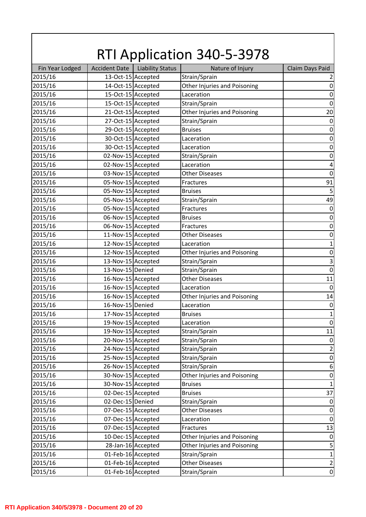| Fin Year Lodged<br><b>Accident Date</b><br><b>Liability Status</b><br>Claim Days Paid<br>Nature of Injury<br>13-Oct-15 Accepted<br>Strain/Sprain<br>2015/16<br>$\overline{2}$<br>14-Oct-15 Accepted<br>2015/16<br>Other Injuries and Poisoning<br>15-Oct-15 Accepted<br>2015/16<br>Laceration<br>2015/16<br>15-Oct-15 Accepted<br>Strain/Sprain<br>2015/16<br>21-Oct-15 Accepted<br>Other Injuries and Poisoning<br>27-Oct-15 Accepted<br>2015/16<br>Strain/Sprain<br>29-Oct-15 Accepted<br>2015/16<br><b>Bruises</b><br>30-Oct-15 Accepted<br>2015/16<br>Laceration<br>30-Oct-15 Accepted<br>2015/16<br>Laceration<br>02-Nov-15 Accepted<br>2015/16<br>Strain/Sprain<br>$\boldsymbol{0}$<br>02-Nov-15 Accepted<br>2015/16<br>$\pmb{4}$<br>Laceration<br>$\mathbf 0$<br>2015/16<br>03-Nov-15 Accepted<br><b>Other Diseases</b><br>2015/16<br>05-Nov-15 Accepted<br>91<br>Fractures<br>05-Nov-15 Accepted<br>5<br>2015/16<br><b>Bruises</b><br>49<br>05-Nov-15 Accepted<br>2015/16<br>Strain/Sprain<br>05-Nov-15 Accepted<br>2015/16<br>$\boldsymbol{0}$<br>Fractures<br>06-Nov-15 Accepted<br>$\boldsymbol{0}$<br>2015/16<br><b>Bruises</b><br>06-Nov-15 Accepted<br>2015/16<br>$\boldsymbol{0}$<br>Fractures<br>2015/16<br>11-Nov-15 Accepted<br><b>Other Diseases</b><br>$\boldsymbol{0}$<br>12-Nov-15 Accepted<br>2015/16<br>$\mathbf 1$<br>Laceration<br>2015/16<br>12-Nov-15 Accepted<br>Other Injuries and Poisoning<br>$\boldsymbol{0}$<br>$\mathsf 3$<br>13-Nov-15 Accepted<br>2015/16<br>Strain/Sprain<br>$\boldsymbol{0}$<br>13-Nov-15 Denied<br>Strain/Sprain<br>2015/16<br>2015/16<br>16-Nov-15 Accepted<br><b>Other Diseases</b><br>11<br>2015/16<br>16-Nov-15 Accepted<br>$\mathbf 0$<br>Laceration<br>16-Nov-15 Accepted<br>2015/16<br>Other Injuries and Poisoning<br>14<br>16-Nov-15 Denied<br>2015/16<br>$\boldsymbol{0}$<br>Laceration<br>2015/16<br>17-Nov-15 Accepted<br><b>Bruises</b><br>$\mathbf{1}$<br>19-Nov-15 Accepted<br>2015/16<br>Laceration<br>$\boldsymbol{0}$<br>19-Nov-15 Accepted<br>$11\,$<br>2015/16<br>Strain/Sprain<br>20-Nov-15 Accepted<br>2015/16<br>Strain/Sprain<br>$\boldsymbol{0}$<br>24-Nov-15 Accepted<br>$\mathbf 2$<br>2015/16<br>Strain/Sprain<br>25-Nov-15 Accepted<br>2015/16<br>Strain/Sprain<br>$\boldsymbol{0}$<br>26-Nov-15 Accepted<br>$\boldsymbol{6}$<br>2015/16<br>Strain/Sprain<br>30-Nov-15 Accepted<br>2015/16<br>Other Injuries and Poisoning<br>$\boldsymbol{0}$<br>30-Nov-15 Accepted<br>2015/16<br>$\mathbf 1$<br><b>Bruises</b><br>02-Dec-15 Accepted<br>37<br>2015/16<br><b>Bruises</b><br>02-Dec-15 Denied<br>2015/16<br>Strain/Sprain<br>$\boldsymbol{0}$<br>07-Dec-15 Accepted<br>2015/16<br><b>Other Diseases</b><br>$\boldsymbol{0}$<br>07-Dec-15 Accepted<br>2015/16<br>Laceration<br>$\boldsymbol{0}$<br>07-Dec-15 Accepted<br>13<br>2015/16<br>Fractures<br>2015/16<br>10-Dec-15 Accepted<br>Other Injuries and Poisoning<br>$\boldsymbol{0}$<br>28-Jan-16 Accepted<br>Other Injuries and Poisoning<br>5<br>2015/16<br>01-Feb-16 Accepted<br>Strain/Sprain<br>2015/16<br>$\mathbf{1}$<br>01-Feb-16 Accepted<br>2015/16<br>$\overline{2}$<br><b>Other Diseases</b><br>2015/16<br>01-Feb-16 Accepted<br>Strain/Sprain |  | <b>RTI Application 340-5-3978</b> |                  |
|----------------------------------------------------------------------------------------------------------------------------------------------------------------------------------------------------------------------------------------------------------------------------------------------------------------------------------------------------------------------------------------------------------------------------------------------------------------------------------------------------------------------------------------------------------------------------------------------------------------------------------------------------------------------------------------------------------------------------------------------------------------------------------------------------------------------------------------------------------------------------------------------------------------------------------------------------------------------------------------------------------------------------------------------------------------------------------------------------------------------------------------------------------------------------------------------------------------------------------------------------------------------------------------------------------------------------------------------------------------------------------------------------------------------------------------------------------------------------------------------------------------------------------------------------------------------------------------------------------------------------------------------------------------------------------------------------------------------------------------------------------------------------------------------------------------------------------------------------------------------------------------------------------------------------------------------------------------------------------------------------------------------------------------------------------------------------------------------------------------------------------------------------------------------------------------------------------------------------------------------------------------------------------------------------------------------------------------------------------------------------------------------------------------------------------------------------------------------------------------------------------------------------------------------------------------------------------------------------------------------------------------------------------------------------------------------------------------------------------------------------------------------------------------------------------------------------------------------------------------------------------------------------------------------------------------------------------------------------------------------------------------------------------------------------------------------------------------------------------------------------------------------------------------------------------------------------|--|-----------------------------------|------------------|
|                                                                                                                                                                                                                                                                                                                                                                                                                                                                                                                                                                                                                                                                                                                                                                                                                                                                                                                                                                                                                                                                                                                                                                                                                                                                                                                                                                                                                                                                                                                                                                                                                                                                                                                                                                                                                                                                                                                                                                                                                                                                                                                                                                                                                                                                                                                                                                                                                                                                                                                                                                                                                                                                                                                                                                                                                                                                                                                                                                                                                                                                                                                                                                                                    |  |                                   |                  |
|                                                                                                                                                                                                                                                                                                                                                                                                                                                                                                                                                                                                                                                                                                                                                                                                                                                                                                                                                                                                                                                                                                                                                                                                                                                                                                                                                                                                                                                                                                                                                                                                                                                                                                                                                                                                                                                                                                                                                                                                                                                                                                                                                                                                                                                                                                                                                                                                                                                                                                                                                                                                                                                                                                                                                                                                                                                                                                                                                                                                                                                                                                                                                                                                    |  |                                   |                  |
|                                                                                                                                                                                                                                                                                                                                                                                                                                                                                                                                                                                                                                                                                                                                                                                                                                                                                                                                                                                                                                                                                                                                                                                                                                                                                                                                                                                                                                                                                                                                                                                                                                                                                                                                                                                                                                                                                                                                                                                                                                                                                                                                                                                                                                                                                                                                                                                                                                                                                                                                                                                                                                                                                                                                                                                                                                                                                                                                                                                                                                                                                                                                                                                                    |  |                                   | $\boldsymbol{0}$ |
|                                                                                                                                                                                                                                                                                                                                                                                                                                                                                                                                                                                                                                                                                                                                                                                                                                                                                                                                                                                                                                                                                                                                                                                                                                                                                                                                                                                                                                                                                                                                                                                                                                                                                                                                                                                                                                                                                                                                                                                                                                                                                                                                                                                                                                                                                                                                                                                                                                                                                                                                                                                                                                                                                                                                                                                                                                                                                                                                                                                                                                                                                                                                                                                                    |  |                                   | $\boldsymbol{0}$ |
|                                                                                                                                                                                                                                                                                                                                                                                                                                                                                                                                                                                                                                                                                                                                                                                                                                                                                                                                                                                                                                                                                                                                                                                                                                                                                                                                                                                                                                                                                                                                                                                                                                                                                                                                                                                                                                                                                                                                                                                                                                                                                                                                                                                                                                                                                                                                                                                                                                                                                                                                                                                                                                                                                                                                                                                                                                                                                                                                                                                                                                                                                                                                                                                                    |  |                                   | $\mathbf 0$      |
|                                                                                                                                                                                                                                                                                                                                                                                                                                                                                                                                                                                                                                                                                                                                                                                                                                                                                                                                                                                                                                                                                                                                                                                                                                                                                                                                                                                                                                                                                                                                                                                                                                                                                                                                                                                                                                                                                                                                                                                                                                                                                                                                                                                                                                                                                                                                                                                                                                                                                                                                                                                                                                                                                                                                                                                                                                                                                                                                                                                                                                                                                                                                                                                                    |  |                                   | 20               |
|                                                                                                                                                                                                                                                                                                                                                                                                                                                                                                                                                                                                                                                                                                                                                                                                                                                                                                                                                                                                                                                                                                                                                                                                                                                                                                                                                                                                                                                                                                                                                                                                                                                                                                                                                                                                                                                                                                                                                                                                                                                                                                                                                                                                                                                                                                                                                                                                                                                                                                                                                                                                                                                                                                                                                                                                                                                                                                                                                                                                                                                                                                                                                                                                    |  |                                   | $\boldsymbol{0}$ |
|                                                                                                                                                                                                                                                                                                                                                                                                                                                                                                                                                                                                                                                                                                                                                                                                                                                                                                                                                                                                                                                                                                                                                                                                                                                                                                                                                                                                                                                                                                                                                                                                                                                                                                                                                                                                                                                                                                                                                                                                                                                                                                                                                                                                                                                                                                                                                                                                                                                                                                                                                                                                                                                                                                                                                                                                                                                                                                                                                                                                                                                                                                                                                                                                    |  |                                   | $\boldsymbol{0}$ |
|                                                                                                                                                                                                                                                                                                                                                                                                                                                                                                                                                                                                                                                                                                                                                                                                                                                                                                                                                                                                                                                                                                                                                                                                                                                                                                                                                                                                                                                                                                                                                                                                                                                                                                                                                                                                                                                                                                                                                                                                                                                                                                                                                                                                                                                                                                                                                                                                                                                                                                                                                                                                                                                                                                                                                                                                                                                                                                                                                                                                                                                                                                                                                                                                    |  |                                   | $\boldsymbol{0}$ |
|                                                                                                                                                                                                                                                                                                                                                                                                                                                                                                                                                                                                                                                                                                                                                                                                                                                                                                                                                                                                                                                                                                                                                                                                                                                                                                                                                                                                                                                                                                                                                                                                                                                                                                                                                                                                                                                                                                                                                                                                                                                                                                                                                                                                                                                                                                                                                                                                                                                                                                                                                                                                                                                                                                                                                                                                                                                                                                                                                                                                                                                                                                                                                                                                    |  |                                   | $\boldsymbol{0}$ |
|                                                                                                                                                                                                                                                                                                                                                                                                                                                                                                                                                                                                                                                                                                                                                                                                                                                                                                                                                                                                                                                                                                                                                                                                                                                                                                                                                                                                                                                                                                                                                                                                                                                                                                                                                                                                                                                                                                                                                                                                                                                                                                                                                                                                                                                                                                                                                                                                                                                                                                                                                                                                                                                                                                                                                                                                                                                                                                                                                                                                                                                                                                                                                                                                    |  |                                   |                  |
|                                                                                                                                                                                                                                                                                                                                                                                                                                                                                                                                                                                                                                                                                                                                                                                                                                                                                                                                                                                                                                                                                                                                                                                                                                                                                                                                                                                                                                                                                                                                                                                                                                                                                                                                                                                                                                                                                                                                                                                                                                                                                                                                                                                                                                                                                                                                                                                                                                                                                                                                                                                                                                                                                                                                                                                                                                                                                                                                                                                                                                                                                                                                                                                                    |  |                                   |                  |
|                                                                                                                                                                                                                                                                                                                                                                                                                                                                                                                                                                                                                                                                                                                                                                                                                                                                                                                                                                                                                                                                                                                                                                                                                                                                                                                                                                                                                                                                                                                                                                                                                                                                                                                                                                                                                                                                                                                                                                                                                                                                                                                                                                                                                                                                                                                                                                                                                                                                                                                                                                                                                                                                                                                                                                                                                                                                                                                                                                                                                                                                                                                                                                                                    |  |                                   |                  |
|                                                                                                                                                                                                                                                                                                                                                                                                                                                                                                                                                                                                                                                                                                                                                                                                                                                                                                                                                                                                                                                                                                                                                                                                                                                                                                                                                                                                                                                                                                                                                                                                                                                                                                                                                                                                                                                                                                                                                                                                                                                                                                                                                                                                                                                                                                                                                                                                                                                                                                                                                                                                                                                                                                                                                                                                                                                                                                                                                                                                                                                                                                                                                                                                    |  |                                   |                  |
|                                                                                                                                                                                                                                                                                                                                                                                                                                                                                                                                                                                                                                                                                                                                                                                                                                                                                                                                                                                                                                                                                                                                                                                                                                                                                                                                                                                                                                                                                                                                                                                                                                                                                                                                                                                                                                                                                                                                                                                                                                                                                                                                                                                                                                                                                                                                                                                                                                                                                                                                                                                                                                                                                                                                                                                                                                                                                                                                                                                                                                                                                                                                                                                                    |  |                                   |                  |
|                                                                                                                                                                                                                                                                                                                                                                                                                                                                                                                                                                                                                                                                                                                                                                                                                                                                                                                                                                                                                                                                                                                                                                                                                                                                                                                                                                                                                                                                                                                                                                                                                                                                                                                                                                                                                                                                                                                                                                                                                                                                                                                                                                                                                                                                                                                                                                                                                                                                                                                                                                                                                                                                                                                                                                                                                                                                                                                                                                                                                                                                                                                                                                                                    |  |                                   |                  |
|                                                                                                                                                                                                                                                                                                                                                                                                                                                                                                                                                                                                                                                                                                                                                                                                                                                                                                                                                                                                                                                                                                                                                                                                                                                                                                                                                                                                                                                                                                                                                                                                                                                                                                                                                                                                                                                                                                                                                                                                                                                                                                                                                                                                                                                                                                                                                                                                                                                                                                                                                                                                                                                                                                                                                                                                                                                                                                                                                                                                                                                                                                                                                                                                    |  |                                   |                  |
|                                                                                                                                                                                                                                                                                                                                                                                                                                                                                                                                                                                                                                                                                                                                                                                                                                                                                                                                                                                                                                                                                                                                                                                                                                                                                                                                                                                                                                                                                                                                                                                                                                                                                                                                                                                                                                                                                                                                                                                                                                                                                                                                                                                                                                                                                                                                                                                                                                                                                                                                                                                                                                                                                                                                                                                                                                                                                                                                                                                                                                                                                                                                                                                                    |  |                                   |                  |
|                                                                                                                                                                                                                                                                                                                                                                                                                                                                                                                                                                                                                                                                                                                                                                                                                                                                                                                                                                                                                                                                                                                                                                                                                                                                                                                                                                                                                                                                                                                                                                                                                                                                                                                                                                                                                                                                                                                                                                                                                                                                                                                                                                                                                                                                                                                                                                                                                                                                                                                                                                                                                                                                                                                                                                                                                                                                                                                                                                                                                                                                                                                                                                                                    |  |                                   |                  |
|                                                                                                                                                                                                                                                                                                                                                                                                                                                                                                                                                                                                                                                                                                                                                                                                                                                                                                                                                                                                                                                                                                                                                                                                                                                                                                                                                                                                                                                                                                                                                                                                                                                                                                                                                                                                                                                                                                                                                                                                                                                                                                                                                                                                                                                                                                                                                                                                                                                                                                                                                                                                                                                                                                                                                                                                                                                                                                                                                                                                                                                                                                                                                                                                    |  |                                   |                  |
|                                                                                                                                                                                                                                                                                                                                                                                                                                                                                                                                                                                                                                                                                                                                                                                                                                                                                                                                                                                                                                                                                                                                                                                                                                                                                                                                                                                                                                                                                                                                                                                                                                                                                                                                                                                                                                                                                                                                                                                                                                                                                                                                                                                                                                                                                                                                                                                                                                                                                                                                                                                                                                                                                                                                                                                                                                                                                                                                                                                                                                                                                                                                                                                                    |  |                                   |                  |
|                                                                                                                                                                                                                                                                                                                                                                                                                                                                                                                                                                                                                                                                                                                                                                                                                                                                                                                                                                                                                                                                                                                                                                                                                                                                                                                                                                                                                                                                                                                                                                                                                                                                                                                                                                                                                                                                                                                                                                                                                                                                                                                                                                                                                                                                                                                                                                                                                                                                                                                                                                                                                                                                                                                                                                                                                                                                                                                                                                                                                                                                                                                                                                                                    |  |                                   |                  |
|                                                                                                                                                                                                                                                                                                                                                                                                                                                                                                                                                                                                                                                                                                                                                                                                                                                                                                                                                                                                                                                                                                                                                                                                                                                                                                                                                                                                                                                                                                                                                                                                                                                                                                                                                                                                                                                                                                                                                                                                                                                                                                                                                                                                                                                                                                                                                                                                                                                                                                                                                                                                                                                                                                                                                                                                                                                                                                                                                                                                                                                                                                                                                                                                    |  |                                   |                  |
|                                                                                                                                                                                                                                                                                                                                                                                                                                                                                                                                                                                                                                                                                                                                                                                                                                                                                                                                                                                                                                                                                                                                                                                                                                                                                                                                                                                                                                                                                                                                                                                                                                                                                                                                                                                                                                                                                                                                                                                                                                                                                                                                                                                                                                                                                                                                                                                                                                                                                                                                                                                                                                                                                                                                                                                                                                                                                                                                                                                                                                                                                                                                                                                                    |  |                                   |                  |
|                                                                                                                                                                                                                                                                                                                                                                                                                                                                                                                                                                                                                                                                                                                                                                                                                                                                                                                                                                                                                                                                                                                                                                                                                                                                                                                                                                                                                                                                                                                                                                                                                                                                                                                                                                                                                                                                                                                                                                                                                                                                                                                                                                                                                                                                                                                                                                                                                                                                                                                                                                                                                                                                                                                                                                                                                                                                                                                                                                                                                                                                                                                                                                                                    |  |                                   |                  |
|                                                                                                                                                                                                                                                                                                                                                                                                                                                                                                                                                                                                                                                                                                                                                                                                                                                                                                                                                                                                                                                                                                                                                                                                                                                                                                                                                                                                                                                                                                                                                                                                                                                                                                                                                                                                                                                                                                                                                                                                                                                                                                                                                                                                                                                                                                                                                                                                                                                                                                                                                                                                                                                                                                                                                                                                                                                                                                                                                                                                                                                                                                                                                                                                    |  |                                   |                  |
|                                                                                                                                                                                                                                                                                                                                                                                                                                                                                                                                                                                                                                                                                                                                                                                                                                                                                                                                                                                                                                                                                                                                                                                                                                                                                                                                                                                                                                                                                                                                                                                                                                                                                                                                                                                                                                                                                                                                                                                                                                                                                                                                                                                                                                                                                                                                                                                                                                                                                                                                                                                                                                                                                                                                                                                                                                                                                                                                                                                                                                                                                                                                                                                                    |  |                                   |                  |
|                                                                                                                                                                                                                                                                                                                                                                                                                                                                                                                                                                                                                                                                                                                                                                                                                                                                                                                                                                                                                                                                                                                                                                                                                                                                                                                                                                                                                                                                                                                                                                                                                                                                                                                                                                                                                                                                                                                                                                                                                                                                                                                                                                                                                                                                                                                                                                                                                                                                                                                                                                                                                                                                                                                                                                                                                                                                                                                                                                                                                                                                                                                                                                                                    |  |                                   |                  |
|                                                                                                                                                                                                                                                                                                                                                                                                                                                                                                                                                                                                                                                                                                                                                                                                                                                                                                                                                                                                                                                                                                                                                                                                                                                                                                                                                                                                                                                                                                                                                                                                                                                                                                                                                                                                                                                                                                                                                                                                                                                                                                                                                                                                                                                                                                                                                                                                                                                                                                                                                                                                                                                                                                                                                                                                                                                                                                                                                                                                                                                                                                                                                                                                    |  |                                   |                  |
|                                                                                                                                                                                                                                                                                                                                                                                                                                                                                                                                                                                                                                                                                                                                                                                                                                                                                                                                                                                                                                                                                                                                                                                                                                                                                                                                                                                                                                                                                                                                                                                                                                                                                                                                                                                                                                                                                                                                                                                                                                                                                                                                                                                                                                                                                                                                                                                                                                                                                                                                                                                                                                                                                                                                                                                                                                                                                                                                                                                                                                                                                                                                                                                                    |  |                                   |                  |
|                                                                                                                                                                                                                                                                                                                                                                                                                                                                                                                                                                                                                                                                                                                                                                                                                                                                                                                                                                                                                                                                                                                                                                                                                                                                                                                                                                                                                                                                                                                                                                                                                                                                                                                                                                                                                                                                                                                                                                                                                                                                                                                                                                                                                                                                                                                                                                                                                                                                                                                                                                                                                                                                                                                                                                                                                                                                                                                                                                                                                                                                                                                                                                                                    |  |                                   |                  |
|                                                                                                                                                                                                                                                                                                                                                                                                                                                                                                                                                                                                                                                                                                                                                                                                                                                                                                                                                                                                                                                                                                                                                                                                                                                                                                                                                                                                                                                                                                                                                                                                                                                                                                                                                                                                                                                                                                                                                                                                                                                                                                                                                                                                                                                                                                                                                                                                                                                                                                                                                                                                                                                                                                                                                                                                                                                                                                                                                                                                                                                                                                                                                                                                    |  |                                   |                  |
|                                                                                                                                                                                                                                                                                                                                                                                                                                                                                                                                                                                                                                                                                                                                                                                                                                                                                                                                                                                                                                                                                                                                                                                                                                                                                                                                                                                                                                                                                                                                                                                                                                                                                                                                                                                                                                                                                                                                                                                                                                                                                                                                                                                                                                                                                                                                                                                                                                                                                                                                                                                                                                                                                                                                                                                                                                                                                                                                                                                                                                                                                                                                                                                                    |  |                                   |                  |
|                                                                                                                                                                                                                                                                                                                                                                                                                                                                                                                                                                                                                                                                                                                                                                                                                                                                                                                                                                                                                                                                                                                                                                                                                                                                                                                                                                                                                                                                                                                                                                                                                                                                                                                                                                                                                                                                                                                                                                                                                                                                                                                                                                                                                                                                                                                                                                                                                                                                                                                                                                                                                                                                                                                                                                                                                                                                                                                                                                                                                                                                                                                                                                                                    |  |                                   |                  |
|                                                                                                                                                                                                                                                                                                                                                                                                                                                                                                                                                                                                                                                                                                                                                                                                                                                                                                                                                                                                                                                                                                                                                                                                                                                                                                                                                                                                                                                                                                                                                                                                                                                                                                                                                                                                                                                                                                                                                                                                                                                                                                                                                                                                                                                                                                                                                                                                                                                                                                                                                                                                                                                                                                                                                                                                                                                                                                                                                                                                                                                                                                                                                                                                    |  |                                   |                  |
|                                                                                                                                                                                                                                                                                                                                                                                                                                                                                                                                                                                                                                                                                                                                                                                                                                                                                                                                                                                                                                                                                                                                                                                                                                                                                                                                                                                                                                                                                                                                                                                                                                                                                                                                                                                                                                                                                                                                                                                                                                                                                                                                                                                                                                                                                                                                                                                                                                                                                                                                                                                                                                                                                                                                                                                                                                                                                                                                                                                                                                                                                                                                                                                                    |  |                                   |                  |
|                                                                                                                                                                                                                                                                                                                                                                                                                                                                                                                                                                                                                                                                                                                                                                                                                                                                                                                                                                                                                                                                                                                                                                                                                                                                                                                                                                                                                                                                                                                                                                                                                                                                                                                                                                                                                                                                                                                                                                                                                                                                                                                                                                                                                                                                                                                                                                                                                                                                                                                                                                                                                                                                                                                                                                                                                                                                                                                                                                                                                                                                                                                                                                                                    |  |                                   |                  |
|                                                                                                                                                                                                                                                                                                                                                                                                                                                                                                                                                                                                                                                                                                                                                                                                                                                                                                                                                                                                                                                                                                                                                                                                                                                                                                                                                                                                                                                                                                                                                                                                                                                                                                                                                                                                                                                                                                                                                                                                                                                                                                                                                                                                                                                                                                                                                                                                                                                                                                                                                                                                                                                                                                                                                                                                                                                                                                                                                                                                                                                                                                                                                                                                    |  |                                   |                  |
|                                                                                                                                                                                                                                                                                                                                                                                                                                                                                                                                                                                                                                                                                                                                                                                                                                                                                                                                                                                                                                                                                                                                                                                                                                                                                                                                                                                                                                                                                                                                                                                                                                                                                                                                                                                                                                                                                                                                                                                                                                                                                                                                                                                                                                                                                                                                                                                                                                                                                                                                                                                                                                                                                                                                                                                                                                                                                                                                                                                                                                                                                                                                                                                                    |  |                                   |                  |
|                                                                                                                                                                                                                                                                                                                                                                                                                                                                                                                                                                                                                                                                                                                                                                                                                                                                                                                                                                                                                                                                                                                                                                                                                                                                                                                                                                                                                                                                                                                                                                                                                                                                                                                                                                                                                                                                                                                                                                                                                                                                                                                                                                                                                                                                                                                                                                                                                                                                                                                                                                                                                                                                                                                                                                                                                                                                                                                                                                                                                                                                                                                                                                                                    |  |                                   |                  |
|                                                                                                                                                                                                                                                                                                                                                                                                                                                                                                                                                                                                                                                                                                                                                                                                                                                                                                                                                                                                                                                                                                                                                                                                                                                                                                                                                                                                                                                                                                                                                                                                                                                                                                                                                                                                                                                                                                                                                                                                                                                                                                                                                                                                                                                                                                                                                                                                                                                                                                                                                                                                                                                                                                                                                                                                                                                                                                                                                                                                                                                                                                                                                                                                    |  |                                   |                  |
|                                                                                                                                                                                                                                                                                                                                                                                                                                                                                                                                                                                                                                                                                                                                                                                                                                                                                                                                                                                                                                                                                                                                                                                                                                                                                                                                                                                                                                                                                                                                                                                                                                                                                                                                                                                                                                                                                                                                                                                                                                                                                                                                                                                                                                                                                                                                                                                                                                                                                                                                                                                                                                                                                                                                                                                                                                                                                                                                                                                                                                                                                                                                                                                                    |  |                                   |                  |
|                                                                                                                                                                                                                                                                                                                                                                                                                                                                                                                                                                                                                                                                                                                                                                                                                                                                                                                                                                                                                                                                                                                                                                                                                                                                                                                                                                                                                                                                                                                                                                                                                                                                                                                                                                                                                                                                                                                                                                                                                                                                                                                                                                                                                                                                                                                                                                                                                                                                                                                                                                                                                                                                                                                                                                                                                                                                                                                                                                                                                                                                                                                                                                                                    |  |                                   |                  |
|                                                                                                                                                                                                                                                                                                                                                                                                                                                                                                                                                                                                                                                                                                                                                                                                                                                                                                                                                                                                                                                                                                                                                                                                                                                                                                                                                                                                                                                                                                                                                                                                                                                                                                                                                                                                                                                                                                                                                                                                                                                                                                                                                                                                                                                                                                                                                                                                                                                                                                                                                                                                                                                                                                                                                                                                                                                                                                                                                                                                                                                                                                                                                                                                    |  |                                   |                  |
|                                                                                                                                                                                                                                                                                                                                                                                                                                                                                                                                                                                                                                                                                                                                                                                                                                                                                                                                                                                                                                                                                                                                                                                                                                                                                                                                                                                                                                                                                                                                                                                                                                                                                                                                                                                                                                                                                                                                                                                                                                                                                                                                                                                                                                                                                                                                                                                                                                                                                                                                                                                                                                                                                                                                                                                                                                                                                                                                                                                                                                                                                                                                                                                                    |  |                                   |                  |
|                                                                                                                                                                                                                                                                                                                                                                                                                                                                                                                                                                                                                                                                                                                                                                                                                                                                                                                                                                                                                                                                                                                                                                                                                                                                                                                                                                                                                                                                                                                                                                                                                                                                                                                                                                                                                                                                                                                                                                                                                                                                                                                                                                                                                                                                                                                                                                                                                                                                                                                                                                                                                                                                                                                                                                                                                                                                                                                                                                                                                                                                                                                                                                                                    |  |                                   |                  |
|                                                                                                                                                                                                                                                                                                                                                                                                                                                                                                                                                                                                                                                                                                                                                                                                                                                                                                                                                                                                                                                                                                                                                                                                                                                                                                                                                                                                                                                                                                                                                                                                                                                                                                                                                                                                                                                                                                                                                                                                                                                                                                                                                                                                                                                                                                                                                                                                                                                                                                                                                                                                                                                                                                                                                                                                                                                                                                                                                                                                                                                                                                                                                                                                    |  |                                   | $\boldsymbol{0}$ |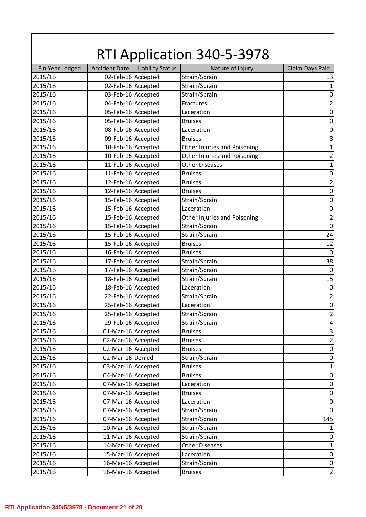| Fin Year Lodged<br><b>Accident Date</b><br><b>Liability Status</b><br>Nature of Injury<br>Claim Days Paid<br>02-Feb-16 Accepted<br>Strain/Sprain<br>2015/16<br>13<br>02-Feb-16 Accepted<br>2015/16<br>Strain/Sprain<br>$\mathbf{1}$<br>03-Feb-16 Accepted<br>2015/16<br>Strain/Sprain<br>$\boldsymbol{0}$<br>$\mathbf 2$<br>2015/16<br>04-Feb-16 Accepted<br>Fractures<br>2015/16<br>05-Feb-16 Accepted<br>$\boldsymbol{0}$<br>Laceration<br>05-Feb-16 Accepted<br>2015/16<br>$\boldsymbol{0}$<br><b>Bruises</b><br>2015/16<br>08-Feb-16 Accepted<br>$\boldsymbol{0}$<br>Laceration<br>09-Feb-16 Accepted<br>2015/16<br>8<br><b>Bruises</b><br>10-Feb-16 Accepted<br>2015/16<br>1<br>Other Injuries and Poisoning<br>$\mathbf 2$<br>10-Feb-16 Accepted<br>Other Injuries and Poisoning<br>2015/16<br>11-Feb-16 Accepted<br>2015/16<br><b>Other Diseases</b><br>$\mathbf{1}$<br>2015/16<br>11-Feb-16 Accepted<br>$\boldsymbol{0}$<br><b>Bruises</b><br>$\mathbf 2$<br>2015/16<br>12-Feb-16 Accepted<br><b>Bruises</b><br>12-Feb-16 Accepted<br>2015/16<br>$\boldsymbol{0}$<br><b>Bruises</b><br>15-Feb-16 Accepted<br>$\boldsymbol{0}$<br>2015/16<br>Strain/Sprain<br>2015/16<br>15-Feb-16 Accepted<br>$\boldsymbol{0}$<br>Laceration<br>$\overline{\mathbf{c}}$<br>2015/16<br>15-Feb-16 Accepted<br>Other Injuries and Poisoning<br>$\boldsymbol{0}$<br>2015/16<br>15-Feb-16 Accepted<br>Strain/Sprain<br>2015/16<br>15-Feb-16 Accepted<br>Strain/Sprain<br>24<br>15-Feb-16 Accepted<br>12<br>2015/16<br><b>Bruises</b><br>2015/16<br>16-Feb-16 Accepted<br>$\mathbf 0$<br><b>Bruises</b><br>38<br>17-Feb-16 Accepted<br>2015/16<br>Strain/Sprain<br>17-Feb-16 Accepted<br>$\boldsymbol{0}$<br>2015/16<br>Strain/Sprain<br>2015/16<br>18-Feb-16 Accepted<br>Strain/Sprain<br>15<br>2015/16<br>18-Feb-16 Accepted<br>$\boldsymbol{0}$<br>Laceration<br>$\mathbf 2$<br>2015/16<br>22-Feb-16 Accepted<br>Strain/Sprain<br>25-Feb-16 Accepted<br>$\boldsymbol{0}$<br>2015/16<br>Laceration<br>25-Feb-16 Accepted<br>Strain/Sprain<br>$\overline{2}$<br>2015/16<br>29-Feb-16 Accepted<br>2015/16<br>Strain/Sprain<br>$\overline{\mathbf{4}}$<br>$\mathsf 3$<br>01-Mar-16 Accepted<br>2015/16<br><b>Bruises</b><br>$\mathbf 2$<br>2015/16<br>02-Mar-16 Accepted<br><b>Bruises</b><br>02-Mar-16 Accepted<br>2015/16<br>$\boldsymbol{0}$<br><b>Bruises</b><br>2015/16<br>02-Mar-16 Denied<br>Strain/Sprain<br>$\boldsymbol{0}$<br>03-Mar-16 Accepted<br>$\mathbf 1$<br>2015/16<br><b>Bruises</b><br>04-Mar-16 Accepted<br>2015/16<br>$\boldsymbol{0}$<br><b>Bruises</b><br>07-Mar-16 Accepted<br>2015/16<br>$\boldsymbol{0}$<br>Laceration<br>07-Mar-16 Accepted<br>2015/16<br><b>Bruises</b><br>$\pmb{0}$<br>07-Mar-16 Accepted<br>2015/16<br>$\boldsymbol{0}$<br>Laceration<br>07-Mar-16 Accepted<br>2015/16<br>Strain/Sprain<br>$\boldsymbol{0}$<br>07-Mar-16 Accepted<br>2015/16<br>Strain/Sprain<br>145<br>10-Mar-16 Accepted<br>Strain/Sprain<br>2015/16<br>$\mathbf{1}$<br>2015/16<br>11-Mar-16 Accepted<br>Strain/Sprain<br>$\boldsymbol{0}$<br>14-Mar-16 Accepted<br>$\mathbf 1$<br>2015/16<br><b>Other Diseases</b><br>15-Mar-16 Accepted<br>2015/16<br>Laceration<br>$\boldsymbol{0}$<br>2015/16<br>16-Mar-16 Accepted<br>Strain/Sprain<br>$\pmb{0}$<br>$\mathbf 2$<br>2015/16<br>16-Mar-16 Accepted<br><b>Bruises</b> | <b>RTI Application 340-5-3978</b> |  |  |  |  |  |
|---------------------------------------------------------------------------------------------------------------------------------------------------------------------------------------------------------------------------------------------------------------------------------------------------------------------------------------------------------------------------------------------------------------------------------------------------------------------------------------------------------------------------------------------------------------------------------------------------------------------------------------------------------------------------------------------------------------------------------------------------------------------------------------------------------------------------------------------------------------------------------------------------------------------------------------------------------------------------------------------------------------------------------------------------------------------------------------------------------------------------------------------------------------------------------------------------------------------------------------------------------------------------------------------------------------------------------------------------------------------------------------------------------------------------------------------------------------------------------------------------------------------------------------------------------------------------------------------------------------------------------------------------------------------------------------------------------------------------------------------------------------------------------------------------------------------------------------------------------------------------------------------------------------------------------------------------------------------------------------------------------------------------------------------------------------------------------------------------------------------------------------------------------------------------------------------------------------------------------------------------------------------------------------------------------------------------------------------------------------------------------------------------------------------------------------------------------------------------------------------------------------------------------------------------------------------------------------------------------------------------------------------------------------------------------------------------------------------------------------------------------------------------------------------------------------------------------------------------------------------------------------------------------------------------------------------------------------------------------------------------------------------------------------------------------------------------------------------------------------------------------------------------------------------------------------------------------------------------------------------------------------------------------------------------------------------------|-----------------------------------|--|--|--|--|--|
|                                                                                                                                                                                                                                                                                                                                                                                                                                                                                                                                                                                                                                                                                                                                                                                                                                                                                                                                                                                                                                                                                                                                                                                                                                                                                                                                                                                                                                                                                                                                                                                                                                                                                                                                                                                                                                                                                                                                                                                                                                                                                                                                                                                                                                                                                                                                                                                                                                                                                                                                                                                                                                                                                                                                                                                                                                                                                                                                                                                                                                                                                                                                                                                                                                                                                                                           |                                   |  |  |  |  |  |
|                                                                                                                                                                                                                                                                                                                                                                                                                                                                                                                                                                                                                                                                                                                                                                                                                                                                                                                                                                                                                                                                                                                                                                                                                                                                                                                                                                                                                                                                                                                                                                                                                                                                                                                                                                                                                                                                                                                                                                                                                                                                                                                                                                                                                                                                                                                                                                                                                                                                                                                                                                                                                                                                                                                                                                                                                                                                                                                                                                                                                                                                                                                                                                                                                                                                                                                           |                                   |  |  |  |  |  |
|                                                                                                                                                                                                                                                                                                                                                                                                                                                                                                                                                                                                                                                                                                                                                                                                                                                                                                                                                                                                                                                                                                                                                                                                                                                                                                                                                                                                                                                                                                                                                                                                                                                                                                                                                                                                                                                                                                                                                                                                                                                                                                                                                                                                                                                                                                                                                                                                                                                                                                                                                                                                                                                                                                                                                                                                                                                                                                                                                                                                                                                                                                                                                                                                                                                                                                                           |                                   |  |  |  |  |  |
|                                                                                                                                                                                                                                                                                                                                                                                                                                                                                                                                                                                                                                                                                                                                                                                                                                                                                                                                                                                                                                                                                                                                                                                                                                                                                                                                                                                                                                                                                                                                                                                                                                                                                                                                                                                                                                                                                                                                                                                                                                                                                                                                                                                                                                                                                                                                                                                                                                                                                                                                                                                                                                                                                                                                                                                                                                                                                                                                                                                                                                                                                                                                                                                                                                                                                                                           |                                   |  |  |  |  |  |
|                                                                                                                                                                                                                                                                                                                                                                                                                                                                                                                                                                                                                                                                                                                                                                                                                                                                                                                                                                                                                                                                                                                                                                                                                                                                                                                                                                                                                                                                                                                                                                                                                                                                                                                                                                                                                                                                                                                                                                                                                                                                                                                                                                                                                                                                                                                                                                                                                                                                                                                                                                                                                                                                                                                                                                                                                                                                                                                                                                                                                                                                                                                                                                                                                                                                                                                           |                                   |  |  |  |  |  |
|                                                                                                                                                                                                                                                                                                                                                                                                                                                                                                                                                                                                                                                                                                                                                                                                                                                                                                                                                                                                                                                                                                                                                                                                                                                                                                                                                                                                                                                                                                                                                                                                                                                                                                                                                                                                                                                                                                                                                                                                                                                                                                                                                                                                                                                                                                                                                                                                                                                                                                                                                                                                                                                                                                                                                                                                                                                                                                                                                                                                                                                                                                                                                                                                                                                                                                                           |                                   |  |  |  |  |  |
|                                                                                                                                                                                                                                                                                                                                                                                                                                                                                                                                                                                                                                                                                                                                                                                                                                                                                                                                                                                                                                                                                                                                                                                                                                                                                                                                                                                                                                                                                                                                                                                                                                                                                                                                                                                                                                                                                                                                                                                                                                                                                                                                                                                                                                                                                                                                                                                                                                                                                                                                                                                                                                                                                                                                                                                                                                                                                                                                                                                                                                                                                                                                                                                                                                                                                                                           |                                   |  |  |  |  |  |
|                                                                                                                                                                                                                                                                                                                                                                                                                                                                                                                                                                                                                                                                                                                                                                                                                                                                                                                                                                                                                                                                                                                                                                                                                                                                                                                                                                                                                                                                                                                                                                                                                                                                                                                                                                                                                                                                                                                                                                                                                                                                                                                                                                                                                                                                                                                                                                                                                                                                                                                                                                                                                                                                                                                                                                                                                                                                                                                                                                                                                                                                                                                                                                                                                                                                                                                           |                                   |  |  |  |  |  |
|                                                                                                                                                                                                                                                                                                                                                                                                                                                                                                                                                                                                                                                                                                                                                                                                                                                                                                                                                                                                                                                                                                                                                                                                                                                                                                                                                                                                                                                                                                                                                                                                                                                                                                                                                                                                                                                                                                                                                                                                                                                                                                                                                                                                                                                                                                                                                                                                                                                                                                                                                                                                                                                                                                                                                                                                                                                                                                                                                                                                                                                                                                                                                                                                                                                                                                                           |                                   |  |  |  |  |  |
|                                                                                                                                                                                                                                                                                                                                                                                                                                                                                                                                                                                                                                                                                                                                                                                                                                                                                                                                                                                                                                                                                                                                                                                                                                                                                                                                                                                                                                                                                                                                                                                                                                                                                                                                                                                                                                                                                                                                                                                                                                                                                                                                                                                                                                                                                                                                                                                                                                                                                                                                                                                                                                                                                                                                                                                                                                                                                                                                                                                                                                                                                                                                                                                                                                                                                                                           |                                   |  |  |  |  |  |
|                                                                                                                                                                                                                                                                                                                                                                                                                                                                                                                                                                                                                                                                                                                                                                                                                                                                                                                                                                                                                                                                                                                                                                                                                                                                                                                                                                                                                                                                                                                                                                                                                                                                                                                                                                                                                                                                                                                                                                                                                                                                                                                                                                                                                                                                                                                                                                                                                                                                                                                                                                                                                                                                                                                                                                                                                                                                                                                                                                                                                                                                                                                                                                                                                                                                                                                           |                                   |  |  |  |  |  |
|                                                                                                                                                                                                                                                                                                                                                                                                                                                                                                                                                                                                                                                                                                                                                                                                                                                                                                                                                                                                                                                                                                                                                                                                                                                                                                                                                                                                                                                                                                                                                                                                                                                                                                                                                                                                                                                                                                                                                                                                                                                                                                                                                                                                                                                                                                                                                                                                                                                                                                                                                                                                                                                                                                                                                                                                                                                                                                                                                                                                                                                                                                                                                                                                                                                                                                                           |                                   |  |  |  |  |  |
|                                                                                                                                                                                                                                                                                                                                                                                                                                                                                                                                                                                                                                                                                                                                                                                                                                                                                                                                                                                                                                                                                                                                                                                                                                                                                                                                                                                                                                                                                                                                                                                                                                                                                                                                                                                                                                                                                                                                                                                                                                                                                                                                                                                                                                                                                                                                                                                                                                                                                                                                                                                                                                                                                                                                                                                                                                                                                                                                                                                                                                                                                                                                                                                                                                                                                                                           |                                   |  |  |  |  |  |
|                                                                                                                                                                                                                                                                                                                                                                                                                                                                                                                                                                                                                                                                                                                                                                                                                                                                                                                                                                                                                                                                                                                                                                                                                                                                                                                                                                                                                                                                                                                                                                                                                                                                                                                                                                                                                                                                                                                                                                                                                                                                                                                                                                                                                                                                                                                                                                                                                                                                                                                                                                                                                                                                                                                                                                                                                                                                                                                                                                                                                                                                                                                                                                                                                                                                                                                           |                                   |  |  |  |  |  |
|                                                                                                                                                                                                                                                                                                                                                                                                                                                                                                                                                                                                                                                                                                                                                                                                                                                                                                                                                                                                                                                                                                                                                                                                                                                                                                                                                                                                                                                                                                                                                                                                                                                                                                                                                                                                                                                                                                                                                                                                                                                                                                                                                                                                                                                                                                                                                                                                                                                                                                                                                                                                                                                                                                                                                                                                                                                                                                                                                                                                                                                                                                                                                                                                                                                                                                                           |                                   |  |  |  |  |  |
|                                                                                                                                                                                                                                                                                                                                                                                                                                                                                                                                                                                                                                                                                                                                                                                                                                                                                                                                                                                                                                                                                                                                                                                                                                                                                                                                                                                                                                                                                                                                                                                                                                                                                                                                                                                                                                                                                                                                                                                                                                                                                                                                                                                                                                                                                                                                                                                                                                                                                                                                                                                                                                                                                                                                                                                                                                                                                                                                                                                                                                                                                                                                                                                                                                                                                                                           |                                   |  |  |  |  |  |
|                                                                                                                                                                                                                                                                                                                                                                                                                                                                                                                                                                                                                                                                                                                                                                                                                                                                                                                                                                                                                                                                                                                                                                                                                                                                                                                                                                                                                                                                                                                                                                                                                                                                                                                                                                                                                                                                                                                                                                                                                                                                                                                                                                                                                                                                                                                                                                                                                                                                                                                                                                                                                                                                                                                                                                                                                                                                                                                                                                                                                                                                                                                                                                                                                                                                                                                           |                                   |  |  |  |  |  |
|                                                                                                                                                                                                                                                                                                                                                                                                                                                                                                                                                                                                                                                                                                                                                                                                                                                                                                                                                                                                                                                                                                                                                                                                                                                                                                                                                                                                                                                                                                                                                                                                                                                                                                                                                                                                                                                                                                                                                                                                                                                                                                                                                                                                                                                                                                                                                                                                                                                                                                                                                                                                                                                                                                                                                                                                                                                                                                                                                                                                                                                                                                                                                                                                                                                                                                                           |                                   |  |  |  |  |  |
|                                                                                                                                                                                                                                                                                                                                                                                                                                                                                                                                                                                                                                                                                                                                                                                                                                                                                                                                                                                                                                                                                                                                                                                                                                                                                                                                                                                                                                                                                                                                                                                                                                                                                                                                                                                                                                                                                                                                                                                                                                                                                                                                                                                                                                                                                                                                                                                                                                                                                                                                                                                                                                                                                                                                                                                                                                                                                                                                                                                                                                                                                                                                                                                                                                                                                                                           |                                   |  |  |  |  |  |
|                                                                                                                                                                                                                                                                                                                                                                                                                                                                                                                                                                                                                                                                                                                                                                                                                                                                                                                                                                                                                                                                                                                                                                                                                                                                                                                                                                                                                                                                                                                                                                                                                                                                                                                                                                                                                                                                                                                                                                                                                                                                                                                                                                                                                                                                                                                                                                                                                                                                                                                                                                                                                                                                                                                                                                                                                                                                                                                                                                                                                                                                                                                                                                                                                                                                                                                           |                                   |  |  |  |  |  |
|                                                                                                                                                                                                                                                                                                                                                                                                                                                                                                                                                                                                                                                                                                                                                                                                                                                                                                                                                                                                                                                                                                                                                                                                                                                                                                                                                                                                                                                                                                                                                                                                                                                                                                                                                                                                                                                                                                                                                                                                                                                                                                                                                                                                                                                                                                                                                                                                                                                                                                                                                                                                                                                                                                                                                                                                                                                                                                                                                                                                                                                                                                                                                                                                                                                                                                                           |                                   |  |  |  |  |  |
|                                                                                                                                                                                                                                                                                                                                                                                                                                                                                                                                                                                                                                                                                                                                                                                                                                                                                                                                                                                                                                                                                                                                                                                                                                                                                                                                                                                                                                                                                                                                                                                                                                                                                                                                                                                                                                                                                                                                                                                                                                                                                                                                                                                                                                                                                                                                                                                                                                                                                                                                                                                                                                                                                                                                                                                                                                                                                                                                                                                                                                                                                                                                                                                                                                                                                                                           |                                   |  |  |  |  |  |
|                                                                                                                                                                                                                                                                                                                                                                                                                                                                                                                                                                                                                                                                                                                                                                                                                                                                                                                                                                                                                                                                                                                                                                                                                                                                                                                                                                                                                                                                                                                                                                                                                                                                                                                                                                                                                                                                                                                                                                                                                                                                                                                                                                                                                                                                                                                                                                                                                                                                                                                                                                                                                                                                                                                                                                                                                                                                                                                                                                                                                                                                                                                                                                                                                                                                                                                           |                                   |  |  |  |  |  |
|                                                                                                                                                                                                                                                                                                                                                                                                                                                                                                                                                                                                                                                                                                                                                                                                                                                                                                                                                                                                                                                                                                                                                                                                                                                                                                                                                                                                                                                                                                                                                                                                                                                                                                                                                                                                                                                                                                                                                                                                                                                                                                                                                                                                                                                                                                                                                                                                                                                                                                                                                                                                                                                                                                                                                                                                                                                                                                                                                                                                                                                                                                                                                                                                                                                                                                                           |                                   |  |  |  |  |  |
|                                                                                                                                                                                                                                                                                                                                                                                                                                                                                                                                                                                                                                                                                                                                                                                                                                                                                                                                                                                                                                                                                                                                                                                                                                                                                                                                                                                                                                                                                                                                                                                                                                                                                                                                                                                                                                                                                                                                                                                                                                                                                                                                                                                                                                                                                                                                                                                                                                                                                                                                                                                                                                                                                                                                                                                                                                                                                                                                                                                                                                                                                                                                                                                                                                                                                                                           |                                   |  |  |  |  |  |
|                                                                                                                                                                                                                                                                                                                                                                                                                                                                                                                                                                                                                                                                                                                                                                                                                                                                                                                                                                                                                                                                                                                                                                                                                                                                                                                                                                                                                                                                                                                                                                                                                                                                                                                                                                                                                                                                                                                                                                                                                                                                                                                                                                                                                                                                                                                                                                                                                                                                                                                                                                                                                                                                                                                                                                                                                                                                                                                                                                                                                                                                                                                                                                                                                                                                                                                           |                                   |  |  |  |  |  |
|                                                                                                                                                                                                                                                                                                                                                                                                                                                                                                                                                                                                                                                                                                                                                                                                                                                                                                                                                                                                                                                                                                                                                                                                                                                                                                                                                                                                                                                                                                                                                                                                                                                                                                                                                                                                                                                                                                                                                                                                                                                                                                                                                                                                                                                                                                                                                                                                                                                                                                                                                                                                                                                                                                                                                                                                                                                                                                                                                                                                                                                                                                                                                                                                                                                                                                                           |                                   |  |  |  |  |  |
|                                                                                                                                                                                                                                                                                                                                                                                                                                                                                                                                                                                                                                                                                                                                                                                                                                                                                                                                                                                                                                                                                                                                                                                                                                                                                                                                                                                                                                                                                                                                                                                                                                                                                                                                                                                                                                                                                                                                                                                                                                                                                                                                                                                                                                                                                                                                                                                                                                                                                                                                                                                                                                                                                                                                                                                                                                                                                                                                                                                                                                                                                                                                                                                                                                                                                                                           |                                   |  |  |  |  |  |
|                                                                                                                                                                                                                                                                                                                                                                                                                                                                                                                                                                                                                                                                                                                                                                                                                                                                                                                                                                                                                                                                                                                                                                                                                                                                                                                                                                                                                                                                                                                                                                                                                                                                                                                                                                                                                                                                                                                                                                                                                                                                                                                                                                                                                                                                                                                                                                                                                                                                                                                                                                                                                                                                                                                                                                                                                                                                                                                                                                                                                                                                                                                                                                                                                                                                                                                           |                                   |  |  |  |  |  |
|                                                                                                                                                                                                                                                                                                                                                                                                                                                                                                                                                                                                                                                                                                                                                                                                                                                                                                                                                                                                                                                                                                                                                                                                                                                                                                                                                                                                                                                                                                                                                                                                                                                                                                                                                                                                                                                                                                                                                                                                                                                                                                                                                                                                                                                                                                                                                                                                                                                                                                                                                                                                                                                                                                                                                                                                                                                                                                                                                                                                                                                                                                                                                                                                                                                                                                                           |                                   |  |  |  |  |  |
|                                                                                                                                                                                                                                                                                                                                                                                                                                                                                                                                                                                                                                                                                                                                                                                                                                                                                                                                                                                                                                                                                                                                                                                                                                                                                                                                                                                                                                                                                                                                                                                                                                                                                                                                                                                                                                                                                                                                                                                                                                                                                                                                                                                                                                                                                                                                                                                                                                                                                                                                                                                                                                                                                                                                                                                                                                                                                                                                                                                                                                                                                                                                                                                                                                                                                                                           |                                   |  |  |  |  |  |
|                                                                                                                                                                                                                                                                                                                                                                                                                                                                                                                                                                                                                                                                                                                                                                                                                                                                                                                                                                                                                                                                                                                                                                                                                                                                                                                                                                                                                                                                                                                                                                                                                                                                                                                                                                                                                                                                                                                                                                                                                                                                                                                                                                                                                                                                                                                                                                                                                                                                                                                                                                                                                                                                                                                                                                                                                                                                                                                                                                                                                                                                                                                                                                                                                                                                                                                           |                                   |  |  |  |  |  |
|                                                                                                                                                                                                                                                                                                                                                                                                                                                                                                                                                                                                                                                                                                                                                                                                                                                                                                                                                                                                                                                                                                                                                                                                                                                                                                                                                                                                                                                                                                                                                                                                                                                                                                                                                                                                                                                                                                                                                                                                                                                                                                                                                                                                                                                                                                                                                                                                                                                                                                                                                                                                                                                                                                                                                                                                                                                                                                                                                                                                                                                                                                                                                                                                                                                                                                                           |                                   |  |  |  |  |  |
|                                                                                                                                                                                                                                                                                                                                                                                                                                                                                                                                                                                                                                                                                                                                                                                                                                                                                                                                                                                                                                                                                                                                                                                                                                                                                                                                                                                                                                                                                                                                                                                                                                                                                                                                                                                                                                                                                                                                                                                                                                                                                                                                                                                                                                                                                                                                                                                                                                                                                                                                                                                                                                                                                                                                                                                                                                                                                                                                                                                                                                                                                                                                                                                                                                                                                                                           |                                   |  |  |  |  |  |
|                                                                                                                                                                                                                                                                                                                                                                                                                                                                                                                                                                                                                                                                                                                                                                                                                                                                                                                                                                                                                                                                                                                                                                                                                                                                                                                                                                                                                                                                                                                                                                                                                                                                                                                                                                                                                                                                                                                                                                                                                                                                                                                                                                                                                                                                                                                                                                                                                                                                                                                                                                                                                                                                                                                                                                                                                                                                                                                                                                                                                                                                                                                                                                                                                                                                                                                           |                                   |  |  |  |  |  |
|                                                                                                                                                                                                                                                                                                                                                                                                                                                                                                                                                                                                                                                                                                                                                                                                                                                                                                                                                                                                                                                                                                                                                                                                                                                                                                                                                                                                                                                                                                                                                                                                                                                                                                                                                                                                                                                                                                                                                                                                                                                                                                                                                                                                                                                                                                                                                                                                                                                                                                                                                                                                                                                                                                                                                                                                                                                                                                                                                                                                                                                                                                                                                                                                                                                                                                                           |                                   |  |  |  |  |  |
|                                                                                                                                                                                                                                                                                                                                                                                                                                                                                                                                                                                                                                                                                                                                                                                                                                                                                                                                                                                                                                                                                                                                                                                                                                                                                                                                                                                                                                                                                                                                                                                                                                                                                                                                                                                                                                                                                                                                                                                                                                                                                                                                                                                                                                                                                                                                                                                                                                                                                                                                                                                                                                                                                                                                                                                                                                                                                                                                                                                                                                                                                                                                                                                                                                                                                                                           |                                   |  |  |  |  |  |
|                                                                                                                                                                                                                                                                                                                                                                                                                                                                                                                                                                                                                                                                                                                                                                                                                                                                                                                                                                                                                                                                                                                                                                                                                                                                                                                                                                                                                                                                                                                                                                                                                                                                                                                                                                                                                                                                                                                                                                                                                                                                                                                                                                                                                                                                                                                                                                                                                                                                                                                                                                                                                                                                                                                                                                                                                                                                                                                                                                                                                                                                                                                                                                                                                                                                                                                           |                                   |  |  |  |  |  |
|                                                                                                                                                                                                                                                                                                                                                                                                                                                                                                                                                                                                                                                                                                                                                                                                                                                                                                                                                                                                                                                                                                                                                                                                                                                                                                                                                                                                                                                                                                                                                                                                                                                                                                                                                                                                                                                                                                                                                                                                                                                                                                                                                                                                                                                                                                                                                                                                                                                                                                                                                                                                                                                                                                                                                                                                                                                                                                                                                                                                                                                                                                                                                                                                                                                                                                                           |                                   |  |  |  |  |  |
|                                                                                                                                                                                                                                                                                                                                                                                                                                                                                                                                                                                                                                                                                                                                                                                                                                                                                                                                                                                                                                                                                                                                                                                                                                                                                                                                                                                                                                                                                                                                                                                                                                                                                                                                                                                                                                                                                                                                                                                                                                                                                                                                                                                                                                                                                                                                                                                                                                                                                                                                                                                                                                                                                                                                                                                                                                                                                                                                                                                                                                                                                                                                                                                                                                                                                                                           |                                   |  |  |  |  |  |
|                                                                                                                                                                                                                                                                                                                                                                                                                                                                                                                                                                                                                                                                                                                                                                                                                                                                                                                                                                                                                                                                                                                                                                                                                                                                                                                                                                                                                                                                                                                                                                                                                                                                                                                                                                                                                                                                                                                                                                                                                                                                                                                                                                                                                                                                                                                                                                                                                                                                                                                                                                                                                                                                                                                                                                                                                                                                                                                                                                                                                                                                                                                                                                                                                                                                                                                           |                                   |  |  |  |  |  |
|                                                                                                                                                                                                                                                                                                                                                                                                                                                                                                                                                                                                                                                                                                                                                                                                                                                                                                                                                                                                                                                                                                                                                                                                                                                                                                                                                                                                                                                                                                                                                                                                                                                                                                                                                                                                                                                                                                                                                                                                                                                                                                                                                                                                                                                                                                                                                                                                                                                                                                                                                                                                                                                                                                                                                                                                                                                                                                                                                                                                                                                                                                                                                                                                                                                                                                                           |                                   |  |  |  |  |  |
|                                                                                                                                                                                                                                                                                                                                                                                                                                                                                                                                                                                                                                                                                                                                                                                                                                                                                                                                                                                                                                                                                                                                                                                                                                                                                                                                                                                                                                                                                                                                                                                                                                                                                                                                                                                                                                                                                                                                                                                                                                                                                                                                                                                                                                                                                                                                                                                                                                                                                                                                                                                                                                                                                                                                                                                                                                                                                                                                                                                                                                                                                                                                                                                                                                                                                                                           |                                   |  |  |  |  |  |
|                                                                                                                                                                                                                                                                                                                                                                                                                                                                                                                                                                                                                                                                                                                                                                                                                                                                                                                                                                                                                                                                                                                                                                                                                                                                                                                                                                                                                                                                                                                                                                                                                                                                                                                                                                                                                                                                                                                                                                                                                                                                                                                                                                                                                                                                                                                                                                                                                                                                                                                                                                                                                                                                                                                                                                                                                                                                                                                                                                                                                                                                                                                                                                                                                                                                                                                           |                                   |  |  |  |  |  |
|                                                                                                                                                                                                                                                                                                                                                                                                                                                                                                                                                                                                                                                                                                                                                                                                                                                                                                                                                                                                                                                                                                                                                                                                                                                                                                                                                                                                                                                                                                                                                                                                                                                                                                                                                                                                                                                                                                                                                                                                                                                                                                                                                                                                                                                                                                                                                                                                                                                                                                                                                                                                                                                                                                                                                                                                                                                                                                                                                                                                                                                                                                                                                                                                                                                                                                                           |                                   |  |  |  |  |  |
|                                                                                                                                                                                                                                                                                                                                                                                                                                                                                                                                                                                                                                                                                                                                                                                                                                                                                                                                                                                                                                                                                                                                                                                                                                                                                                                                                                                                                                                                                                                                                                                                                                                                                                                                                                                                                                                                                                                                                                                                                                                                                                                                                                                                                                                                                                                                                                                                                                                                                                                                                                                                                                                                                                                                                                                                                                                                                                                                                                                                                                                                                                                                                                                                                                                                                                                           |                                   |  |  |  |  |  |
|                                                                                                                                                                                                                                                                                                                                                                                                                                                                                                                                                                                                                                                                                                                                                                                                                                                                                                                                                                                                                                                                                                                                                                                                                                                                                                                                                                                                                                                                                                                                                                                                                                                                                                                                                                                                                                                                                                                                                                                                                                                                                                                                                                                                                                                                                                                                                                                                                                                                                                                                                                                                                                                                                                                                                                                                                                                                                                                                                                                                                                                                                                                                                                                                                                                                                                                           |                                   |  |  |  |  |  |